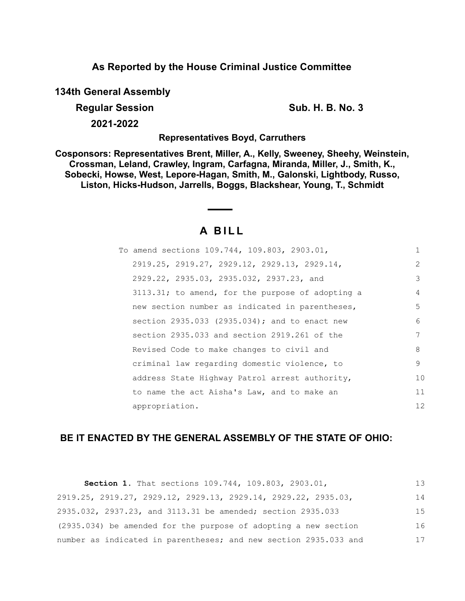**As Reported by the House Criminal Justice Committee**

**134th General Assembly**

**Regular Session Sub. H. B. No. 3**

**2021-2022**

**Representatives Boyd, Carruthers**

**Cosponsors: Representatives Brent, Miller, A., Kelly, Sweeney, Sheehy, Weinstein, Crossman, Leland, Crawley, Ingram, Carfagna, Miranda, Miller, J., Smith, K., Sobecki, Howse, West, Lepore-Hagan, Smith, M., Galonski, Lightbody, Russo, Liston, Hicks-Hudson, Jarrells, Boggs, Blackshear, Young, T., Schmidt**

# **A B I L L**

| To amend sections 109.744, 109.803, 2903.01,        |    |
|-----------------------------------------------------|----|
| 2919.25, 2919.27, 2929.12, 2929.13, 2929.14,        | 2  |
| 2929.22, 2935.03, 2935.032, 2937.23, and            | 3  |
| $3113.31$ ; to amend, for the purpose of adopting a | 4  |
| new section number as indicated in parentheses,     | 5  |
| section 2935.033 (2935.034); and to enact new       | 6  |
| section 2935.033 and section 2919.261 of the        | 7  |
| Revised Code to make changes to civil and           | 8  |
| criminal law regarding domestic violence, to        | 9  |
| address State Highway Patrol arrest authority,      | 10 |
| to name the act Aisha's Law, and to make an         | 11 |
| appropriation.                                      | 12 |

# **BE IT ENACTED BY THE GENERAL ASSEMBLY OF THE STATE OF OHIO:**

| Section 1. That sections 109.744, 109.803, 2903.01,              | 13  |
|------------------------------------------------------------------|-----|
| 2919.25, 2919.27, 2929.12, 2929.13, 2929.14, 2929.22, 2935.03,   | 14  |
| 2935.032, 2937.23, and 3113.31 be amended; section 2935.033      | 1.5 |
| (2935.034) be amended for the purpose of adopting a new section  | 16  |
| number as indicated in parentheses; and new section 2935.033 and | 17  |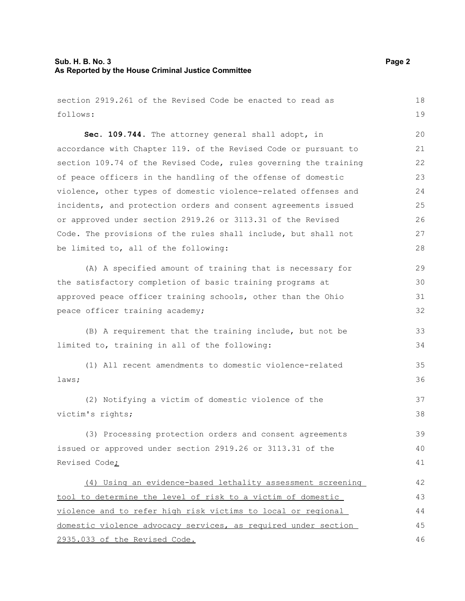# **Sub. H. B. No. 3 Page 2 As Reported by the House Criminal Justice Committee**

2935.033 of the Revised Code.

section 2919.261 of the Revised Code be enacted to read as follows: **Sec. 109.744.** The attorney general shall adopt, in accordance with Chapter 119. of the Revised Code or pursuant to section 109.74 of the Revised Code, rules governing the training of peace officers in the handling of the offense of domestic violence, other types of domestic violence-related offenses and incidents, and protection orders and consent agreements issued or approved under section 2919.26 or 3113.31 of the Revised Code. The provisions of the rules shall include, but shall not be limited to, all of the following: (A) A specified amount of training that is necessary for the satisfactory completion of basic training programs at approved peace officer training schools, other than the Ohio peace officer training academy; (B) A requirement that the training include, but not be limited to, training in all of the following: (1) All recent amendments to domestic violence-related laws; (2) Notifying a victim of domestic violence of the victim's rights; (3) Processing protection orders and consent agreements issued or approved under section 2919.26 or 3113.31 of the Revised Code; (4) Using an evidence-based lethality assessment screening tool to determine the level of risk to a victim of domestic violence and to refer high risk victims to local or regional domestic violence advocacy services, as required under section 18 19 20 21 22 23  $24$ 25 26 27 28 29 30 31 32 33 34 35 36 37 38 39 40 41 42 43 44 45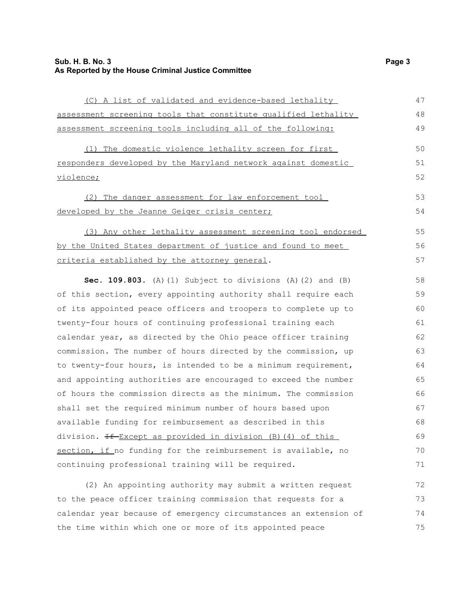| (C) A list of validated and evidence-based lethality                   | 47 |
|------------------------------------------------------------------------|----|
| assessment screening tools that constitute qualified lethality         | 48 |
| assessment screening tools including all of the following:             | 49 |
| The domestic violence lethality screen for first<br>(1)                | 50 |
| responders developed by the Maryland network against domestic          | 51 |
| violence;                                                              | 52 |
| (2) The danger assessment for law enforcement tool                     | 53 |
| developed by the Jeanne Geiger crisis center;                          | 54 |
| (3) Any other lethality assessment screening tool endorsed             | 55 |
| by the United States department of justice and found to meet           | 56 |
| criteria established by the attorney general.                          | 57 |
| <b>Sec. 109.803.</b> (A) (1) Subject to divisions (A) (2) and (B)      | 58 |
| of this section, every appointing authority shall require each         | 59 |
| of its appointed peace officers and troopers to complete up to         | 60 |
| twenty-four hours of continuing professional training each             | 61 |
| calendar year, as directed by the Ohio peace officer training          | 62 |
| commission. The number of hours directed by the commission, up         | 63 |
| to twenty-four hours, is intended to be a minimum requirement,         | 64 |
| and appointing authorities are encouraged to exceed the number         | 65 |
| of hours the commission directs as the minimum. The commission         | 66 |
| shall set the required minimum number of hours based upon              | 67 |
| available funding for reimbursement as described in this               | 68 |
| division. <del>If Except</del> as provided in division (B) (4) of this | 69 |
| section, if no funding for the reimbursement is available, no          | 70 |
| continuing professional training will be required.                     | 71 |
| (2) An appointing authority may submit a written request               | 72 |

to the peace officer training commission that requests for a calendar year because of emergency circumstances an extension of the time within which one or more of its appointed peace 73 74 75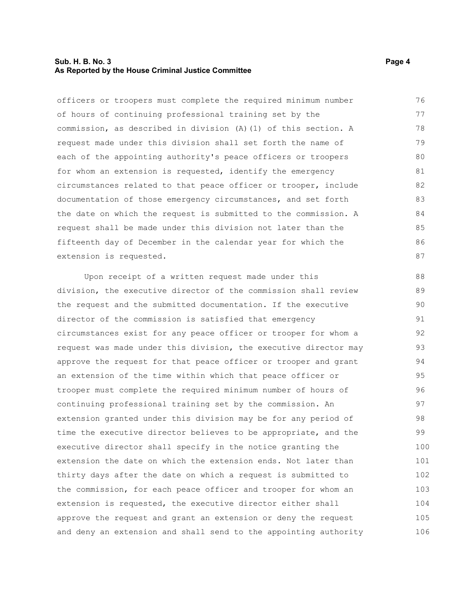# **Sub. H. B. No. 3 Page 4 As Reported by the House Criminal Justice Committee**

officers or troopers must complete the required minimum number of hours of continuing professional training set by the commission, as described in division (A)(1) of this section. A request made under this division shall set forth the name of each of the appointing authority's peace officers or troopers for whom an extension is requested, identify the emergency circumstances related to that peace officer or trooper, include documentation of those emergency circumstances, and set forth the date on which the request is submitted to the commission. A request shall be made under this division not later than the fifteenth day of December in the calendar year for which the extension is requested. 76 77 78 79 80 81 82 83 84 85 86 87

Upon receipt of a written request made under this division, the executive director of the commission shall review the request and the submitted documentation. If the executive director of the commission is satisfied that emergency circumstances exist for any peace officer or trooper for whom a request was made under this division, the executive director may approve the request for that peace officer or trooper and grant an extension of the time within which that peace officer or trooper must complete the required minimum number of hours of continuing professional training set by the commission. An extension granted under this division may be for any period of time the executive director believes to be appropriate, and the executive director shall specify in the notice granting the extension the date on which the extension ends. Not later than thirty days after the date on which a request is submitted to the commission, for each peace officer and trooper for whom an extension is requested, the executive director either shall approve the request and grant an extension or deny the request and deny an extension and shall send to the appointing authority 88 89 90 91 92 93 94 95 96 97 98 99 100 101 102 103 104 105 106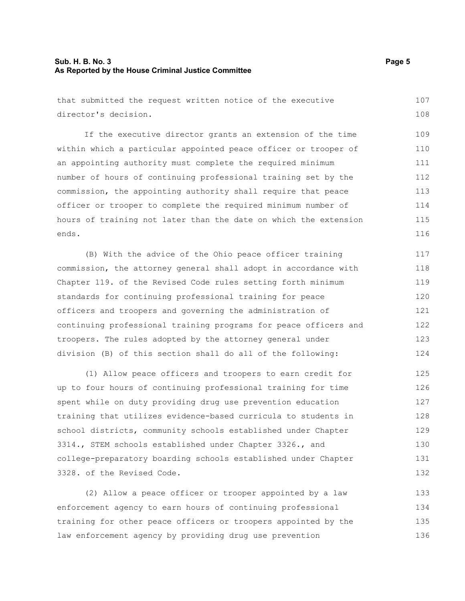# **Sub. H. B. No. 3** Page 5 **As Reported by the House Criminal Justice Committee**

that submitted the request written notice of the executive director's decision. 107 108

If the executive director grants an extension of the time within which a particular appointed peace officer or trooper of an appointing authority must complete the required minimum number of hours of continuing professional training set by the commission, the appointing authority shall require that peace officer or trooper to complete the required minimum number of hours of training not later than the date on which the extension ends. 109 110 111 112 113 114 115 116

(B) With the advice of the Ohio peace officer training commission, the attorney general shall adopt in accordance with Chapter 119. of the Revised Code rules setting forth minimum standards for continuing professional training for peace officers and troopers and governing the administration of continuing professional training programs for peace officers and troopers. The rules adopted by the attorney general under division (B) of this section shall do all of the following: 117 118 119 120 121 122 123 124

(1) Allow peace officers and troopers to earn credit for up to four hours of continuing professional training for time spent while on duty providing drug use prevention education training that utilizes evidence-based curricula to students in school districts, community schools established under Chapter 3314., STEM schools established under Chapter 3326., and college-preparatory boarding schools established under Chapter 3328. of the Revised Code. 125 126 127 128 129 130 131 132

(2) Allow a peace officer or trooper appointed by a law enforcement agency to earn hours of continuing professional training for other peace officers or troopers appointed by the law enforcement agency by providing drug use prevention 133 134 135 136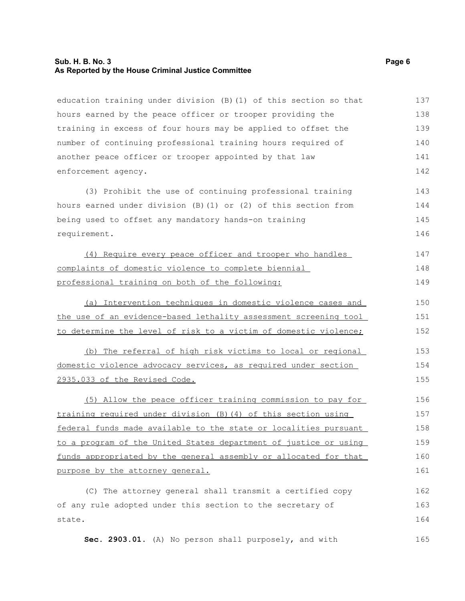# **Sub. H. B. No. 3 Page 6 As Reported by the House Criminal Justice Committee**

| education training under division (B) (1) of this section so that | 137 |
|-------------------------------------------------------------------|-----|
| hours earned by the peace officer or trooper providing the        | 138 |
| training in excess of four hours may be applied to offset the     | 139 |
| number of continuing professional training hours required of      | 140 |
| another peace officer or trooper appointed by that law            | 141 |
| enforcement agency.                                               | 142 |
| (3) Prohibit the use of continuing professional training          | 143 |
| hours earned under division (B)(1) or (2) of this section from    | 144 |
| being used to offset any mandatory hands-on training              | 145 |
| requirement.                                                      | 146 |
| (4) Require every peace officer and trooper who handles           | 147 |
| complaints of domestic violence to complete biennial              | 148 |
| professional training on both of the following:                   | 149 |
| (a) Intervention techniques in domestic violence cases and        | 150 |
| the use of an evidence-based lethality assessment screening tool  | 151 |
| to determine the level of risk to a victim of domestic violence;  | 152 |
| (b) The referral of high risk victims to local or regional        | 153 |
| domestic violence advocacy services, as required under section    | 154 |
| 2935.033 of the Revised Code.                                     | 155 |
| (5) Allow the peace officer training commission to pay for        | 156 |
| training required under division (B) (4) of this section using    | 157 |
| federal funds made available to the state or localities pursuant  | 158 |
| to a program of the United States department of justice or using  | 159 |
| funds appropriated by the general assembly or allocated for that  | 160 |
| purpose by the attorney general.                                  | 161 |
| (C) The attorney general shall transmit a certified copy          | 162 |
| of any rule adopted under this section to the secretary of        | 163 |
| state.                                                            | 164 |
| Sec. 2903.01. (A) No person shall purposely, and with             | 165 |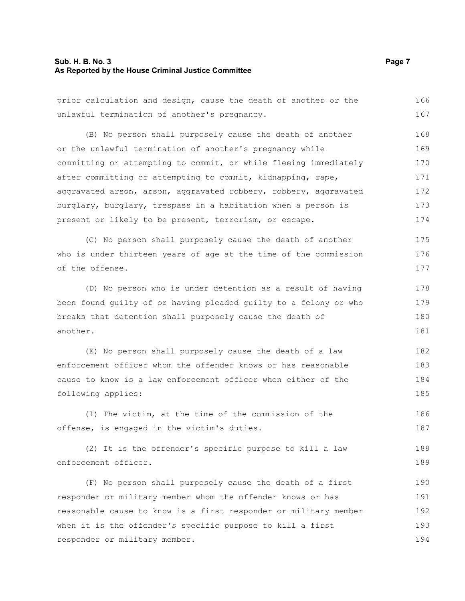# **Sub. H. B. No. 3 Page 7 As Reported by the House Criminal Justice Committee**

prior calculation and design, cause the death of another or the unlawful termination of another's pregnancy. (B) No person shall purposely cause the death of another or the unlawful termination of another's pregnancy while committing or attempting to commit, or while fleeing immediately after committing or attempting to commit, kidnapping, rape, aggravated arson, arson, aggravated robbery, robbery, aggravated burglary, burglary, trespass in a habitation when a person is present or likely to be present, terrorism, or escape. (C) No person shall purposely cause the death of another who is under thirteen years of age at the time of the commission of the offense. (D) No person who is under detention as a result of having been found guilty of or having pleaded guilty to a felony or who breaks that detention shall purposely cause the death of another. (E) No person shall purposely cause the death of a law enforcement officer whom the offender knows or has reasonable cause to know is a law enforcement officer when either of the following applies: (1) The victim, at the time of the commission of the offense, is engaged in the victim's duties. (2) It is the offender's specific purpose to kill a law enforcement officer. (F) No person shall purposely cause the death of a first responder or military member whom the offender knows or has reasonable cause to know is a first responder or military member when it is the offender's specific purpose to kill a first responder or military member. 167 168 169 170 171 172 173 174 175 176 177 178 179 180 181 182 183 184 185 186 187 188 189 190 191 192 193 194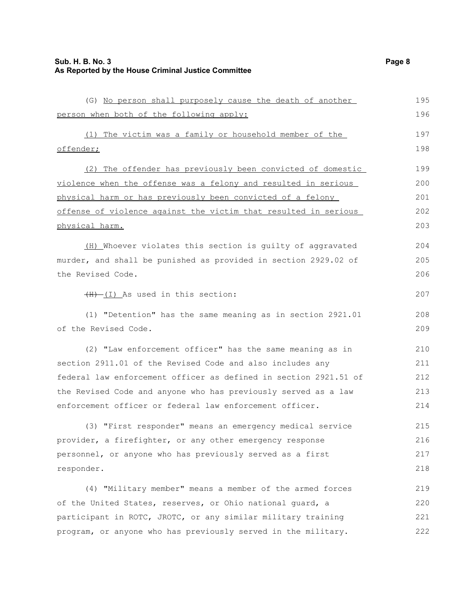| (G) No person shall purposely cause the death of another         | 195 |
|------------------------------------------------------------------|-----|
| person when both of the following apply:                         | 196 |
| (1) The victim was a family or household member of the           | 197 |
| offender;                                                        | 198 |
| (2) The offender has previously been convicted of domestic       | 199 |
| violence when the offense was a felony and resulted in serious   | 200 |
| physical harm or has previously been convicted of a felony       | 201 |
| offense of violence against the victim that resulted in serious  | 202 |
| physical harm.                                                   | 203 |
| (H) Whoever violates this section is guilty of aggravated        | 204 |
| murder, and shall be punished as provided in section 2929.02 of  | 205 |
| the Revised Code.                                                | 206 |
| $(H)$ (I) As used in this section:                               | 207 |
| (1) "Detention" has the same meaning as in section 2921.01       | 208 |
| of the Revised Code.                                             | 209 |
| (2) "Law enforcement officer" has the same meaning as in         | 210 |
| section 2911.01 of the Revised Code and also includes any        | 211 |
| federal law enforcement officer as defined in section 2921.51 of | 212 |
| the Revised Code and anyone who has previously served as a law   | 213 |
| enforcement officer or federal law enforcement officer.          | 214 |
| (3) "First responder" means an emergency medical service         | 215 |
| provider, a firefighter, or any other emergency response         | 216 |
| personnel, or anyone who has previously served as a first        | 217 |
| responder.                                                       | 218 |
| (4) "Military member" means a member of the armed forces         | 219 |
| of the United States, reserves, or Ohio national guard, a        | 220 |
| participant in ROTC, JROTC, or any similar military training     | 221 |
| program, or anyone who has previously served in the military.    | 222 |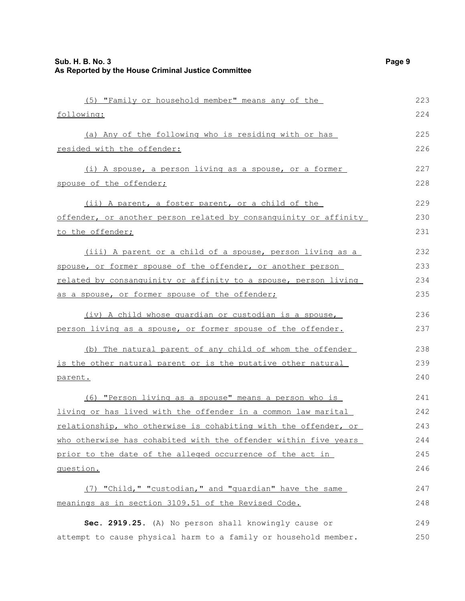| (5) "Family or household member" means any of the                | 223 |
|------------------------------------------------------------------|-----|
| following:                                                       | 224 |
| (a) Any of the following who is residing with or has             | 225 |
| resided with the offender:                                       | 226 |
| (i) A spouse, a person living as a spouse, or a former           | 227 |
| spouse of the offender;                                          | 228 |
| (ii) A parent, a foster parent, or a child of the                | 229 |
| offender, or another person related by consanguinity or affinity | 230 |
| to the offender;                                                 | 231 |
| (iii) A parent or a child of a spouse, person living as a        | 232 |
| spouse, or former spouse of the offender, or another person      | 233 |
| related by consanguinity or affinity to a spouse, person living  | 234 |
| as a spouse, or former spouse of the offender;                   | 235 |
| (iv) A child whose quardian or custodian is a spouse,            | 236 |
| person living as a spouse, or former spouse of the offender.     | 237 |
| (b) The natural parent of any child of whom the offender         | 238 |
| is the other natural parent or is the putative other natural     | 239 |
| parent.                                                          | 240 |
| (6) "Person living as a spouse" means a person who is            | 241 |
| living or has lived with the offender in a common law marital    | 242 |
| relationship, who otherwise is cohabiting with the offender, or  | 243 |
| who otherwise has cohabited with the offender within five years  | 244 |
| prior to the date of the alleged occurrence of the act in        | 245 |
| question.                                                        | 246 |
| (7) "Child," "custodian," and "guardian" have the same           | 247 |
| meanings as in section 3109.51 of the Revised Code.              | 248 |
| Sec. 2919.25. (A) No person shall knowingly cause or             | 249 |
| attempt to cause physical harm to a family or household member.  | 250 |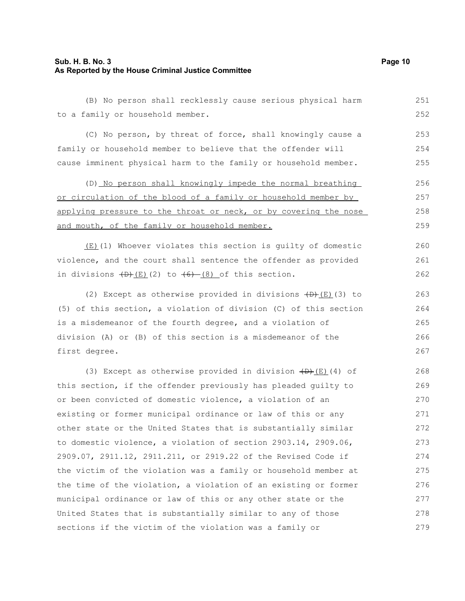# **Sub. H. B. No. 3 Page 10 As Reported by the House Criminal Justice Committee**

(B) No person shall recklessly cause serious physical harm to a family or household member. (C) No person, by threat of force, shall knowingly cause a family or household member to believe that the offender will cause imminent physical harm to the family or household member. (D) No person shall knowingly impede the normal breathing or circulation of the blood of a family or household member by applying pressure to the throat or neck, or by covering the nose and mouth, of the family or household member. (E)(1) Whoever violates this section is guilty of domestic violence, and the court shall sentence the offender as provided in divisions  $(D)$  (E)(2) to  $(6)$  (8) of this section. (2) Except as otherwise provided in divisions  $\overline{(B)(E)}$ (3) to (5) of this section, a violation of division (C) of this section 252 253 254 255 256 257 258 259 260 261 262 263 264

is a misdemeanor of the fourth degree, and a violation of division (A) or (B) of this section is a misdemeanor of the first degree. 265 266 267

(3) Except as otherwise provided in division  $(D)$  (E)(4) of this section, if the offender previously has pleaded guilty to or been convicted of domestic violence, a violation of an existing or former municipal ordinance or law of this or any other state or the United States that is substantially similar to domestic violence, a violation of section 2903.14, 2909.06, 2909.07, 2911.12, 2911.211, or 2919.22 of the Revised Code if the victim of the violation was a family or household member at the time of the violation, a violation of an existing or former municipal ordinance or law of this or any other state or the United States that is substantially similar to any of those sections if the victim of the violation was a family or 268 269 270 271 272 273 274 275 276 277 278 279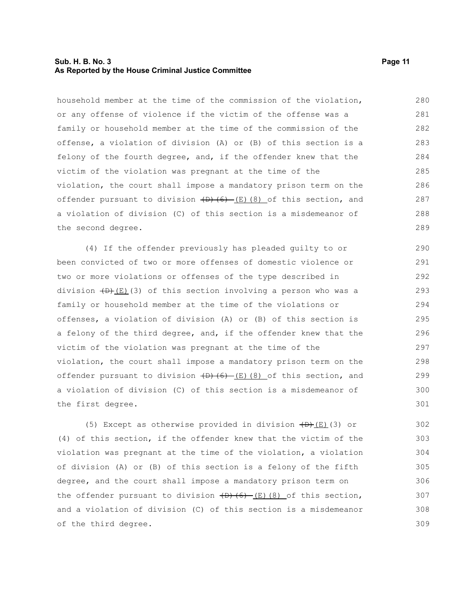### **Sub. H. B. No. 3 Page 11 As Reported by the House Criminal Justice Committee**

household member at the time of the commission of the violation, or any offense of violence if the victim of the offense was a family or household member at the time of the commission of the offense, a violation of division (A) or (B) of this section is a felony of the fourth degree, and, if the offender knew that the victim of the violation was pregnant at the time of the violation, the court shall impose a mandatory prison term on the offender pursuant to division  $\left(\frac{D}{C}\right)\left(\frac{E}{C}\right)$  (8) of this section, and a violation of division (C) of this section is a misdemeanor of the second degree. 280 281 282 283 284 285 286 287 288 289

(4) If the offender previously has pleaded guilty to or been convicted of two or more offenses of domestic violence or two or more violations or offenses of the type described in division  $(D+(E)$ (3) of this section involving a person who was a family or household member at the time of the violations or offenses, a violation of division (A) or (B) of this section is a felony of the third degree, and, if the offender knew that the victim of the violation was pregnant at the time of the violation, the court shall impose a mandatory prison term on the offender pursuant to division  $\left(\frac{D}{C}\right)\left(\frac{E}{C}\right)$  of this section, and a violation of division (C) of this section is a misdemeanor of the first degree. 290 291 292 293 294 295 296 297 298 299 300 301

(5) Except as otherwise provided in division  $(D)$  (E)(3) or (4) of this section, if the offender knew that the victim of the violation was pregnant at the time of the violation, a violation of division (A) or (B) of this section is a felony of the fifth degree, and the court shall impose a mandatory prison term on the offender pursuant to division  $(D)$   $(6)$   $(E)$   $(8)$  of this section, and a violation of division (C) of this section is a misdemeanor of the third degree. 302 303 304 305 306 307 308 309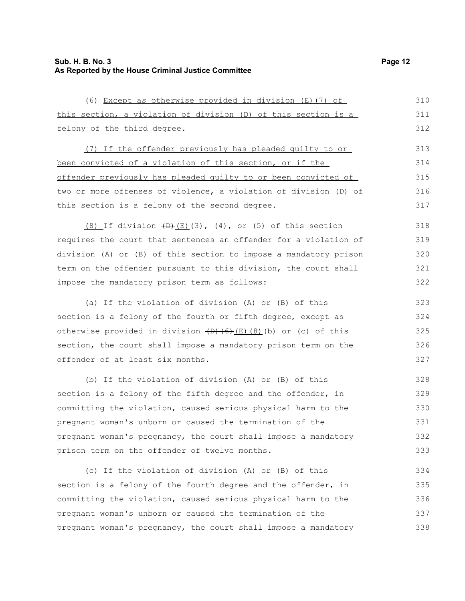| (6) Except as otherwise provided in division (E) (7) of                | 310 |
|------------------------------------------------------------------------|-----|
| this section, a violation of division (D) of this section is a         | 311 |
| felony of the third degree.                                            | 312 |
| (7) If the offender previously has pleaded quilty to or                | 313 |
| been convicted of a violation of this section, or if the               | 314 |
| offender previously has pleaded quilty to or been convicted of         | 315 |
| two or more offenses of violence, a violation of division (D) of       | 316 |
| this section is a felony of the second degree.                         | 317 |
| $(8)$ If division $(D)$ $(E)$ $(3)$ , $(4)$ , or $(5)$ of this section | 318 |
| requires the court that sentences an offender for a violation of       | 319 |
| division (A) or (B) of this section to impose a mandatory prison       | 320 |
| term on the offender pursuant to this division, the court shall        | 321 |
| impose the mandatory prison term as follows:                           | 322 |
| (a) If the violation of division (A) or (B) of this                    | 323 |
| section is a felony of the fourth or fifth degree, except as           | 324 |
| otherwise provided in division $(D) (6) (E) (8) (b)$ or (c) of this    | 325 |
| section, the court shall impose a mandatory prison term on the         | 326 |
| offender of at least six months.                                       | 327 |
| (b) If the violation of division (A) or (B) of this                    | 328 |
| section is a felony of the fifth degree and the offender, in           | 329 |
| committing the violation, caused serious physical harm to the          | 330 |
| pregnant woman's unborn or caused the termination of the               | 331 |
| pregnant woman's pregnancy, the court shall impose a mandatory         | 332 |
| prison term on the offender of twelve months.                          | 333 |
| (c) If the violation of division (A) or (B) of this                    | 334 |
| section is a felony of the fourth degree and the offender, in          | 335 |
| committing the violation, caused serious physical harm to the          | 336 |
| pregnant woman's unborn or caused the termination of the               | 337 |
| pregnant woman's pregnancy, the court shall impose a mandatory         | 338 |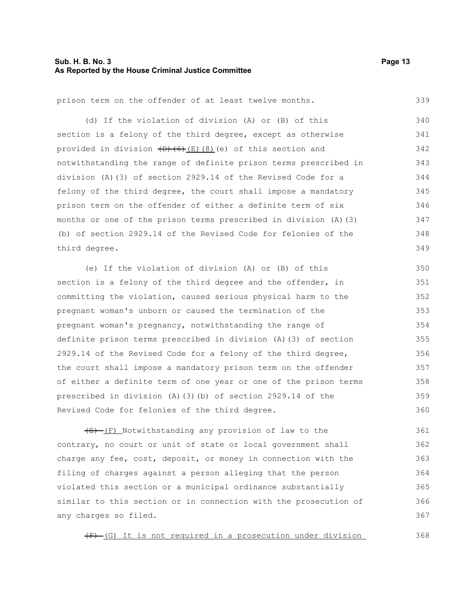# **Sub. H. B. No. 3 Page 13 As Reported by the House Criminal Justice Committee**

prison term on the offender of at least twelve months. (d) If the violation of division (A) or (B) of this section is a felony of the third degree, except as otherwise provided in division  $(D)$   $(6)$   $(E)$   $(8)$  (e) of this section and notwithstanding the range of definite prison terms prescribed in division (A)(3) of section 2929.14 of the Revised Code for a felony of the third degree, the court shall impose a mandatory prison term on the offender of either a definite term of six months or one of the prison terms prescribed in division (A)(3) (b) of section 2929.14 of the Revised Code for felonies of the third degree. (e) If the violation of division (A) or (B) of this 340 341 342 343 344 345 346 347 348 349 350

section is a felony of the third degree and the offender, in committing the violation, caused serious physical harm to the pregnant woman's unborn or caused the termination of the pregnant woman's pregnancy, notwithstanding the range of definite prison terms prescribed in division (A)(3) of section 2929.14 of the Revised Code for a felony of the third degree, the court shall impose a mandatory prison term on the offender of either a definite term of one year or one of the prison terms prescribed in division (A)(3)(b) of section 2929.14 of the Revised Code for felonies of the third degree. 351 352 353 354 355 356 357 358 359 360

 $(E)$  (F) Notwithstanding any provision of law to the contrary, no court or unit of state or local government shall charge any fee, cost, deposit, or money in connection with the filing of charges against a person alleging that the person violated this section or a municipal ordinance substantially similar to this section or in connection with the prosecution of any charges so filed. 361 362 363 364 365 366 367

 $(F)$  (G) It is not required in a prosecution under division

339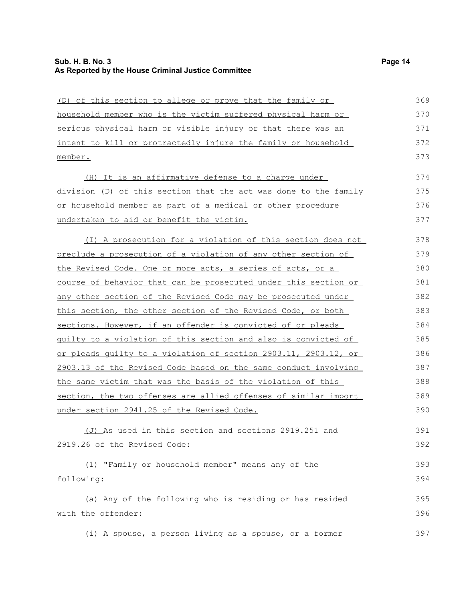# **Sub. H. B. No. 3 Page 14 As Reported by the House Criminal Justice Committee**

| (D) of this section to allege or prove that the family or            | 369 |
|----------------------------------------------------------------------|-----|
| household member who is the victim suffered physical harm or         | 370 |
| serious physical harm or visible injury or that there was an         | 371 |
| intent to kill or protractedly injure the family or household        | 372 |
| member.                                                              | 373 |
| (H) It is an affirmative defense to a charge under                   | 374 |
| division (D) of this section that the act was done to the family     | 375 |
| or household member as part of a medical or other procedure          | 376 |
| undertaken to aid or benefit the victim.                             | 377 |
| (I) A prosecution for a violation of this section does not           | 378 |
| preclude a prosecution of a violation of any other section of        | 379 |
| the Revised Code. One or more acts, a series of acts, or a           | 380 |
| course of behavior that can be prosecuted under this section or      | 381 |
| <u>any other section of the Revised Code may be prosecuted under</u> | 382 |
| this section, the other section of the Revised Code, or both         | 383 |
| sections. However, if an offender is convicted of or pleads          | 384 |
| guilty to a violation of this section and also is convicted of       | 385 |
| or pleads quilty to a violation of section 2903.11, 2903.12, or      | 386 |
| 2903.13 of the Revised Code based on the same conduct involving      | 387 |
| the same victim that was the basis of the violation of this          | 388 |
| section, the two offenses are allied offenses of similar import      | 389 |
| under section 2941.25 of the Revised Code.                           | 390 |
| (J) As used in this section and sections 2919.251 and                | 391 |
| 2919.26 of the Revised Code:                                         | 392 |
| (1) "Family or household member" means any of the                    | 393 |
| following:                                                           | 394 |
| (a) Any of the following who is residing or has resided              | 395 |
| with the offender:                                                   | 396 |
| (i) A spouse, a person living as a spouse, or a former               | 397 |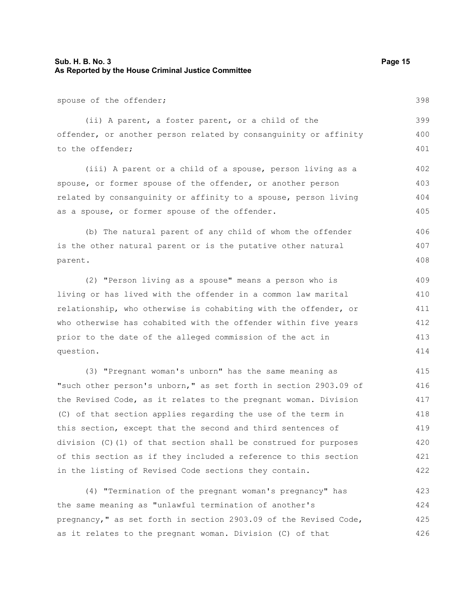(ii) A parent, a foster parent, or a child of the offender, or another person related by consanguinity or affinity to the offender; (iii) A parent or a child of a spouse, person living as a spouse, or former spouse of the offender, or another person related by consanguinity or affinity to a spouse, person living as a spouse, or former spouse of the offender. (b) The natural parent of any child of whom the offender

is the other natural parent or is the putative other natural parent. 406 407 408

(2) "Person living as a spouse" means a person who is living or has lived with the offender in a common law marital relationship, who otherwise is cohabiting with the offender, or who otherwise has cohabited with the offender within five years prior to the date of the alleged commission of the act in question. 409 410 411 412 413 414

(3) "Pregnant woman's unborn" has the same meaning as "such other person's unborn," as set forth in section 2903.09 of the Revised Code, as it relates to the pregnant woman. Division (C) of that section applies regarding the use of the term in this section, except that the second and third sentences of division (C)(1) of that section shall be construed for purposes of this section as if they included a reference to this section in the listing of Revised Code sections they contain. 415 416 417 418 419 420 421 422

(4) "Termination of the pregnant woman's pregnancy" has the same meaning as "unlawful termination of another's pregnancy," as set forth in section 2903.09 of the Revised Code, as it relates to the pregnant woman. Division (C) of that 423 424 425 426

398

399 400 401

spouse of the offender;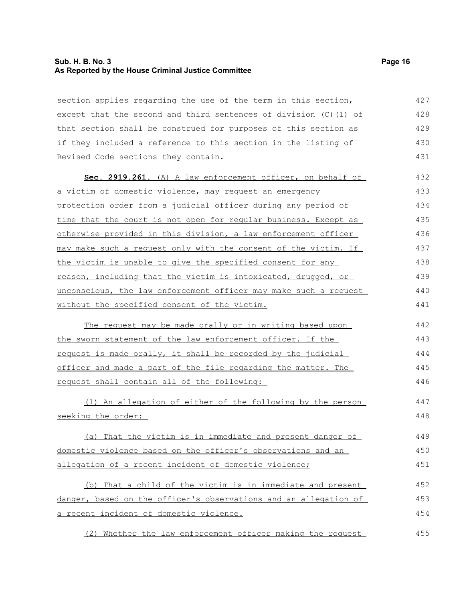## **Sub. H. B. No. 3 Page 16 As Reported by the House Criminal Justice Committee**

section applies regarding the use of the term in this section, except that the second and third sentences of division (C)(1) of that section shall be construed for purposes of this section as if they included a reference to this section in the listing of Revised Code sections they contain. 427 428 429 430 431

| Sec. 2919.261. (A) A law enforcement officer, on behalf of       | 432 |
|------------------------------------------------------------------|-----|
| a victim of domestic violence, may request an emergency          | 433 |
| protection order from a judicial officer during any period of    | 434 |
| time that the court is not open for regular business. Except as  | 435 |
| otherwise provided in this division, a law enforcement officer   | 436 |
| may make such a request only with the consent of the victim. If  | 437 |
| the victim is unable to give the specified consent for any       | 438 |
| reason, including that the victim is intoxicated, drugged, or    | 439 |
| unconscious, the law enforcement officer may make such a request | 440 |
| without the specified consent of the victim.                     | 441 |

The request may be made orally or in writing based upon the sworn statement of the law enforcement officer. If the request is made orally, it shall be recorded by the judicial officer and made a part of the file regarding the matter. The request shall contain all of the following: 442 443 444 445 446

(1) An allegation of either of the following by the person seeking the order: 447 448

(a) That the victim is in immediate and present danger of domestic violence based on the officer's observations and an allegation of a recent incident of domestic violence; 449 450 451

(b) That a child of the victim is in immediate and present danger, based on the officer's observations and an allegation of a recent incident of domestic violence. 452 453 454

(2) Whether the law enforcement officer making the request 455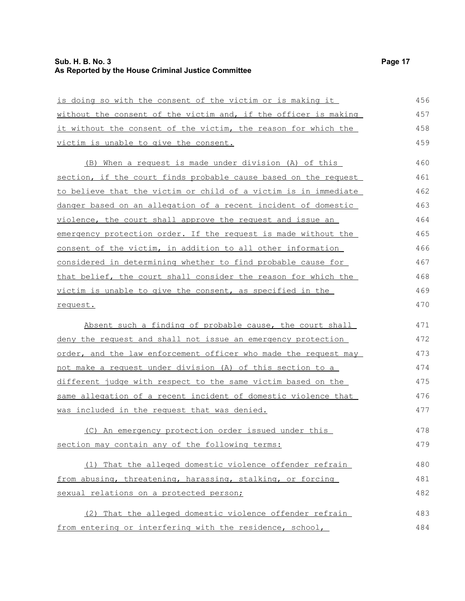# **Sub. H. B. No. 3 Page 17 As Reported by the House Criminal Justice Committee**

| is doing so with the consent of the victim or is making it          | 456 |
|---------------------------------------------------------------------|-----|
| without the consent of the victim and, if the officer is making     | 457 |
| it without the consent of the victim, the reason for which the      | 458 |
| victim is unable to give the consent.                               | 459 |
| (B) When a request is made under division (A) of this               | 460 |
| section, if the court finds probable cause based on the request     | 461 |
| to believe that the victim or child of a victim is in immediate     | 462 |
| danger based on an allegation of a recent incident of domestic      | 463 |
| violence, the court shall approve the request and issue an          | 464 |
| emergency protection order. If the request is made without the      | 465 |
| consent of the victim, in addition to all other information         | 466 |
| considered in determining whether to find probable cause for        | 467 |
| that belief, the court shall consider the reason for which the      | 468 |
| victim is unable to give the consent, as specified in the           | 469 |
| request.                                                            | 470 |
| Absent such a finding of probable cause, the court shall            | 471 |
| <u>deny the request and shall not issue an emergency protection</u> | 472 |
| order, and the law enforcement officer who made the request may     | 473 |
| not make a request under division (A) of this section to a          | 474 |
| different judge with respect to the same victim based on the        | 475 |
| same allegation of a recent incident of domestic violence that      | 476 |
| was included in the request that was denied.                        | 477 |
| (C) An emergency protection order issued under this                 | 478 |
| section may contain any of the following terms:                     | 479 |
| (1) That the alleged domestic violence offender refrain             | 480 |
| from abusing, threatening, harassing, stalking, or forcing          | 481 |
| sexual relations on a protected person;                             | 482 |
| (2) That the alleged domestic violence offender refrain             | 483 |
| from entering or interfering with the residence, school,            | 484 |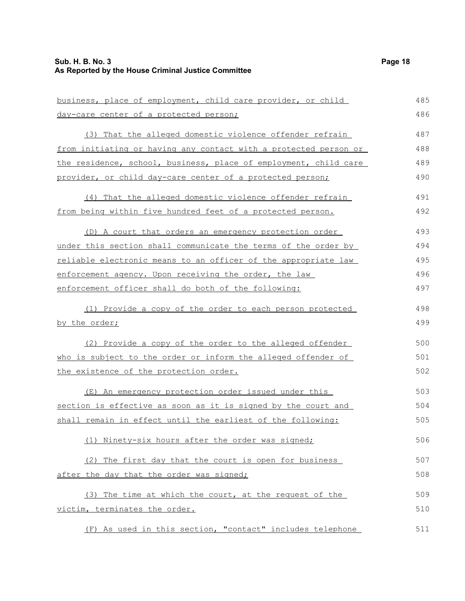| business, place of employment, child care provider, or child     | 485 |
|------------------------------------------------------------------|-----|
| day-care center of a protected person;                           | 486 |
| (3) That the alleged domestic violence offender refrain          | 487 |
| from initiating or having any contact with a protected person or | 488 |
| the residence, school, business, place of employment, child care | 489 |
| provider, or child day-care center of a protected person;        | 490 |
| (4) That the alleged domestic violence offender refrain          | 491 |
| from being within five hundred feet of a protected person.       | 492 |
| (D) A court that orders an emergency protection order            | 493 |
| under this section shall communicate the terms of the order by   | 494 |
| reliable electronic means to an officer of the appropriate law   | 495 |
| enforcement agency. Upon receiving the order, the law            | 496 |
| enforcement officer shall do both of the following:              | 497 |
| (1) Provide a copy of the order to each person protected         | 498 |
| <u>by the order;</u>                                             | 499 |
| (2) Provide a copy of the order to the alleged offender          | 500 |
| who is subject to the order or inform the alleged offender of    | 501 |
| the existence of the protection order.                           | 502 |
| (E) An emergency protection order issued under this              | 503 |
| section is effective as soon as it is signed by the court and    | 504 |
| shall remain in effect until the earliest of the following:      | 505 |
| (1) Ninety-six hours after the order was signed;                 | 506 |
| (2) The first day that the court is open for business            | 507 |
| after the day that the order was signed;                         | 508 |
| (3) The time at which the court, at the request of the           | 509 |
| victim, terminates the order.                                    | 510 |
| (F) As used in this section, "contact" includes telephone        | 511 |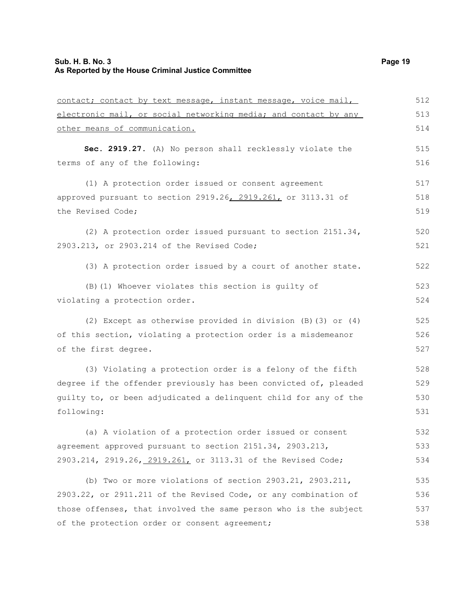| contact; contact by text message, instant message, voice mail,   | 512 |
|------------------------------------------------------------------|-----|
| electronic mail, or social networking media; and contact by any  | 513 |
| other means of communication.                                    | 514 |
| Sec. 2919.27. (A) No person shall recklessly violate the         | 515 |
| terms of any of the following:                                   | 516 |
| (1) A protection order issued or consent agreement               | 517 |
| approved pursuant to section 2919.26, 2919.261, or 3113.31 of    | 518 |
| the Revised Code;                                                | 519 |
| (2) A protection order issued pursuant to section $2151.34$ ,    | 520 |
| 2903.213, or 2903.214 of the Revised Code;                       | 521 |
| (3) A protection order issued by a court of another state.       | 522 |
| (B) (1) Whoever violates this section is guilty of               | 523 |
| violating a protection order.                                    | 524 |
| (2) Except as otherwise provided in division (B) (3) or (4)      | 525 |
| of this section, violating a protection order is a misdemeanor   | 526 |
| of the first degree.                                             | 527 |
| (3) Violating a protection order is a felony of the fifth        | 528 |
| degree if the offender previously has been convicted of, pleaded | 529 |
| guilty to, or been adjudicated a delinquent child for any of the | 530 |
| following:                                                       | 531 |
| (a) A violation of a protection order issued or consent          | 532 |
| agreement approved pursuant to section 2151.34, 2903.213,        | 533 |
| 2903.214, 2919.26, 2919.261, or 3113.31 of the Revised Code;     | 534 |
| (b) Two or more violations of section $2903.21$ , $2903.211$ ,   | 535 |
| 2903.22, or 2911.211 of the Revised Code, or any combination of  | 536 |
| those offenses, that involved the same person who is the subject | 537 |
| of the protection order or consent agreement;                    | 538 |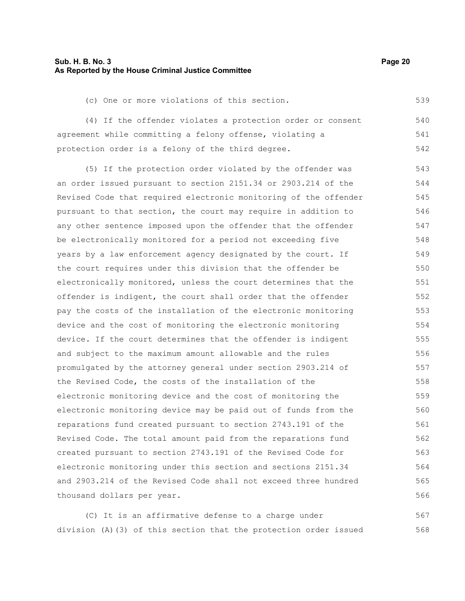# **Sub. H. B. No. 3 Page 20 As Reported by the House Criminal Justice Committee**

(c) One or more violations of this section. 539

(4) If the offender violates a protection order or consent agreement while committing a felony offense, violating a protection order is a felony of the third degree. 540 541 542

(5) If the protection order violated by the offender was an order issued pursuant to section 2151.34 or 2903.214 of the Revised Code that required electronic monitoring of the offender pursuant to that section, the court may require in addition to any other sentence imposed upon the offender that the offender be electronically monitored for a period not exceeding five years by a law enforcement agency designated by the court. If the court requires under this division that the offender be electronically monitored, unless the court determines that the offender is indigent, the court shall order that the offender pay the costs of the installation of the electronic monitoring device and the cost of monitoring the electronic monitoring device. If the court determines that the offender is indigent and subject to the maximum amount allowable and the rules promulgated by the attorney general under section 2903.214 of the Revised Code, the costs of the installation of the electronic monitoring device and the cost of monitoring the electronic monitoring device may be paid out of funds from the reparations fund created pursuant to section 2743.191 of the Revised Code. The total amount paid from the reparations fund created pursuant to section 2743.191 of the Revised Code for electronic monitoring under this section and sections 2151.34 and 2903.214 of the Revised Code shall not exceed three hundred thousand dollars per year. 543 544 545 546 547 548 549 550 551 552 553 554 555 556 557 558 559 560 561 562 563 564 565 566

(C) It is an affirmative defense to a charge under division (A)(3) of this section that the protection order issued 567 568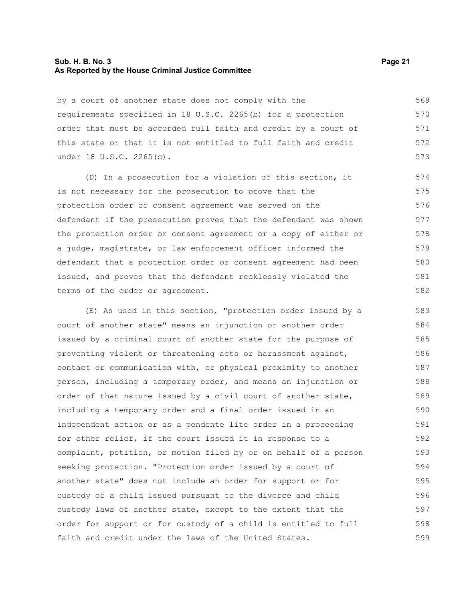#### **Sub. H. B. No. 3 Page 21 As Reported by the House Criminal Justice Committee**

by a court of another state does not comply with the requirements specified in 18 U.S.C. 2265(b) for a protection order that must be accorded full faith and credit by a court of this state or that it is not entitled to full faith and credit under 18 U.S.C. 2265(c). 569 570 571 572 573

(D) In a prosecution for a violation of this section, it is not necessary for the prosecution to prove that the protection order or consent agreement was served on the defendant if the prosecution proves that the defendant was shown the protection order or consent agreement or a copy of either or a judge, magistrate, or law enforcement officer informed the defendant that a protection order or consent agreement had been issued, and proves that the defendant recklessly violated the terms of the order or agreement.

(E) As used in this section, "protection order issued by a court of another state" means an injunction or another order issued by a criminal court of another state for the purpose of preventing violent or threatening acts or harassment against, contact or communication with, or physical proximity to another person, including a temporary order, and means an injunction or order of that nature issued by a civil court of another state, including a temporary order and a final order issued in an independent action or as a pendente lite order in a proceeding for other relief, if the court issued it in response to a complaint, petition, or motion filed by or on behalf of a person seeking protection. "Protection order issued by a court of another state" does not include an order for support or for custody of a child issued pursuant to the divorce and child custody laws of another state, except to the extent that the order for support or for custody of a child is entitled to full faith and credit under the laws of the United States. 583 584 585 586 587 588 589 590 591 592 593 594 595 596 597 598 599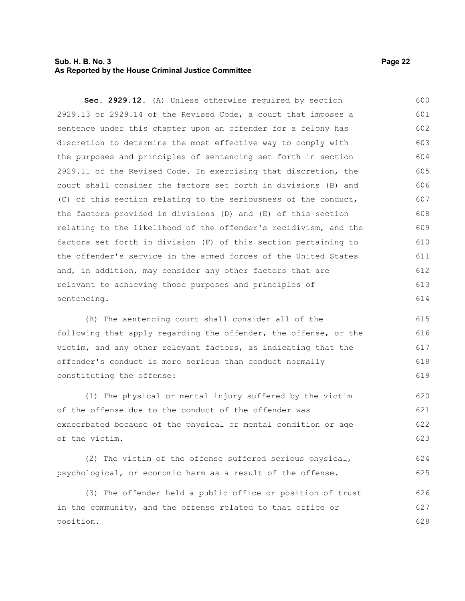# **Sub. H. B. No. 3 Page 22 As Reported by the House Criminal Justice Committee**

Sec. 2929.12. (A) Unless otherwise required by section 2929.13 or 2929.14 of the Revised Code, a court that imposes a sentence under this chapter upon an offender for a felony has discretion to determine the most effective way to comply with the purposes and principles of sentencing set forth in section 2929.11 of the Revised Code. In exercising that discretion, the court shall consider the factors set forth in divisions (B) and (C) of this section relating to the seriousness of the conduct, the factors provided in divisions (D) and (E) of this section relating to the likelihood of the offender's recidivism, and the factors set forth in division (F) of this section pertaining to the offender's service in the armed forces of the United States and, in addition, may consider any other factors that are relevant to achieving those purposes and principles of sentencing. 600 601 602 603 604 605 606 607 608 609 610 611 612 613 614

(B) The sentencing court shall consider all of the following that apply regarding the offender, the offense, or the victim, and any other relevant factors, as indicating that the offender's conduct is more serious than conduct normally constituting the offense: 615 616 617 618 619

(1) The physical or mental injury suffered by the victim of the offense due to the conduct of the offender was exacerbated because of the physical or mental condition or age of the victim. 620 621 622 623

(2) The victim of the offense suffered serious physical, psychological, or economic harm as a result of the offense. 624 625

(3) The offender held a public office or position of trust in the community, and the offense related to that office or position. 626 627 628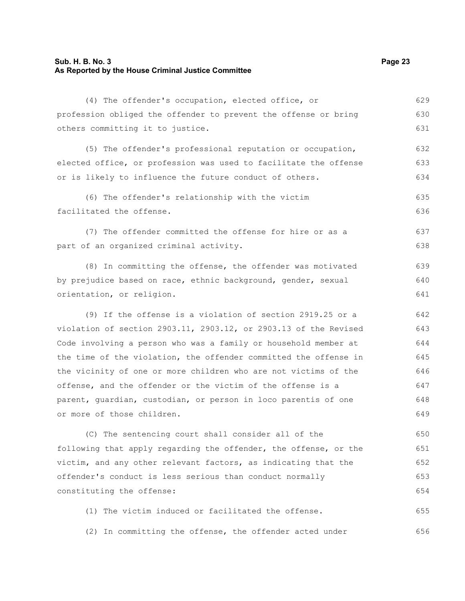# **Sub. H. B. No. 3 Page 23 As Reported by the House Criminal Justice Committee**

| (4) The offender's occupation, elected office, or                | 629 |
|------------------------------------------------------------------|-----|
| profession obliged the offender to prevent the offense or bring  | 630 |
| others committing it to justice.                                 | 631 |
| (5) The offender's professional reputation or occupation,        | 632 |
| elected office, or profession was used to facilitate the offense | 633 |
| or is likely to influence the future conduct of others.          | 634 |
| (6) The offender's relationship with the victim                  | 635 |
| facilitated the offense.                                         | 636 |
| (7) The offender committed the offense for hire or as a          | 637 |
| part of an organized criminal activity.                          | 638 |
| (8) In committing the offense, the offender was motivated        | 639 |
| by prejudice based on race, ethnic background, gender, sexual    | 640 |
| orientation, or religion.                                        | 641 |
| (9) If the offense is a violation of section 2919.25 or a        | 642 |
| violation of section 2903.11, 2903.12, or 2903.13 of the Revised | 643 |
| Code involving a person who was a family or household member at  | 644 |
| the time of the violation, the offender committed the offense in | 645 |
| the vicinity of one or more children who are not victims of the  | 646 |
| offense, and the offender or the victim of the offense is a      | 647 |
| parent, guardian, custodian, or person in loco parentis of one   | 648 |
| or more of those children.                                       | 649 |
| (C) The sentencing court shall consider all of the               | 650 |
| following that apply regarding the offender, the offense, or the | 651 |
| victim, and any other relevant factors, as indicating that the   | 652 |
| offender's conduct is less serious than conduct normally         | 653 |
| constituting the offense:                                        | 654 |
| (1) The victim induced or facilitated the offense.               | 655 |

(2) In committing the offense, the offender acted under 656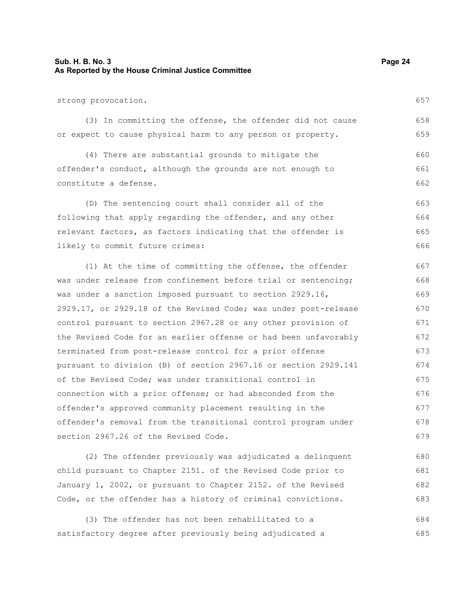# **Sub. H. B. No. 3 Page 24 As Reported by the House Criminal Justice Committee**

657

658 659

strong provocation.

(3) In committing the offense, the offender did not cause or expect to cause physical harm to any person or property.

(4) There are substantial grounds to mitigate the offender's conduct, although the grounds are not enough to constitute a defense. 660 661 662

(D) The sentencing court shall consider all of the following that apply regarding the offender, and any other relevant factors, as factors indicating that the offender is likely to commit future crimes: 663 664 665 666

(1) At the time of committing the offense, the offender was under release from confinement before trial or sentencing; was under a sanction imposed pursuant to section 2929.16, 2929.17, or 2929.18 of the Revised Code; was under post-release control pursuant to section 2967.28 or any other provision of the Revised Code for an earlier offense or had been unfavorably terminated from post-release control for a prior offense pursuant to division (B) of section 2967.16 or section 2929.141 of the Revised Code; was under transitional control in connection with a prior offense; or had absconded from the offender's approved community placement resulting in the offender's removal from the transitional control program under section 2967.26 of the Revised Code. 667 668 669 670 671 672 673 674 675 676 677 678 679

(2) The offender previously was adjudicated a delinquent child pursuant to Chapter 2151. of the Revised Code prior to January 1, 2002, or pursuant to Chapter 2152. of the Revised Code, or the offender has a history of criminal convictions. 680 681 682 683

(3) The offender has not been rehabilitated to a satisfactory degree after previously being adjudicated a 684 685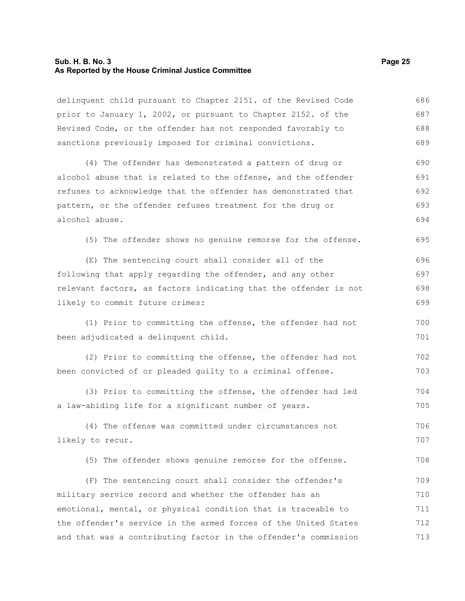#### **Sub. H. B. No. 3 Page 25 As Reported by the House Criminal Justice Committee**

delinquent child pursuant to Chapter 2151. of the Revised Code prior to January 1, 2002, or pursuant to Chapter 2152. of the Revised Code, or the offender has not responded favorably to sanctions previously imposed for criminal convictions. 686 687 688 689

(4) The offender has demonstrated a pattern of drug or alcohol abuse that is related to the offense, and the offender refuses to acknowledge that the offender has demonstrated that pattern, or the offender refuses treatment for the drug or alcohol abuse. 690 691 692 693 694

(5) The offender shows no genuine remorse for the offense. 695

(E) The sentencing court shall consider all of the following that apply regarding the offender, and any other relevant factors, as factors indicating that the offender is not likely to commit future crimes: 696 697 698 699

(1) Prior to committing the offense, the offender had not been adjudicated a delinquent child.

(2) Prior to committing the offense, the offender had not been convicted of or pleaded guilty to a criminal offense. 702 703

(3) Prior to committing the offense, the offender had led a law-abiding life for a significant number of years. 704 705

(4) The offense was committed under circumstances not likely to recur. 706 707

(5) The offender shows genuine remorse for the offense. 708

(F) The sentencing court shall consider the offender's military service record and whether the offender has an emotional, mental, or physical condition that is traceable to the offender's service in the armed forces of the United States and that was a contributing factor in the offender's commission 709 710 711 712 713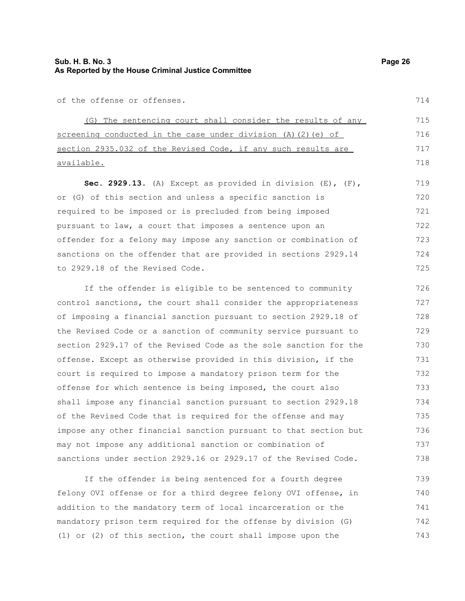of the offense or offenses.

(G) The sentencing court shall consider the results of any screening conducted in the case under division (A)(2)(e) of section 2935.032 of the Revised Code, if any such results are available. 715 716 717 718

**Sec. 2929.13.** (A) Except as provided in division (E), (F), or (G) of this section and unless a specific sanction is required to be imposed or is precluded from being imposed pursuant to law, a court that imposes a sentence upon an offender for a felony may impose any sanction or combination of sanctions on the offender that are provided in sections 2929.14 to 2929.18 of the Revised Code. 719 720 721 722 723 724 725

If the offender is eligible to be sentenced to community control sanctions, the court shall consider the appropriateness of imposing a financial sanction pursuant to section 2929.18 of the Revised Code or a sanction of community service pursuant to section 2929.17 of the Revised Code as the sole sanction for the offense. Except as otherwise provided in this division, if the court is required to impose a mandatory prison term for the offense for which sentence is being imposed, the court also shall impose any financial sanction pursuant to section 2929.18 of the Revised Code that is required for the offense and may impose any other financial sanction pursuant to that section but may not impose any additional sanction or combination of sanctions under section 2929.16 or 2929.17 of the Revised Code. 726 727 728 729 730 731 732 733 734 735 736 737 738

If the offender is being sentenced for a fourth degree felony OVI offense or for a third degree felony OVI offense, in addition to the mandatory term of local incarceration or the mandatory prison term required for the offense by division (G) (1) or (2) of this section, the court shall impose upon the 739 740 741 742 743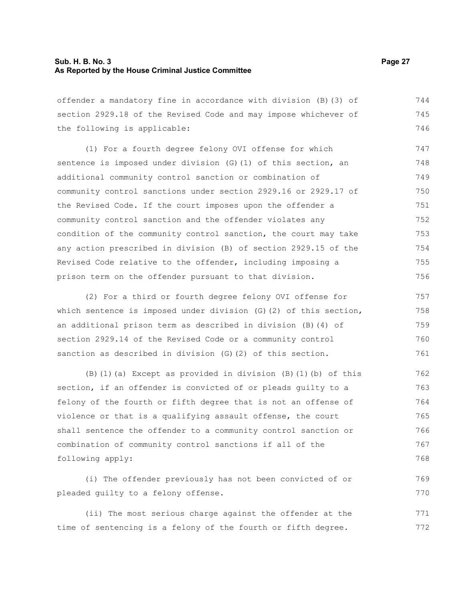# **Sub. H. B. No. 3 Page 27 As Reported by the House Criminal Justice Committee**

offender a mandatory fine in accordance with division (B)(3) of section 2929.18 of the Revised Code and may impose whichever of the following is applicable: 744 745 746

(1) For a fourth degree felony OVI offense for which sentence is imposed under division (G)(1) of this section, an additional community control sanction or combination of community control sanctions under section 2929.16 or 2929.17 of the Revised Code. If the court imposes upon the offender a community control sanction and the offender violates any condition of the community control sanction, the court may take any action prescribed in division (B) of section 2929.15 of the Revised Code relative to the offender, including imposing a prison term on the offender pursuant to that division. 747 748 749 750 751 752 753 754 755 756

(2) For a third or fourth degree felony OVI offense for which sentence is imposed under division (G)(2) of this section, an additional prison term as described in division (B)(4) of section 2929.14 of the Revised Code or a community control sanction as described in division (G)(2) of this section. 757 758 759 760 761

(B)(1)(a) Except as provided in division (B)(1)(b) of this section, if an offender is convicted of or pleads guilty to a felony of the fourth or fifth degree that is not an offense of violence or that is a qualifying assault offense, the court shall sentence the offender to a community control sanction or combination of community control sanctions if all of the following apply: 762 763 764 765 766 767 768

(i) The offender previously has not been convicted of or pleaded guilty to a felony offense.

(ii) The most serious charge against the offender at the time of sentencing is a felony of the fourth or fifth degree. 771 772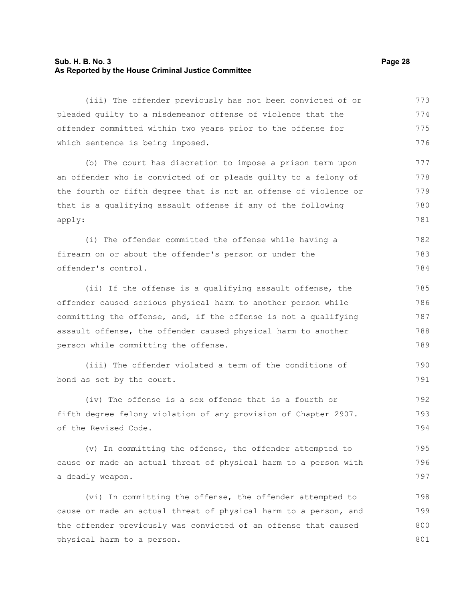# **Sub. H. B. No. 3 Page 28 As Reported by the House Criminal Justice Committee**

(iii) The offender previously has not been convicted of or pleaded guilty to a misdemeanor offense of violence that the offender committed within two years prior to the offense for which sentence is being imposed. 773 774 775 776

(b) The court has discretion to impose a prison term upon an offender who is convicted of or pleads guilty to a felony of the fourth or fifth degree that is not an offense of violence or that is a qualifying assault offense if any of the following apply: 777 778 779 780 781

(i) The offender committed the offense while having a firearm on or about the offender's person or under the offender's control. 782 783 784

(ii) If the offense is a qualifying assault offense, the offender caused serious physical harm to another person while committing the offense, and, if the offense is not a qualifying assault offense, the offender caused physical harm to another person while committing the offense. 785 786 787 788 789

(iii) The offender violated a term of the conditions of bond as set by the court. 790 791

(iv) The offense is a sex offense that is a fourth or fifth degree felony violation of any provision of Chapter 2907. of the Revised Code. 792 793 794

(v) In committing the offense, the offender attempted to cause or made an actual threat of physical harm to a person with a deadly weapon. 795 796 797

(vi) In committing the offense, the offender attempted to cause or made an actual threat of physical harm to a person, and the offender previously was convicted of an offense that caused physical harm to a person. 798 799 800 801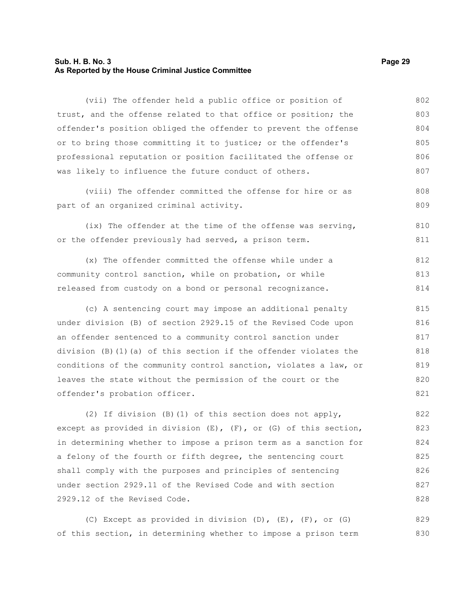### **Sub. H. B. No. 3 Page 29 As Reported by the House Criminal Justice Committee**

(vii) The offender held a public office or position of trust, and the offense related to that office or position; the offender's position obliged the offender to prevent the offense or to bring those committing it to justice; or the offender's professional reputation or position facilitated the offense or was likely to influence the future conduct of others. 802 803 804 805 806 807

(viii) The offender committed the offense for hire or as part of an organized criminal activity. 808 809

(ix) The offender at the time of the offense was serving, or the offender previously had served, a prison term. 810 811

(x) The offender committed the offense while under a community control sanction, while on probation, or while released from custody on a bond or personal recognizance. 812 813 814

(c) A sentencing court may impose an additional penalty under division (B) of section 2929.15 of the Revised Code upon an offender sentenced to a community control sanction under division (B)(1)(a) of this section if the offender violates the conditions of the community control sanction, violates a law, or leaves the state without the permission of the court or the offender's probation officer. 815 816 817 818 819 820 821

(2) If division (B)(1) of this section does not apply, except as provided in division  $(E)$ ,  $(F)$ , or  $(G)$  of this section, in determining whether to impose a prison term as a sanction for a felony of the fourth or fifth degree, the sentencing court shall comply with the purposes and principles of sentencing under section 2929.11 of the Revised Code and with section 2929.12 of the Revised Code. 822 823 824 825 826 827 828

(C) Except as provided in division (D), (E), (F), or (G) of this section, in determining whether to impose a prison term 829 830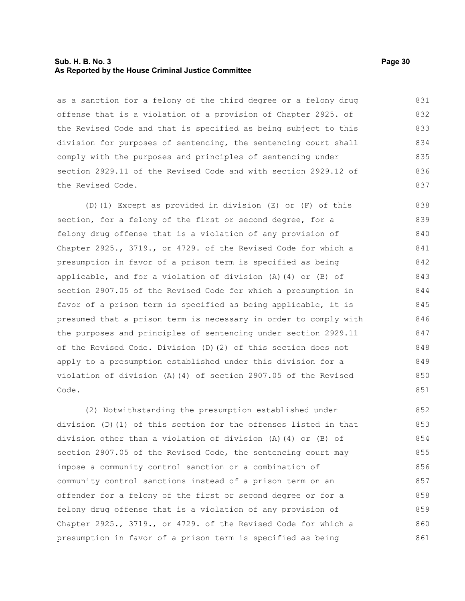#### **Sub. H. B. No. 3 Page 30 As Reported by the House Criminal Justice Committee**

as a sanction for a felony of the third degree or a felony drug offense that is a violation of a provision of Chapter 2925. of the Revised Code and that is specified as being subject to this division for purposes of sentencing, the sentencing court shall comply with the purposes and principles of sentencing under section 2929.11 of the Revised Code and with section 2929.12 of the Revised Code. 831 832 833 834 835 836 837

(D)(1) Except as provided in division (E) or (F) of this section, for a felony of the first or second degree, for a felony drug offense that is a violation of any provision of Chapter 2925., 3719., or 4729. of the Revised Code for which a presumption in favor of a prison term is specified as being applicable, and for a violation of division (A)(4) or (B) of section 2907.05 of the Revised Code for which a presumption in favor of a prison term is specified as being applicable, it is presumed that a prison term is necessary in order to comply with the purposes and principles of sentencing under section 2929.11 of the Revised Code. Division (D)(2) of this section does not apply to a presumption established under this division for a violation of division (A)(4) of section 2907.05 of the Revised Code. 838 839 840 841 842 843 844 845 846 847 848 849 850 851

(2) Notwithstanding the presumption established under division (D)(1) of this section for the offenses listed in that division other than a violation of division (A)(4) or (B) of section 2907.05 of the Revised Code, the sentencing court may impose a community control sanction or a combination of community control sanctions instead of a prison term on an offender for a felony of the first or second degree or for a felony drug offense that is a violation of any provision of Chapter 2925., 3719., or 4729. of the Revised Code for which a presumption in favor of a prison term is specified as being 852 853 854 855 856 857 858 859 860 861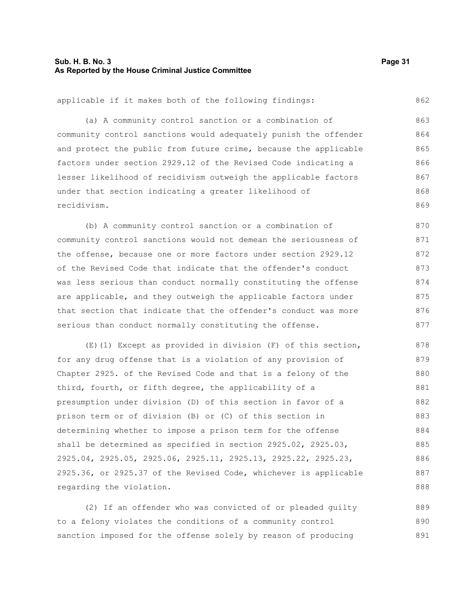(a) A community control sanction or a combination of community control sanctions would adequately punish the offender and protect the public from future crime, because the applicable factors under section 2929.12 of the Revised Code indicating a lesser likelihood of recidivism outweigh the applicable factors under that section indicating a greater likelihood of recidivism. 863 864 865 866 867 868 869

(b) A community control sanction or a combination of community control sanctions would not demean the seriousness of the offense, because one or more factors under section 2929.12 of the Revised Code that indicate that the offender's conduct was less serious than conduct normally constituting the offense are applicable, and they outweigh the applicable factors under that section that indicate that the offender's conduct was more serious than conduct normally constituting the offense. 870 871 872 873 874 875 876 877

(E)(1) Except as provided in division (F) of this section, for any drug offense that is a violation of any provision of Chapter 2925. of the Revised Code and that is a felony of the third, fourth, or fifth degree, the applicability of a presumption under division (D) of this section in favor of a prison term or of division (B) or (C) of this section in determining whether to impose a prison term for the offense shall be determined as specified in section 2925.02, 2925.03, 2925.04, 2925.05, 2925.06, 2925.11, 2925.13, 2925.22, 2925.23, 2925.36, or 2925.37 of the Revised Code, whichever is applicable regarding the violation. 878 879 880 881 882 883 884 885 886 887 888

(2) If an offender who was convicted of or pleaded guilty to a felony violates the conditions of a community control sanction imposed for the offense solely by reason of producing 889 890 891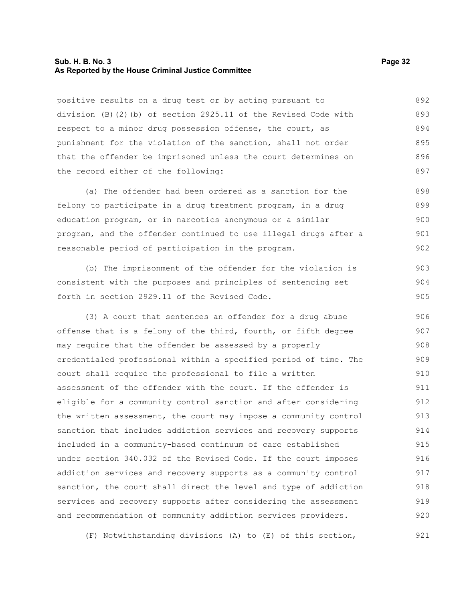#### **Sub. H. B. No. 3 Page 32 As Reported by the House Criminal Justice Committee**

positive results on a drug test or by acting pursuant to division (B)(2)(b) of section 2925.11 of the Revised Code with respect to a minor drug possession offense, the court, as punishment for the violation of the sanction, shall not order that the offender be imprisoned unless the court determines on the record either of the following: 892 893 894 895 896 897

(a) The offender had been ordered as a sanction for the felony to participate in a drug treatment program, in a drug education program, or in narcotics anonymous or a similar program, and the offender continued to use illegal drugs after a reasonable period of participation in the program. 898 899 900 901 902

(b) The imprisonment of the offender for the violation is consistent with the purposes and principles of sentencing set forth in section 2929.11 of the Revised Code. 903 904 905

(3) A court that sentences an offender for a drug abuse offense that is a felony of the third, fourth, or fifth degree may require that the offender be assessed by a properly credentialed professional within a specified period of time. The court shall require the professional to file a written assessment of the offender with the court. If the offender is eligible for a community control sanction and after considering the written assessment, the court may impose a community control sanction that includes addiction services and recovery supports included in a community-based continuum of care established under section 340.032 of the Revised Code. If the court imposes addiction services and recovery supports as a community control sanction, the court shall direct the level and type of addiction services and recovery supports after considering the assessment and recommendation of community addiction services providers. 906 907 908 909 910 911 912 913 914 915 916 917 918 919 920

(F) Notwithstanding divisions (A) to (E) of this section, 921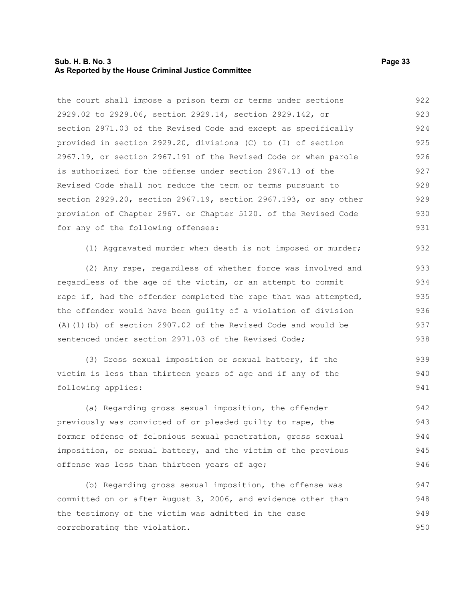### **Sub. H. B. No. 3 Page 33 As Reported by the House Criminal Justice Committee**

the court shall impose a prison term or terms under sections 2929.02 to 2929.06, section 2929.14, section 2929.142, or section 2971.03 of the Revised Code and except as specifically provided in section 2929.20, divisions (C) to (I) of section 2967.19, or section 2967.191 of the Revised Code or when parole is authorized for the offense under section 2967.13 of the Revised Code shall not reduce the term or terms pursuant to section 2929.20, section 2967.19, section 2967.193, or any other provision of Chapter 2967. or Chapter 5120. of the Revised Code for any of the following offenses: 922 923 924 925 926 927 928 929 930 931

(1) Aggravated murder when death is not imposed or murder;

(2) Any rape, regardless of whether force was involved and regardless of the age of the victim, or an attempt to commit rape if, had the offender completed the rape that was attempted, the offender would have been guilty of a violation of division (A)(1)(b) of section 2907.02 of the Revised Code and would be sentenced under section 2971.03 of the Revised Code; 933 934 935 936 937 938

(3) Gross sexual imposition or sexual battery, if the victim is less than thirteen years of age and if any of the following applies: 939 940 941

(a) Regarding gross sexual imposition, the offender previously was convicted of or pleaded guilty to rape, the former offense of felonious sexual penetration, gross sexual imposition, or sexual battery, and the victim of the previous offense was less than thirteen years of age; 942 943 944 945 946

(b) Regarding gross sexual imposition, the offense was committed on or after August 3, 2006, and evidence other than the testimony of the victim was admitted in the case corroborating the violation. 947 948 949 950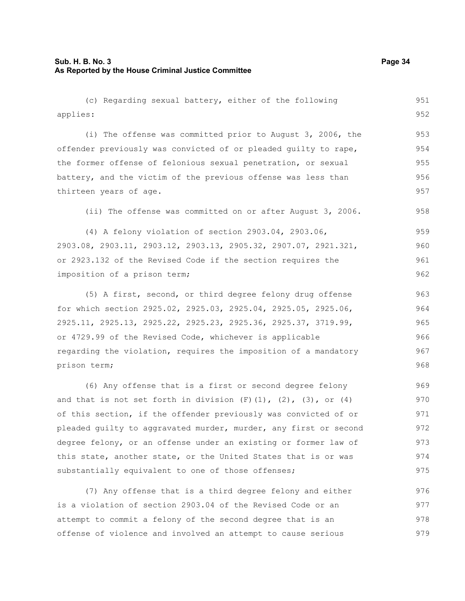applies: (i) The offense was committed prior to August 3, 2006, the offender previously was convicted of or pleaded guilty to rape, the former offense of felonious sexual penetration, or sexual battery, and the victim of the previous offense was less than thirteen years of age. (ii) The offense was committed on or after August 3, 2006. (4) A felony violation of section 2903.04, 2903.06, 2903.08, 2903.11, 2903.12, 2903.13, 2905.32, 2907.07, 2921.321, or 2923.132 of the Revised Code if the section requires the imposition of a prison term; 952 953 954 955 956 957 958 959 960 961 962

(c) Regarding sexual battery, either of the following

(5) A first, second, or third degree felony drug offense for which section 2925.02, 2925.03, 2925.04, 2925.05, 2925.06, 2925.11, 2925.13, 2925.22, 2925.23, 2925.36, 2925.37, 3719.99, or 4729.99 of the Revised Code, whichever is applicable regarding the violation, requires the imposition of a mandatory prison term; 963 964 965 966 967 968

(6) Any offense that is a first or second degree felony and that is not set forth in division  $(F)$   $(1)$ ,  $(2)$ ,  $(3)$ , or  $(4)$ of this section, if the offender previously was convicted of or pleaded guilty to aggravated murder, murder, any first or second degree felony, or an offense under an existing or former law of this state, another state, or the United States that is or was substantially equivalent to one of those offenses; 969 970 971 972 973 974 975

(7) Any offense that is a third degree felony and either is a violation of section 2903.04 of the Revised Code or an attempt to commit a felony of the second degree that is an offense of violence and involved an attempt to cause serious 976 977 978 979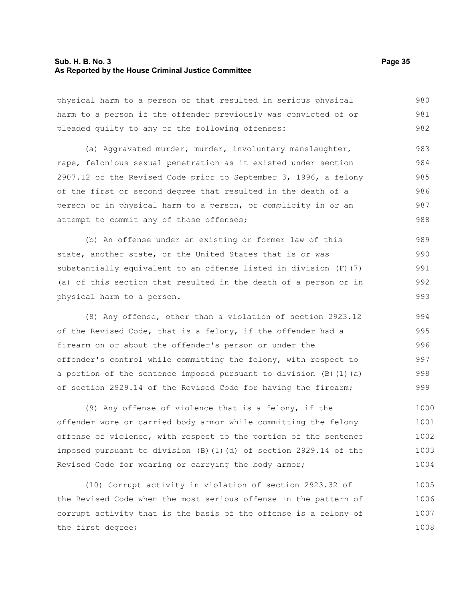#### **Sub. H. B. No. 3 Page 35 As Reported by the House Criminal Justice Committee**

physical harm to a person or that resulted in serious physical harm to a person if the offender previously was convicted of or pleaded guilty to any of the following offenses: 980 981 982

(a) Aggravated murder, murder, involuntary manslaughter, rape, felonious sexual penetration as it existed under section 2907.12 of the Revised Code prior to September 3, 1996, a felony of the first or second degree that resulted in the death of a person or in physical harm to a person, or complicity in or an attempt to commit any of those offenses; 983 984 985 986 987 988

(b) An offense under an existing or former law of this state, another state, or the United States that is or was substantially equivalent to an offense listed in division  $(F)$  (7) (a) of this section that resulted in the death of a person or in physical harm to a person. 989 990 991 992 993

(8) Any offense, other than a violation of section 2923.12 of the Revised Code, that is a felony, if the offender had a firearm on or about the offender's person or under the offender's control while committing the felony, with respect to a portion of the sentence imposed pursuant to division (B)(1)(a) of section 2929.14 of the Revised Code for having the firearm; 994 995 996 997 998 999

(9) Any offense of violence that is a felony, if the offender wore or carried body armor while committing the felony offense of violence, with respect to the portion of the sentence imposed pursuant to division (B)(1)(d) of section 2929.14 of the Revised Code for wearing or carrying the body armor; 1000 1001 1002 1003 1004

(10) Corrupt activity in violation of section 2923.32 of the Revised Code when the most serious offense in the pattern of corrupt activity that is the basis of the offense is a felony of the first degree; 1005 1006 1007 1008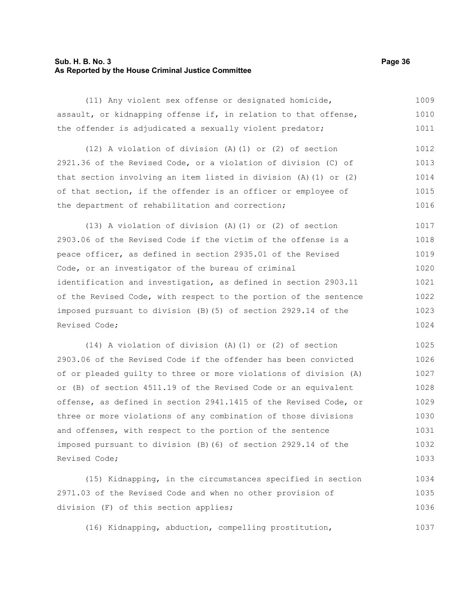# **Sub. H. B. No. 3 Page 36 As Reported by the House Criminal Justice Committee**

(11) Any violent sex offense or designated homicide, assault, or kidnapping offense if, in relation to that offense, the offender is adjudicated a sexually violent predator; 1009 1010 1011

(12) A violation of division (A)(1) or (2) of section 2921.36 of the Revised Code, or a violation of division (C) of that section involving an item listed in division (A)(1) or (2) of that section, if the offender is an officer or employee of the department of rehabilitation and correction; 1012 1013 1014 1015 1016

(13) A violation of division (A)(1) or (2) of section 2903.06 of the Revised Code if the victim of the offense is a peace officer, as defined in section 2935.01 of the Revised Code, or an investigator of the bureau of criminal identification and investigation, as defined in section 2903.11 of the Revised Code, with respect to the portion of the sentence imposed pursuant to division (B)(5) of section 2929.14 of the Revised Code; 1017 1018 1019 1020 1021 1022 1023 1024

(14) A violation of division (A)(1) or (2) of section 2903.06 of the Revised Code if the offender has been convicted of or pleaded guilty to three or more violations of division (A) or (B) of section 4511.19 of the Revised Code or an equivalent offense, as defined in section 2941.1415 of the Revised Code, or three or more violations of any combination of those divisions and offenses, with respect to the portion of the sentence imposed pursuant to division (B)(6) of section 2929.14 of the Revised Code; 1025 1026 1027 1028 1029 1030 1031 1032 1033

(15) Kidnapping, in the circumstances specified in section 2971.03 of the Revised Code and when no other provision of division (F) of this section applies; 1034 1035 1036

(16) Kidnapping, abduction, compelling prostitution, 1037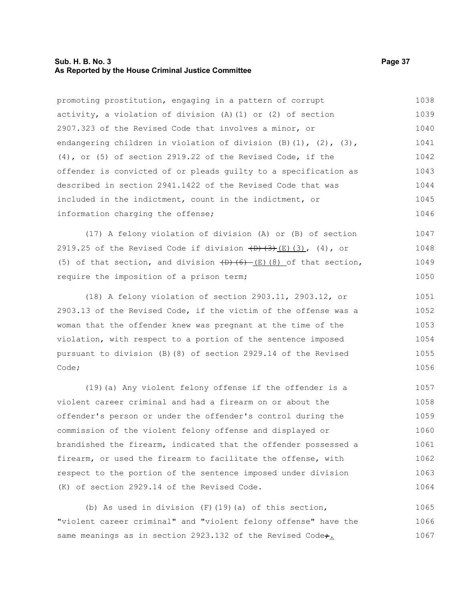## **Sub. H. B. No. 3 Page 37 As Reported by the House Criminal Justice Committee**

promoting prostitution, engaging in a pattern of corrupt activity, a violation of division (A)(1) or (2) of section 2907.323 of the Revised Code that involves a minor, or endangering children in violation of division  $(B)(1)$ ,  $(2)$ ,  $(3)$ , (4), or (5) of section 2919.22 of the Revised Code, if the offender is convicted of or pleads guilty to a specification as described in section 2941.1422 of the Revised Code that was included in the indictment, count in the indictment, or information charging the offense; (17) A felony violation of division (A) or (B) of section 2919.25 of the Revised Code if division  $(D)$   $(3)$ ,  $(4)$ , or (5) of that section, and division  $(D)$   $(6)$   $(E)$   $(8)$  of that section, require the imposition of a prison term; (18) A felony violation of section 2903.11, 2903.12, or 2903.13 of the Revised Code, if the victim of the offense was a woman that the offender knew was pregnant at the time of the violation, with respect to a portion of the sentence imposed pursuant to division (B)(8) of section 2929.14 of the Revised Code; (19)(a) Any violent felony offense if the offender is a violent career criminal and had a firearm on or about the offender's person or under the offender's control during the commission of the violent felony offense and displayed or brandished the firearm, indicated that the offender possessed a firearm, or used the firearm to facilitate the offense, with respect to the portion of the sentence imposed under division (K) of section 2929.14 of the Revised Code. (b) As used in division (F)(19)(a) of this section, 1038 1039 1040 1041 1042 1043 1044 1045 1046 1047 1048 1049 1050 1051 1052 1053 1054 1055 1056 1057 1058 1059 1060 1061 1062 1063 1064 1065

"violent career criminal" and "violent felony offense" have the same meanings as in section 2923.132 of the Revised Code+. 1066 1067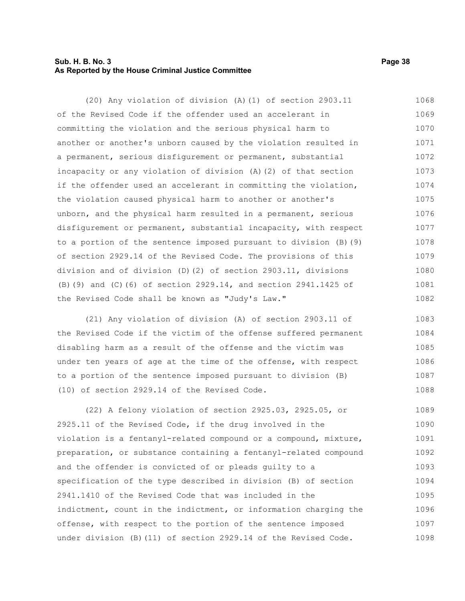# **Sub. H. B. No. 3 Page 38 As Reported by the House Criminal Justice Committee**

(20) Any violation of division (A)(1) of section 2903.11 of the Revised Code if the offender used an accelerant in committing the violation and the serious physical harm to another or another's unborn caused by the violation resulted in a permanent, serious disfigurement or permanent, substantial incapacity or any violation of division (A)(2) of that section if the offender used an accelerant in committing the violation, the violation caused physical harm to another or another's unborn, and the physical harm resulted in a permanent, serious disfigurement or permanent, substantial incapacity, with respect to a portion of the sentence imposed pursuant to division (B)(9) of section 2929.14 of the Revised Code. The provisions of this division and of division (D)(2) of section 2903.11, divisions (B)(9) and (C)(6) of section 2929.14, and section 2941.1425 of the Revised Code shall be known as "Judy's Law." 1068 1069 1070 1071 1072 1073 1074 1075 1076 1077 1078 1079 1080 1081 1082

(21) Any violation of division (A) of section 2903.11 of the Revised Code if the victim of the offense suffered permanent disabling harm as a result of the offense and the victim was under ten years of age at the time of the offense, with respect to a portion of the sentence imposed pursuant to division (B) (10) of section 2929.14 of the Revised Code. 1083 1084 1085 1086 1087 1088

(22) A felony violation of section 2925.03, 2925.05, or 2925.11 of the Revised Code, if the drug involved in the violation is a fentanyl-related compound or a compound, mixture, preparation, or substance containing a fentanyl-related compound and the offender is convicted of or pleads guilty to a specification of the type described in division (B) of section 2941.1410 of the Revised Code that was included in the indictment, count in the indictment, or information charging the offense, with respect to the portion of the sentence imposed under division (B)(11) of section 2929.14 of the Revised Code. 1089 1090 1091 1092 1093 1094 1095 1096 1097 1098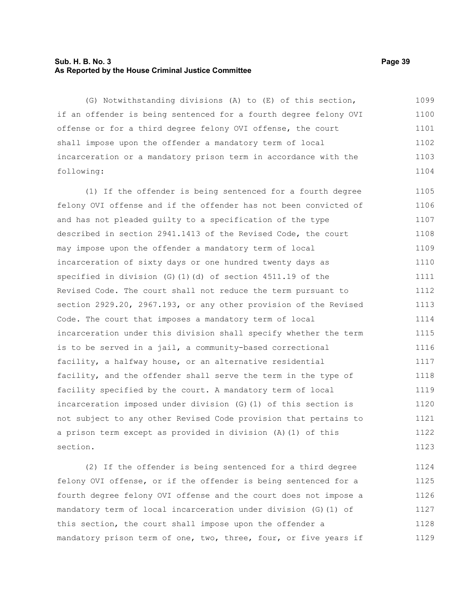## **Sub. H. B. No. 3 Page 39 As Reported by the House Criminal Justice Committee**

(G) Notwithstanding divisions (A) to (E) of this section, if an offender is being sentenced for a fourth degree felony OVI offense or for a third degree felony OVI offense, the court shall impose upon the offender a mandatory term of local incarceration or a mandatory prison term in accordance with the following: 1099 1100 1101 1102 1103 1104

(1) If the offender is being sentenced for a fourth degree felony OVI offense and if the offender has not been convicted of and has not pleaded guilty to a specification of the type described in section 2941.1413 of the Revised Code, the court may impose upon the offender a mandatory term of local incarceration of sixty days or one hundred twenty days as specified in division (G)(1)(d) of section 4511.19 of the Revised Code. The court shall not reduce the term pursuant to section 2929.20, 2967.193, or any other provision of the Revised Code. The court that imposes a mandatory term of local incarceration under this division shall specify whether the term is to be served in a jail, a community-based correctional facility, a halfway house, or an alternative residential facility, and the offender shall serve the term in the type of facility specified by the court. A mandatory term of local incarceration imposed under division (G)(1) of this section is not subject to any other Revised Code provision that pertains to a prison term except as provided in division (A)(1) of this section. 1105 1106 1107 1108 1109 1110 1111 1112 1113 1114 1115 1116 1117 1118 1119 1120 1121 1122 1123

(2) If the offender is being sentenced for a third degree felony OVI offense, or if the offender is being sentenced for a fourth degree felony OVI offense and the court does not impose a mandatory term of local incarceration under division (G)(1) of this section, the court shall impose upon the offender a mandatory prison term of one, two, three, four, or five years if 1124 1125 1126 1127 1128 1129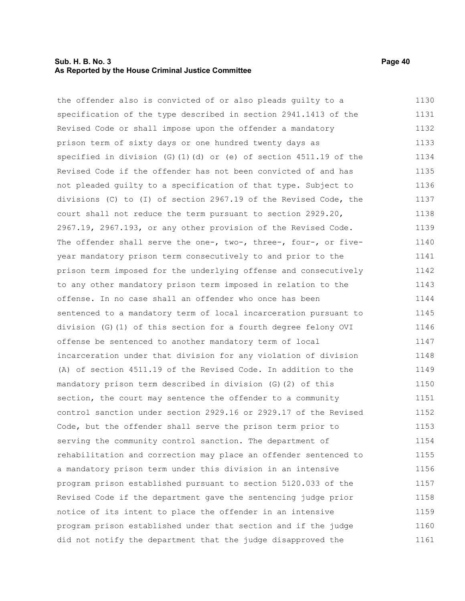## **Sub. H. B. No. 3 Page 40 As Reported by the House Criminal Justice Committee**

the offender also is convicted of or also pleads guilty to a specification of the type described in section 2941.1413 of the Revised Code or shall impose upon the offender a mandatory prison term of sixty days or one hundred twenty days as specified in division (G)(1)(d) or (e) of section  $4511.19$  of the Revised Code if the offender has not been convicted of and has not pleaded guilty to a specification of that type. Subject to divisions (C) to (I) of section 2967.19 of the Revised Code, the court shall not reduce the term pursuant to section 2929.20, 2967.19, 2967.193, or any other provision of the Revised Code. The offender shall serve the one-, two-, three-, four-, or fiveyear mandatory prison term consecutively to and prior to the prison term imposed for the underlying offense and consecutively to any other mandatory prison term imposed in relation to the offense. In no case shall an offender who once has been sentenced to a mandatory term of local incarceration pursuant to division (G)(1) of this section for a fourth degree felony OVI offense be sentenced to another mandatory term of local incarceration under that division for any violation of division (A) of section 4511.19 of the Revised Code. In addition to the mandatory prison term described in division (G)(2) of this section, the court may sentence the offender to a community control sanction under section 2929.16 or 2929.17 of the Revised Code, but the offender shall serve the prison term prior to serving the community control sanction. The department of rehabilitation and correction may place an offender sentenced to a mandatory prison term under this division in an intensive program prison established pursuant to section 5120.033 of the Revised Code if the department gave the sentencing judge prior notice of its intent to place the offender in an intensive program prison established under that section and if the judge did not notify the department that the judge disapproved the 1130 1131 1132 1133 1134 1135 1136 1137 1138 1139 1140 1141 1142 1143 1144 1145 1146 1147 1148 1149 1150 1151 1152 1153 1154 1155 1156 1157 1158 1159 1160 1161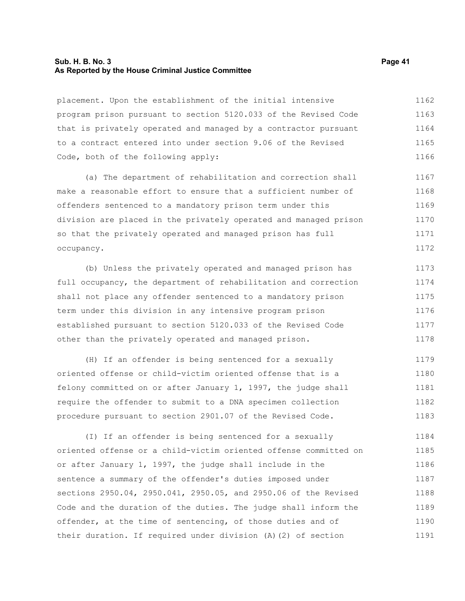### **Sub. H. B. No. 3 Page 41 As Reported by the House Criminal Justice Committee**

placement. Upon the establishment of the initial intensive program prison pursuant to section 5120.033 of the Revised Code that is privately operated and managed by a contractor pursuant to a contract entered into under section 9.06 of the Revised Code, both of the following apply: 1162 1163 1164 1165 1166

(a) The department of rehabilitation and correction shall make a reasonable effort to ensure that a sufficient number of offenders sentenced to a mandatory prison term under this division are placed in the privately operated and managed prison so that the privately operated and managed prison has full occupancy. 1167 1168 1169 1170 1171 1172

(b) Unless the privately operated and managed prison has full occupancy, the department of rehabilitation and correction shall not place any offender sentenced to a mandatory prison term under this division in any intensive program prison established pursuant to section 5120.033 of the Revised Code other than the privately operated and managed prison. 1173 1174 1175 1176 1177 1178

(H) If an offender is being sentenced for a sexually oriented offense or child-victim oriented offense that is a felony committed on or after January 1, 1997, the judge shall require the offender to submit to a DNA specimen collection procedure pursuant to section 2901.07 of the Revised Code. 1179 1180 1181 1182 1183

(I) If an offender is being sentenced for a sexually oriented offense or a child-victim oriented offense committed on or after January 1, 1997, the judge shall include in the sentence a summary of the offender's duties imposed under sections 2950.04, 2950.041, 2950.05, and 2950.06 of the Revised Code and the duration of the duties. The judge shall inform the offender, at the time of sentencing, of those duties and of their duration. If required under division (A)(2) of section 1184 1185 1186 1187 1188 1189 1190 1191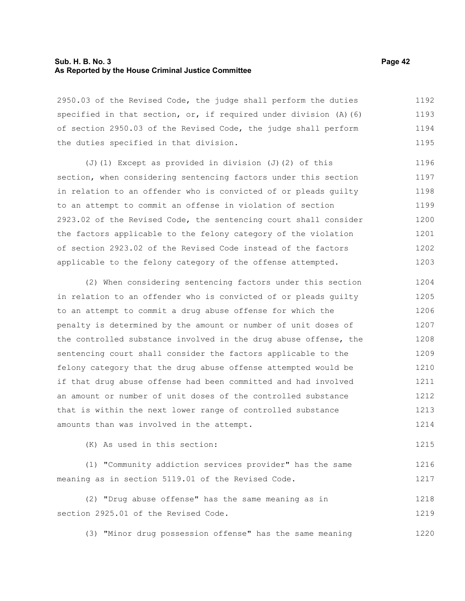## **Sub. H. B. No. 3 Page 42 As Reported by the House Criminal Justice Committee**

2950.03 of the Revised Code, the judge shall perform the duties specified in that section, or, if required under division  $(A)$  (6) of section 2950.03 of the Revised Code, the judge shall perform the duties specified in that division. 1192 1193 1194 1195

(J)(1) Except as provided in division (J)(2) of this section, when considering sentencing factors under this section in relation to an offender who is convicted of or pleads guilty to an attempt to commit an offense in violation of section 2923.02 of the Revised Code, the sentencing court shall consider the factors applicable to the felony category of the violation of section 2923.02 of the Revised Code instead of the factors applicable to the felony category of the offense attempted. 1196 1197 1198 1199 1200 1201 1202 1203

(2) When considering sentencing factors under this section in relation to an offender who is convicted of or pleads guilty to an attempt to commit a drug abuse offense for which the penalty is determined by the amount or number of unit doses of the controlled substance involved in the drug abuse offense, the sentencing court shall consider the factors applicable to the felony category that the drug abuse offense attempted would be if that drug abuse offense had been committed and had involved an amount or number of unit doses of the controlled substance that is within the next lower range of controlled substance amounts than was involved in the attempt. 1204 1205 1206 1207 1208 1209 1210 1211 1212 1213 1214

(K) As used in this section:

(1) "Community addiction services provider" has the same meaning as in section 5119.01 of the Revised Code. 1216 1217

(2) "Drug abuse offense" has the same meaning as in section 2925.01 of the Revised Code. 1218 1219

(3) "Minor drug possession offense" has the same meaning 1220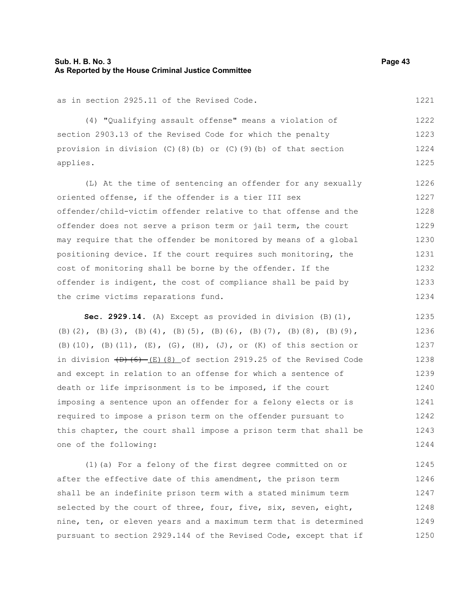# **Sub. H. B. No. 3 Page 43 As Reported by the House Criminal Justice Committee**

(4) "Qualifying assault offense" means a violation of section 2903.13 of the Revised Code for which the penalty provision in division (C)(8)(b) or (C)(9)(b) of that section applies. 1222 1223 1224 1225

(L) At the time of sentencing an offender for any sexually oriented offense, if the offender is a tier III sex offender/child-victim offender relative to that offense and the offender does not serve a prison term or jail term, the court may require that the offender be monitored by means of a global positioning device. If the court requires such monitoring, the cost of monitoring shall be borne by the offender. If the offender is indigent, the cost of compliance shall be paid by the crime victims reparations fund. 1226 1227 1228 1229 1230 1231 1232 1233 1234

**Sec. 2929.14.** (A) Except as provided in division (B)(1), (B)(2), (B)(3), (B)(4), (B)(5), (B)(6), (B)(7), (B)(8), (B)(9), (B)(10), (B)(11), (E), (G), (H), (J), or (K) of this section or in division  $(D)$   $(6)$   $(E)$   $(8)$  of section 2919.25 of the Revised Code and except in relation to an offense for which a sentence of death or life imprisonment is to be imposed, if the court imposing a sentence upon an offender for a felony elects or is required to impose a prison term on the offender pursuant to this chapter, the court shall impose a prison term that shall be one of the following: 1235 1236 1237 1238 1239 1240 1241 1242 1243 1244

(1)(a) For a felony of the first degree committed on or after the effective date of this amendment, the prison term shall be an indefinite prison term with a stated minimum term selected by the court of three, four, five, six, seven, eight, nine, ten, or eleven years and a maximum term that is determined pursuant to section 2929.144 of the Revised Code, except that if 1245 1246 1247 1248 1249 1250

1221

as in section 2925.11 of the Revised Code.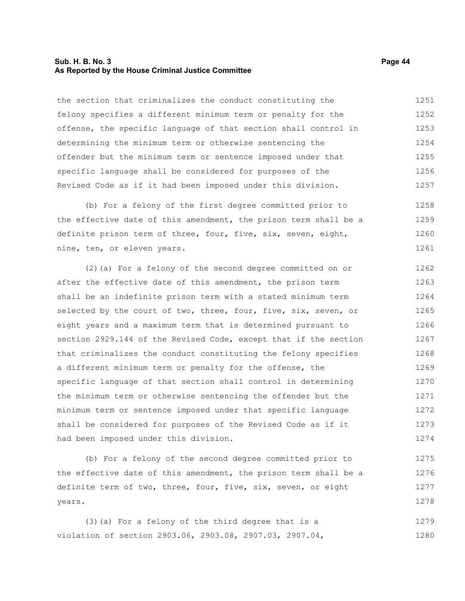## **Sub. H. B. No. 3 Page 44 As Reported by the House Criminal Justice Committee**

the section that criminalizes the conduct constituting the felony specifies a different minimum term or penalty for the offense, the specific language of that section shall control in determining the minimum term or otherwise sentencing the offender but the minimum term or sentence imposed under that specific language shall be considered for purposes of the Revised Code as if it had been imposed under this division. 1251 1252 1253 1254 1255 1256 1257

(b) For a felony of the first degree committed prior to the effective date of this amendment, the prison term shall be a definite prison term of three, four, five, six, seven, eight, nine, ten, or eleven years. 1258 1259 1260 1261

(2)(a) For a felony of the second degree committed on or after the effective date of this amendment, the prison term shall be an indefinite prison term with a stated minimum term selected by the court of two, three, four, five, six, seven, or eight years and a maximum term that is determined pursuant to section 2929.144 of the Revised Code, except that if the section that criminalizes the conduct constituting the felony specifies a different minimum term or penalty for the offense, the specific language of that section shall control in determining the minimum term or otherwise sentencing the offender but the minimum term or sentence imposed under that specific language shall be considered for purposes of the Revised Code as if it had been imposed under this division. 1262 1263 1264 1265 1266 1267 1268 1269 1270 1271 1272 1273 1274

(b) For a felony of the second degree committed prior to the effective date of this amendment, the prison term shall be a definite term of two, three, four, five, six, seven, or eight years. 1275 1276 1277 1278

(3)(a) For a felony of the third degree that is a violation of section 2903.06, 2903.08, 2907.03, 2907.04, 1279 1280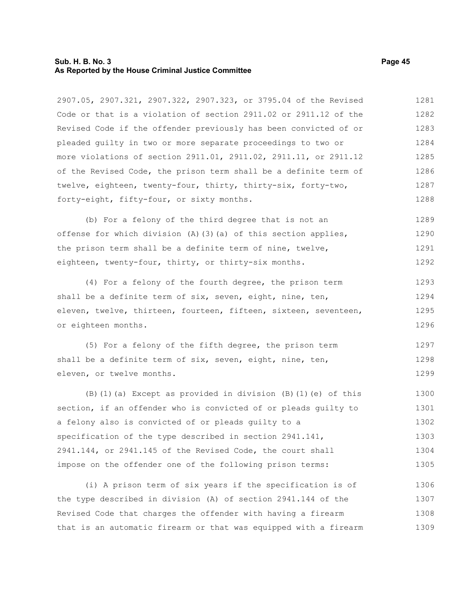## **Sub. H. B. No. 3 Page 45 As Reported by the House Criminal Justice Committee**

2907.05, 2907.321, 2907.322, 2907.323, or 3795.04 of the Revised Code or that is a violation of section 2911.02 or 2911.12 of the Revised Code if the offender previously has been convicted of or pleaded guilty in two or more separate proceedings to two or more violations of section 2911.01, 2911.02, 2911.11, or 2911.12 of the Revised Code, the prison term shall be a definite term of twelve, eighteen, twenty-four, thirty, thirty-six, forty-two, forty-eight, fifty-four, or sixty months. 1281 1282 1283 1284 1285 1286 1287 1288

(b) For a felony of the third degree that is not an offense for which division (A)(3)(a) of this section applies, the prison term shall be a definite term of nine, twelve, eighteen, twenty-four, thirty, or thirty-six months. 1289 1290 1291 1292

(4) For a felony of the fourth degree, the prison term shall be a definite term of six, seven, eight, nine, ten, eleven, twelve, thirteen, fourteen, fifteen, sixteen, seventeen, or eighteen months. 1293 1294 1295 1296

(5) For a felony of the fifth degree, the prison term shall be a definite term of six, seven, eight, nine, ten, eleven, or twelve months. 1297 1298 1299

(B)(1)(a) Except as provided in division (B)(1)(e) of this section, if an offender who is convicted of or pleads guilty to a felony also is convicted of or pleads guilty to a specification of the type described in section 2941.141, 2941.144, or 2941.145 of the Revised Code, the court shall impose on the offender one of the following prison terms: 1300 1301 1302 1303 1304 1305

(i) A prison term of six years if the specification is of the type described in division (A) of section 2941.144 of the Revised Code that charges the offender with having a firearm that is an automatic firearm or that was equipped with a firearm 1306 1307 1308 1309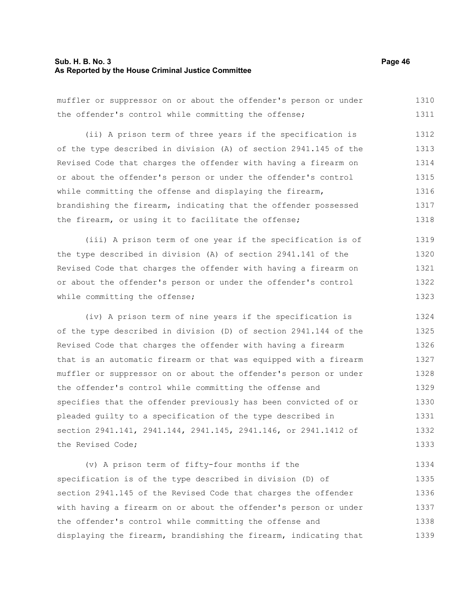## **Sub. H. B. No. 3 Page 46 As Reported by the House Criminal Justice Committee**

muffler or suppressor on or about the offender's person or under the offender's control while committing the offense; (ii) A prison term of three years if the specification is of the type described in division (A) of section 2941.145 of the Revised Code that charges the offender with having a firearm on or about the offender's person or under the offender's control while committing the offense and displaying the firearm, brandishing the firearm, indicating that the offender possessed the firearm, or using it to facilitate the offense; (iii) A prison term of one year if the specification is of the type described in division (A) of section 2941.141 of the Revised Code that charges the offender with having a firearm on or about the offender's person or under the offender's control while committing the offense; 1310 1311 1312 1313 1314 1315 1316 1317 1318 1319 1320 1321 1322 1323

(iv) A prison term of nine years if the specification is of the type described in division (D) of section 2941.144 of the Revised Code that charges the offender with having a firearm that is an automatic firearm or that was equipped with a firearm muffler or suppressor on or about the offender's person or under the offender's control while committing the offense and specifies that the offender previously has been convicted of or pleaded guilty to a specification of the type described in section 2941.141, 2941.144, 2941.145, 2941.146, or 2941.1412 of the Revised Code; 1324 1325 1326 1327 1328 1329 1330 1331 1332 1333

(v) A prison term of fifty-four months if the specification is of the type described in division (D) of section 2941.145 of the Revised Code that charges the offender with having a firearm on or about the offender's person or under the offender's control while committing the offense and displaying the firearm, brandishing the firearm, indicating that 1334 1335 1336 1337 1338 1339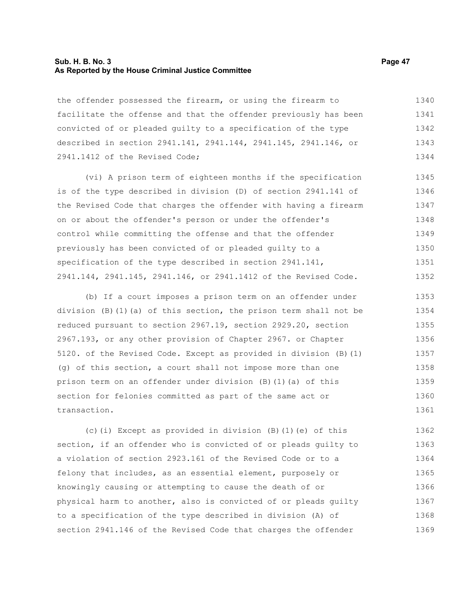### **Sub. H. B. No. 3 Page 47 As Reported by the House Criminal Justice Committee**

the offender possessed the firearm, or using the firearm to facilitate the offense and that the offender previously has been convicted of or pleaded guilty to a specification of the type described in section 2941.141, 2941.144, 2941.145, 2941.146, or 2941.1412 of the Revised Code; 1340 1341 1342 1343 1344

(vi) A prison term of eighteen months if the specification is of the type described in division (D) of section 2941.141 of the Revised Code that charges the offender with having a firearm on or about the offender's person or under the offender's control while committing the offense and that the offender previously has been convicted of or pleaded guilty to a specification of the type described in section 2941.141, 2941.144, 2941.145, 2941.146, or 2941.1412 of the Revised Code. 1345 1346 1347 1348 1349 1350 1351 1352

(b) If a court imposes a prison term on an offender under division  $(B)$  (1)(a) of this section, the prison term shall not be reduced pursuant to section 2967.19, section 2929.20, section 2967.193, or any other provision of Chapter 2967. or Chapter 5120. of the Revised Code. Except as provided in division (B)(1) (g) of this section, a court shall not impose more than one prison term on an offender under division (B)(1)(a) of this section for felonies committed as part of the same act or transaction. 1353 1354 1355 1356 1357 1358 1359 1360 1361

(c)(i) Except as provided in division (B)(1)(e) of this section, if an offender who is convicted of or pleads guilty to a violation of section 2923.161 of the Revised Code or to a felony that includes, as an essential element, purposely or knowingly causing or attempting to cause the death of or physical harm to another, also is convicted of or pleads guilty to a specification of the type described in division (A) of section 2941.146 of the Revised Code that charges the offender 1362 1363 1364 1365 1366 1367 1368 1369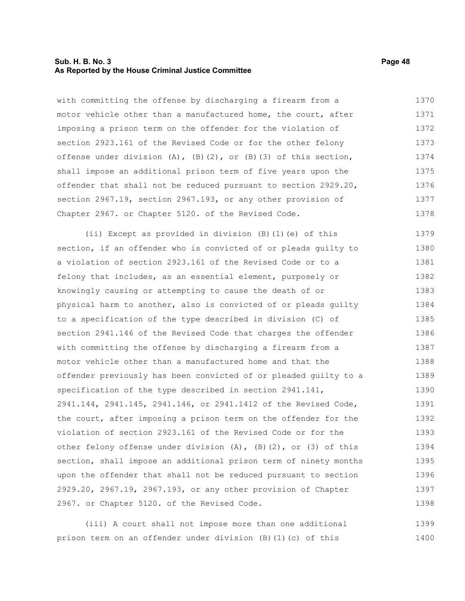## **Sub. H. B. No. 3 Page 48 As Reported by the House Criminal Justice Committee**

with committing the offense by discharging a firearm from a motor vehicle other than a manufactured home, the court, after imposing a prison term on the offender for the violation of section 2923.161 of the Revised Code or for the other felony offense under division  $(A)$ ,  $(B)$   $(2)$ , or  $(B)$   $(3)$  of this section, shall impose an additional prison term of five years upon the offender that shall not be reduced pursuant to section 2929.20, section 2967.19, section 2967.193, or any other provision of Chapter 2967. or Chapter 5120. of the Revised Code. 1370 1371 1372 1373 1374 1375 1376 1377 1378

(ii) Except as provided in division (B)(1)(e) of this section, if an offender who is convicted of or pleads guilty to a violation of section 2923.161 of the Revised Code or to a felony that includes, as an essential element, purposely or knowingly causing or attempting to cause the death of or physical harm to another, also is convicted of or pleads guilty to a specification of the type described in division (C) of section 2941.146 of the Revised Code that charges the offender with committing the offense by discharging a firearm from a motor vehicle other than a manufactured home and that the offender previously has been convicted of or pleaded guilty to a specification of the type described in section 2941.141, 2941.144, 2941.145, 2941.146, or 2941.1412 of the Revised Code, the court, after imposing a prison term on the offender for the violation of section 2923.161 of the Revised Code or for the other felony offense under division  $(A)$ ,  $(B)$   $(2)$ , or  $(3)$  of this section, shall impose an additional prison term of ninety months upon the offender that shall not be reduced pursuant to section 2929.20, 2967.19, 2967.193, or any other provision of Chapter 2967. or Chapter 5120. of the Revised Code. 1379 1380 1381 1382 1383 1384 1385 1386 1387 1388 1389 1390 1391 1392 1393 1394 1395 1396 1397 1398

(iii) A court shall not impose more than one additional prison term on an offender under division (B)(1)(c) of this 1399 1400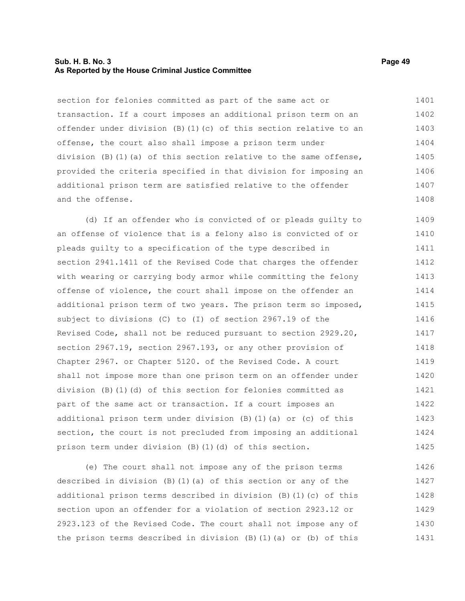## **Sub. H. B. No. 3 Page 49 As Reported by the House Criminal Justice Committee**

section for felonies committed as part of the same act or transaction. If a court imposes an additional prison term on an offender under division (B)(1)(c) of this section relative to an offense, the court also shall impose a prison term under division (B)(1)(a) of this section relative to the same offense, provided the criteria specified in that division for imposing an additional prison term are satisfied relative to the offender and the offense. 1401 1402 1403 1404 1405 1406 1407 1408

(d) If an offender who is convicted of or pleads guilty to an offense of violence that is a felony also is convicted of or pleads guilty to a specification of the type described in section 2941.1411 of the Revised Code that charges the offender with wearing or carrying body armor while committing the felony offense of violence, the court shall impose on the offender an additional prison term of two years. The prison term so imposed, subject to divisions (C) to (I) of section 2967.19 of the Revised Code, shall not be reduced pursuant to section 2929.20, section 2967.19, section 2967.193, or any other provision of Chapter 2967. or Chapter 5120. of the Revised Code. A court shall not impose more than one prison term on an offender under division (B)(1)(d) of this section for felonies committed as part of the same act or transaction. If a court imposes an additional prison term under division (B)(1)(a) or (c) of this section, the court is not precluded from imposing an additional prison term under division (B)(1)(d) of this section. 1409 1410 1411 1412 1413 1414 1415 1416 1417 1418 1419 1420 1421 1422 1423 1424 1425

(e) The court shall not impose any of the prison terms described in division (B)(1)(a) of this section or any of the additional prison terms described in division (B)(1)(c) of this section upon an offender for a violation of section 2923.12 or 2923.123 of the Revised Code. The court shall not impose any of the prison terms described in division (B)(1)(a) or (b) of this 1426 1427 1428 1429 1430 1431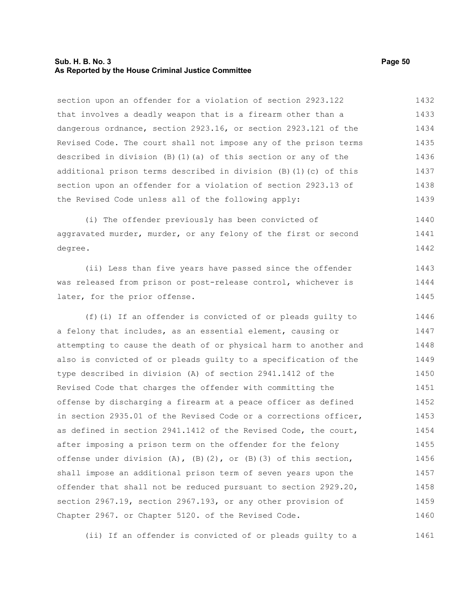### **Sub. H. B. No. 3 Page 50 As Reported by the House Criminal Justice Committee**

section upon an offender for a violation of section 2923.122 that involves a deadly weapon that is a firearm other than a dangerous ordnance, section 2923.16, or section 2923.121 of the Revised Code. The court shall not impose any of the prison terms described in division  $(B)$  (1)(a) of this section or any of the additional prison terms described in division (B)(1)(c) of this section upon an offender for a violation of section 2923.13 of the Revised Code unless all of the following apply: 1432 1433 1434 1435 1436 1437 1438 1439

(i) The offender previously has been convicted of aggravated murder, murder, or any felony of the first or second degree. 1440 1441 1442

(ii) Less than five years have passed since the offender was released from prison or post-release control, whichever is later, for the prior offense. 1443 1444 1445

(f)(i) If an offender is convicted of or pleads guilty to a felony that includes, as an essential element, causing or attempting to cause the death of or physical harm to another and also is convicted of or pleads guilty to a specification of the type described in division (A) of section 2941.1412 of the Revised Code that charges the offender with committing the offense by discharging a firearm at a peace officer as defined in section 2935.01 of the Revised Code or a corrections officer, as defined in section 2941.1412 of the Revised Code, the court, after imposing a prison term on the offender for the felony offense under division  $(A)$ ,  $(B)$ (2), or  $(B)$ (3) of this section, shall impose an additional prison term of seven years upon the offender that shall not be reduced pursuant to section 2929.20, section 2967.19, section 2967.193, or any other provision of Chapter 2967. or Chapter 5120. of the Revised Code. 1446 1447 1448 1449 1450 1451 1452 1453 1454 1455 1456 1457 1458 1459 1460

(ii) If an offender is convicted of or pleads guilty to a 1461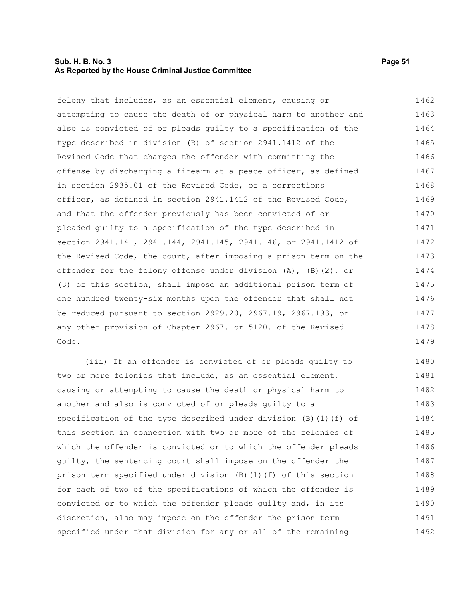### **Sub. H. B. No. 3 Page 51 As Reported by the House Criminal Justice Committee**

felony that includes, as an essential element, causing or attempting to cause the death of or physical harm to another and also is convicted of or pleads guilty to a specification of the type described in division (B) of section 2941.1412 of the Revised Code that charges the offender with committing the offense by discharging a firearm at a peace officer, as defined in section 2935.01 of the Revised Code, or a corrections officer, as defined in section 2941.1412 of the Revised Code, and that the offender previously has been convicted of or pleaded guilty to a specification of the type described in section 2941.141, 2941.144, 2941.145, 2941.146, or 2941.1412 of the Revised Code, the court, after imposing a prison term on the offender for the felony offense under division  $(A)$ ,  $(B)$   $(2)$ , or (3) of this section, shall impose an additional prison term of one hundred twenty-six months upon the offender that shall not be reduced pursuant to section 2929.20, 2967.19, 2967.193, or any other provision of Chapter 2967. or 5120. of the Revised Code. 1462 1463 1464 1465 1466 1467 1468 1469 1470 1471 1472 1473 1474 1475 1476 1477 1478 1479

(iii) If an offender is convicted of or pleads guilty to two or more felonies that include, as an essential element, causing or attempting to cause the death or physical harm to another and also is convicted of or pleads guilty to a specification of the type described under division  $(B)$  (1)(f) of this section in connection with two or more of the felonies of which the offender is convicted or to which the offender pleads guilty, the sentencing court shall impose on the offender the prison term specified under division (B)(1)(f) of this section for each of two of the specifications of which the offender is convicted or to which the offender pleads guilty and, in its discretion, also may impose on the offender the prison term specified under that division for any or all of the remaining 1480 1481 1482 1483 1484 1485 1486 1487 1488 1489 1490 1491 1492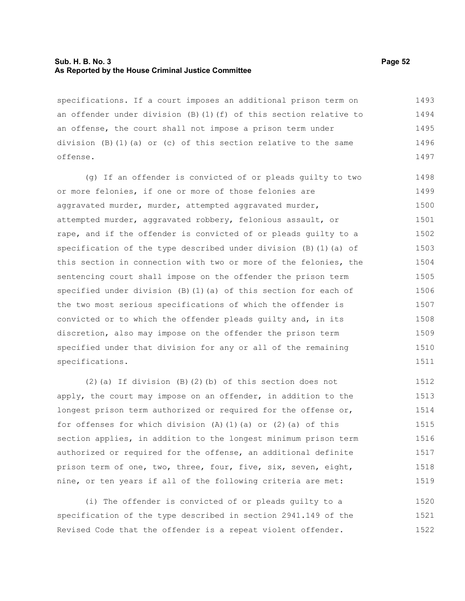### **Sub. H. B. No. 3 Page 52 As Reported by the House Criminal Justice Committee**

specifications. If a court imposes an additional prison term on an offender under division (B)(1)(f) of this section relative to an offense, the court shall not impose a prison term under division (B)(1)(a) or (c) of this section relative to the same offense. 1493 1494 1495 1496 1497

(g) If an offender is convicted of or pleads guilty to two or more felonies, if one or more of those felonies are aggravated murder, murder, attempted aggravated murder, attempted murder, aggravated robbery, felonious assault, or rape, and if the offender is convicted of or pleads guilty to a specification of the type described under division  $(B)$  (1)(a) of this section in connection with two or more of the felonies, the sentencing court shall impose on the offender the prison term specified under division (B)(1)(a) of this section for each of the two most serious specifications of which the offender is convicted or to which the offender pleads guilty and, in its discretion, also may impose on the offender the prison term specified under that division for any or all of the remaining specifications. 1498 1499 1500 1501 1502 1503 1504 1505 1506 1507 1508 1509 1510 1511

(2)(a) If division (B)(2)(b) of this section does not apply, the court may impose on an offender, in addition to the longest prison term authorized or required for the offense or, for offenses for which division  $(A)$   $(1)$   $(a)$  or  $(2)$   $(a)$  of this section applies, in addition to the longest minimum prison term authorized or required for the offense, an additional definite prison term of one, two, three, four, five, six, seven, eight, nine, or ten years if all of the following criteria are met: 1512 1513 1514 1515 1516 1517 1518 1519

(i) The offender is convicted of or pleads guilty to a specification of the type described in section 2941.149 of the Revised Code that the offender is a repeat violent offender. 1520 1521 1522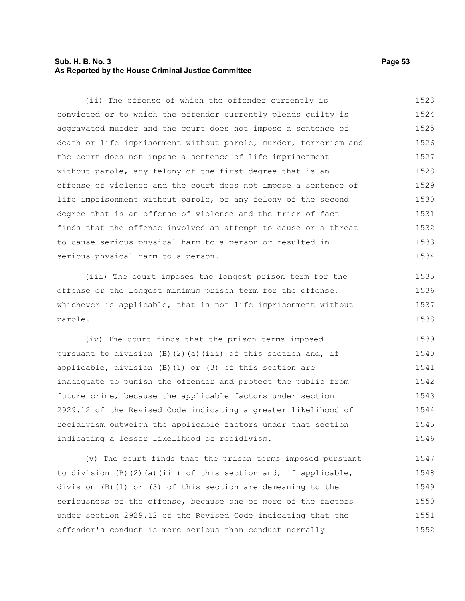# **Sub. H. B. No. 3 Page 53 As Reported by the House Criminal Justice Committee**

(ii) The offense of which the offender currently is convicted or to which the offender currently pleads guilty is aggravated murder and the court does not impose a sentence of death or life imprisonment without parole, murder, terrorism and the court does not impose a sentence of life imprisonment without parole, any felony of the first degree that is an offense of violence and the court does not impose a sentence of life imprisonment without parole, or any felony of the second degree that is an offense of violence and the trier of fact finds that the offense involved an attempt to cause or a threat to cause serious physical harm to a person or resulted in serious physical harm to a person. 1523 1524 1525 1526 1527 1528 1529 1530 1531 1532 1533 1534

(iii) The court imposes the longest prison term for the offense or the longest minimum prison term for the offense, whichever is applicable, that is not life imprisonment without parole. 1535 1536 1537 1538

(iv) The court finds that the prison terms imposed pursuant to division (B)(2)(a)(iii) of this section and, if applicable, division (B)(1) or (3) of this section are inadequate to punish the offender and protect the public from future crime, because the applicable factors under section 2929.12 of the Revised Code indicating a greater likelihood of recidivism outweigh the applicable factors under that section indicating a lesser likelihood of recidivism. 1539 1540 1541 1542 1543 1544 1545 1546

(v) The court finds that the prison terms imposed pursuant to division (B)(2)(a)(iii) of this section and, if applicable, division (B)(1) or (3) of this section are demeaning to the seriousness of the offense, because one or more of the factors under section 2929.12 of the Revised Code indicating that the offender's conduct is more serious than conduct normally 1547 1548 1549 1550 1551 1552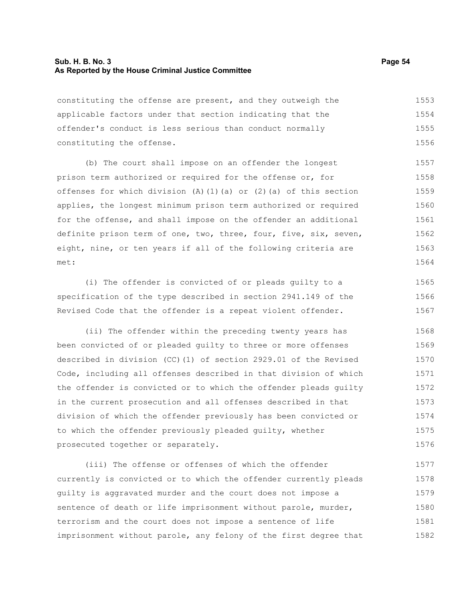## **Sub. H. B. No. 3 Page 54 As Reported by the House Criminal Justice Committee**

constituting the offense are present, and they outweigh the applicable factors under that section indicating that the offender's conduct is less serious than conduct normally constituting the offense. 1553 1554 1555 1556

(b) The court shall impose on an offender the longest prison term authorized or required for the offense or, for offenses for which division (A)(1)(a) or (2)(a) of this section applies, the longest minimum prison term authorized or required for the offense, and shall impose on the offender an additional definite prison term of one, two, three, four, five, six, seven, eight, nine, or ten years if all of the following criteria are met: 1557 1558 1559 1560 1561 1562 1563 1564

(i) The offender is convicted of or pleads guilty to a specification of the type described in section 2941.149 of the Revised Code that the offender is a repeat violent offender. 1565 1566 1567

(ii) The offender within the preceding twenty years has been convicted of or pleaded guilty to three or more offenses described in division (CC)(1) of section 2929.01 of the Revised Code, including all offenses described in that division of which the offender is convicted or to which the offender pleads guilty in the current prosecution and all offenses described in that division of which the offender previously has been convicted or to which the offender previously pleaded guilty, whether prosecuted together or separately. 1568 1569 1570 1571 1572 1573 1574 1575 1576

(iii) The offense or offenses of which the offender currently is convicted or to which the offender currently pleads guilty is aggravated murder and the court does not impose a sentence of death or life imprisonment without parole, murder, terrorism and the court does not impose a sentence of life imprisonment without parole, any felony of the first degree that 1577 1578 1579 1580 1581 1582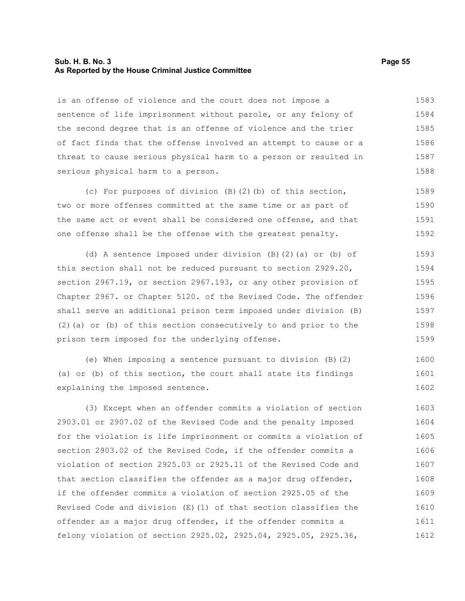#### **Sub. H. B. No. 3 Page 55 As Reported by the House Criminal Justice Committee**

is an offense of violence and the court does not impose a sentence of life imprisonment without parole, or any felony of the second degree that is an offense of violence and the trier of fact finds that the offense involved an attempt to cause or a threat to cause serious physical harm to a person or resulted in serious physical harm to a person. 1583 1584 1585 1586 1587 1588

(c) For purposes of division (B)(2)(b) of this section, two or more offenses committed at the same time or as part of the same act or event shall be considered one offense, and that one offense shall be the offense with the greatest penalty. 1589 1590 1591 1592

(d) A sentence imposed under division (B)(2)(a) or (b) of this section shall not be reduced pursuant to section 2929.20, section 2967.19, or section 2967.193, or any other provision of Chapter 2967. or Chapter 5120. of the Revised Code. The offender shall serve an additional prison term imposed under division (B) (2)(a) or (b) of this section consecutively to and prior to the prison term imposed for the underlying offense. 1593 1594 1595 1596 1597 1598 1599

(e) When imposing a sentence pursuant to division (B)(2) (a) or (b) of this section, the court shall state its findings explaining the imposed sentence.

(3) Except when an offender commits a violation of section 2903.01 or 2907.02 of the Revised Code and the penalty imposed for the violation is life imprisonment or commits a violation of section 2903.02 of the Revised Code, if the offender commits a violation of section 2925.03 or 2925.11 of the Revised Code and that section classifies the offender as a major drug offender, if the offender commits a violation of section 2925.05 of the Revised Code and division  $(E)(1)$  of that section classifies the offender as a major drug offender, if the offender commits a felony violation of section 2925.02, 2925.04, 2925.05, 2925.36, 1603 1604 1605 1606 1607 1608 1609 1610 1611 1612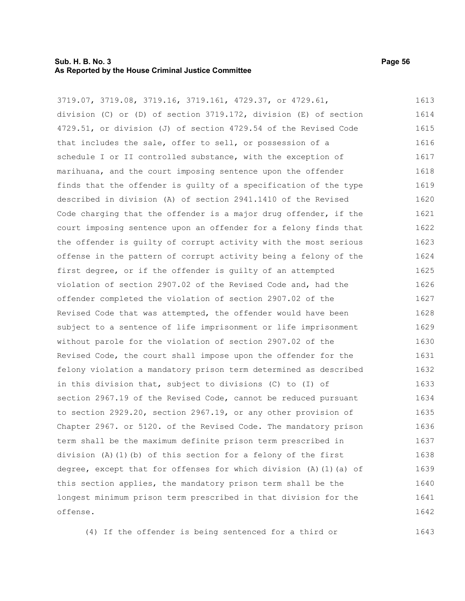## **Sub. H. B. No. 3 Page 56 As Reported by the House Criminal Justice Committee**

3719.07, 3719.08, 3719.16, 3719.161, 4729.37, or 4729.61, division (C) or (D) of section 3719.172, division (E) of section 4729.51, or division (J) of section 4729.54 of the Revised Code that includes the sale, offer to sell, or possession of a schedule I or II controlled substance, with the exception of marihuana, and the court imposing sentence upon the offender finds that the offender is guilty of a specification of the type described in division (A) of section 2941.1410 of the Revised Code charging that the offender is a major drug offender, if the court imposing sentence upon an offender for a felony finds that the offender is guilty of corrupt activity with the most serious offense in the pattern of corrupt activity being a felony of the first degree, or if the offender is guilty of an attempted violation of section 2907.02 of the Revised Code and, had the offender completed the violation of section 2907.02 of the Revised Code that was attempted, the offender would have been subject to a sentence of life imprisonment or life imprisonment without parole for the violation of section 2907.02 of the Revised Code, the court shall impose upon the offender for the felony violation a mandatory prison term determined as described in this division that, subject to divisions (C) to (I) of section 2967.19 of the Revised Code, cannot be reduced pursuant to section 2929.20, section 2967.19, or any other provision of Chapter 2967. or 5120. of the Revised Code. The mandatory prison term shall be the maximum definite prison term prescribed in division (A)(1)(b) of this section for a felony of the first degree, except that for offenses for which division  $(A)$   $(1)$   $(a)$  of this section applies, the mandatory prison term shall be the longest minimum prison term prescribed in that division for the offense. 1613 1614 1615 1616 1617 1618 1619 1620 1621 1622 1623 1624 1625 1626 1627 1628 1629 1630 1631 1632 1633 1634 1635 1636 1637 1638 1639 1640 1641 1642

(4) If the offender is being sentenced for a third or 1643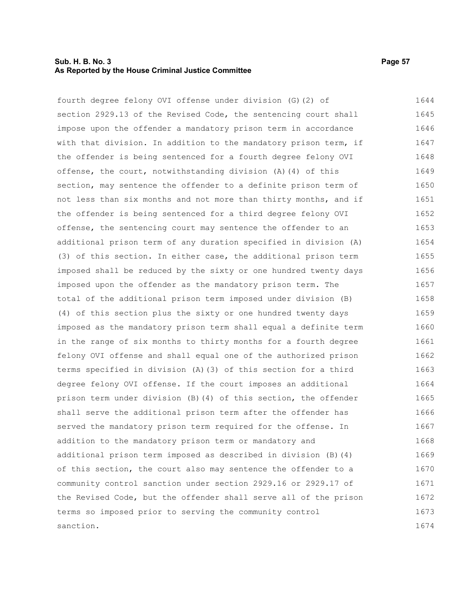## **Sub. H. B. No. 3 Page 57 As Reported by the House Criminal Justice Committee**

fourth degree felony OVI offense under division (G)(2) of section 2929.13 of the Revised Code, the sentencing court shall impose upon the offender a mandatory prison term in accordance with that division. In addition to the mandatory prison term, if the offender is being sentenced for a fourth degree felony OVI offense, the court, notwithstanding division (A)(4) of this section, may sentence the offender to a definite prison term of not less than six months and not more than thirty months, and if the offender is being sentenced for a third degree felony OVI offense, the sentencing court may sentence the offender to an additional prison term of any duration specified in division (A) (3) of this section. In either case, the additional prison term imposed shall be reduced by the sixty or one hundred twenty days imposed upon the offender as the mandatory prison term. The total of the additional prison term imposed under division (B) (4) of this section plus the sixty or one hundred twenty days imposed as the mandatory prison term shall equal a definite term in the range of six months to thirty months for a fourth degree felony OVI offense and shall equal one of the authorized prison terms specified in division (A)(3) of this section for a third degree felony OVI offense. If the court imposes an additional prison term under division (B)(4) of this section, the offender shall serve the additional prison term after the offender has served the mandatory prison term required for the offense. In addition to the mandatory prison term or mandatory and additional prison term imposed as described in division (B)(4) of this section, the court also may sentence the offender to a community control sanction under section 2929.16 or 2929.17 of the Revised Code, but the offender shall serve all of the prison terms so imposed prior to serving the community control sanction. 1644 1645 1646 1647 1648 1649 1650 1651 1652 1653 1654 1655 1656 1657 1658 1659 1660 1661 1662 1663 1664 1665 1666 1667 1668 1669 1670 1671 1672 1673 1674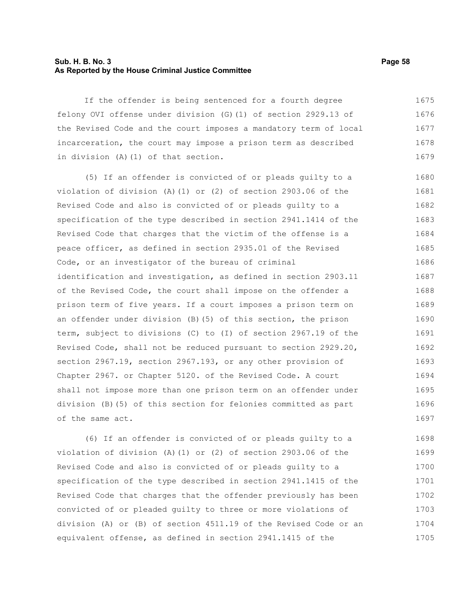## **Sub. H. B. No. 3 Page 58 As Reported by the House Criminal Justice Committee**

If the offender is being sentenced for a fourth degree felony OVI offense under division (G)(1) of section 2929.13 of the Revised Code and the court imposes a mandatory term of local incarceration, the court may impose a prison term as described in division (A)(1) of that section. 1675 1676 1677 1678 1679

(5) If an offender is convicted of or pleads guilty to a violation of division (A)(1) or (2) of section 2903.06 of the Revised Code and also is convicted of or pleads guilty to a specification of the type described in section 2941.1414 of the Revised Code that charges that the victim of the offense is a peace officer, as defined in section 2935.01 of the Revised Code, or an investigator of the bureau of criminal identification and investigation, as defined in section 2903.11 of the Revised Code, the court shall impose on the offender a prison term of five years. If a court imposes a prison term on an offender under division (B)(5) of this section, the prison term, subject to divisions (C) to (I) of section 2967.19 of the Revised Code, shall not be reduced pursuant to section 2929.20, section 2967.19, section 2967.193, or any other provision of Chapter 2967. or Chapter 5120. of the Revised Code. A court shall not impose more than one prison term on an offender under division (B)(5) of this section for felonies committed as part of the same act. 1680 1681 1682 1683 1684 1685 1686 1687 1688 1689 1690 1691 1692 1693 1694 1695 1696 1697

(6) If an offender is convicted of or pleads guilty to a violation of division (A)(1) or (2) of section 2903.06 of the Revised Code and also is convicted of or pleads guilty to a specification of the type described in section 2941.1415 of the Revised Code that charges that the offender previously has been convicted of or pleaded guilty to three or more violations of division (A) or (B) of section 4511.19 of the Revised Code or an equivalent offense, as defined in section 2941.1415 of the 1698 1699 1700 1701 1702 1703 1704 1705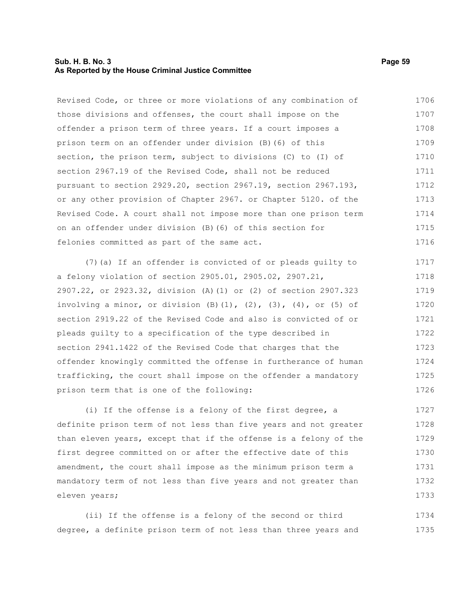## **Sub. H. B. No. 3 Page 59 As Reported by the House Criminal Justice Committee**

Revised Code, or three or more violations of any combination of those divisions and offenses, the court shall impose on the offender a prison term of three years. If a court imposes a prison term on an offender under division (B)(6) of this section, the prison term, subject to divisions (C) to (I) of section 2967.19 of the Revised Code, shall not be reduced pursuant to section 2929.20, section 2967.19, section 2967.193, or any other provision of Chapter 2967. or Chapter 5120. of the Revised Code. A court shall not impose more than one prison term on an offender under division (B)(6) of this section for felonies committed as part of the same act. 1706 1707 1708 1709 1710 1711 1712 1713 1714 1715 1716

(7)(a) If an offender is convicted of or pleads guilty to a felony violation of section 2905.01, 2905.02, 2907.21, 2907.22, or 2923.32, division (A)(1) or (2) of section 2907.323 involving a minor, or division  $(B)$   $(1)$ ,  $(2)$ ,  $(3)$ ,  $(4)$ , or  $(5)$  of section 2919.22 of the Revised Code and also is convicted of or pleads guilty to a specification of the type described in section 2941.1422 of the Revised Code that charges that the offender knowingly committed the offense in furtherance of human trafficking, the court shall impose on the offender a mandatory prison term that is one of the following: 1717 1718 1719 1720 1721 1722 1723 1724 1725 1726

(i) If the offense is a felony of the first degree, a definite prison term of not less than five years and not greater than eleven years, except that if the offense is a felony of the first degree committed on or after the effective date of this amendment, the court shall impose as the minimum prison term a mandatory term of not less than five years and not greater than eleven years; 1727 1728 1729 1730 1731 1732 1733

(ii) If the offense is a felony of the second or third degree, a definite prison term of not less than three years and 1734 1735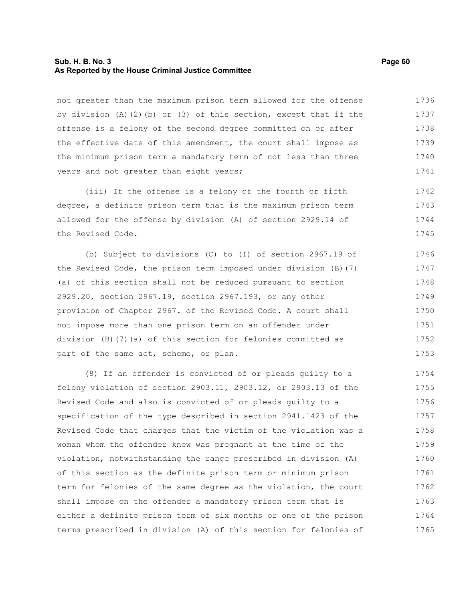### **Sub. H. B. No. 3 Page 60 As Reported by the House Criminal Justice Committee**

not greater than the maximum prison term allowed for the offense by division  $(A)$   $(2)$   $(b)$  or  $(3)$  of this section, except that if the offense is a felony of the second degree committed on or after the effective date of this amendment, the court shall impose as the minimum prison term a mandatory term of not less than three years and not greater than eight years; 1736 1737 1738 1739 1740 1741

(iii) If the offense is a felony of the fourth or fifth degree, a definite prison term that is the maximum prison term allowed for the offense by division (A) of section 2929.14 of the Revised Code. 1742 1743 1744 1745

(b) Subject to divisions (C) to (I) of section 2967.19 of the Revised Code, the prison term imposed under division (B)(7) (a) of this section shall not be reduced pursuant to section 2929.20, section 2967.19, section 2967.193, or any other provision of Chapter 2967. of the Revised Code. A court shall not impose more than one prison term on an offender under division (B)(7)(a) of this section for felonies committed as part of the same act, scheme, or plan. 1746 1747 1748 1749 1750 1751 1752 1753

(8) If an offender is convicted of or pleads guilty to a felony violation of section 2903.11, 2903.12, or 2903.13 of the Revised Code and also is convicted of or pleads guilty to a specification of the type described in section 2941.1423 of the Revised Code that charges that the victim of the violation was a woman whom the offender knew was pregnant at the time of the violation, notwithstanding the range prescribed in division (A) of this section as the definite prison term or minimum prison term for felonies of the same degree as the violation, the court shall impose on the offender a mandatory prison term that is either a definite prison term of six months or one of the prison terms prescribed in division (A) of this section for felonies of 1754 1755 1756 1757 1758 1759 1760 1761 1762 1763 1764 1765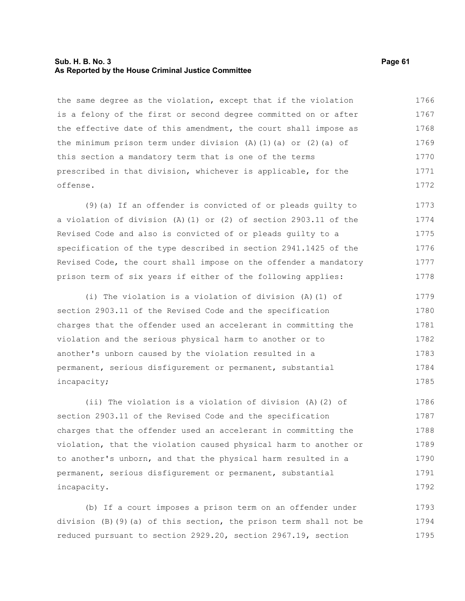## **Sub. H. B. No. 3 Page 61 As Reported by the House Criminal Justice Committee**

the same degree as the violation, except that if the violation is a felony of the first or second degree committed on or after the effective date of this amendment, the court shall impose as the minimum prison term under division  $(A)$   $(1)$   $(a)$  or  $(2)$   $(a)$  of this section a mandatory term that is one of the terms prescribed in that division, whichever is applicable, for the offense. 1766 1767 1768 1769 1770 1771 1772

(9)(a) If an offender is convicted of or pleads guilty to a violation of division (A)(1) or (2) of section 2903.11 of the Revised Code and also is convicted of or pleads guilty to a specification of the type described in section 2941.1425 of the Revised Code, the court shall impose on the offender a mandatory prison term of six years if either of the following applies: 1773 1774 1775 1776 1777 1778

(i) The violation is a violation of division (A)(1) of section 2903.11 of the Revised Code and the specification charges that the offender used an accelerant in committing the violation and the serious physical harm to another or to another's unborn caused by the violation resulted in a permanent, serious disfigurement or permanent, substantial incapacity; 1779 1780 1781 1782 1783 1784 1785

(ii) The violation is a violation of division (A)(2) of section 2903.11 of the Revised Code and the specification charges that the offender used an accelerant in committing the violation, that the violation caused physical harm to another or to another's unborn, and that the physical harm resulted in a permanent, serious disfigurement or permanent, substantial incapacity. 1786 1787 1788 1789 1790 1791 1792

(b) If a court imposes a prison term on an offender under division (B)(9)(a) of this section, the prison term shall not be reduced pursuant to section 2929.20, section 2967.19, section 1793 1794 1795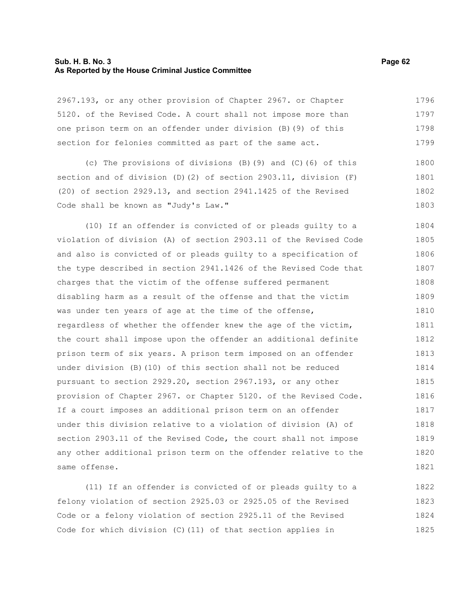## **Sub. H. B. No. 3 Page 62 As Reported by the House Criminal Justice Committee**

2967.193, or any other provision of Chapter 2967. or Chapter 5120. of the Revised Code. A court shall not impose more than one prison term on an offender under division (B)(9) of this section for felonies committed as part of the same act. 1796 1797 1798 1799

(c) The provisions of divisions (B)(9) and (C)(6) of this section and of division (D)(2) of section 2903.11, division (F) (20) of section 2929.13, and section 2941.1425 of the Revised Code shall be known as "Judy's Law." 1800 1801 1802 1803

(10) If an offender is convicted of or pleads guilty to a violation of division (A) of section 2903.11 of the Revised Code and also is convicted of or pleads guilty to a specification of the type described in section 2941.1426 of the Revised Code that charges that the victim of the offense suffered permanent disabling harm as a result of the offense and that the victim was under ten years of age at the time of the offense, regardless of whether the offender knew the age of the victim, the court shall impose upon the offender an additional definite prison term of six years. A prison term imposed on an offender under division (B)(10) of this section shall not be reduced pursuant to section 2929.20, section 2967.193, or any other provision of Chapter 2967. or Chapter 5120. of the Revised Code. If a court imposes an additional prison term on an offender under this division relative to a violation of division (A) of section 2903.11 of the Revised Code, the court shall not impose any other additional prison term on the offender relative to the same offense. 1804 1805 1806 1807 1808 1809 1810 1811 1812 1813 1814 1815 1816 1817 1818 1819 1820 1821

(11) If an offender is convicted of or pleads guilty to a felony violation of section 2925.03 or 2925.05 of the Revised Code or a felony violation of section 2925.11 of the Revised Code for which division (C)(11) of that section applies in 1822 1823 1824 1825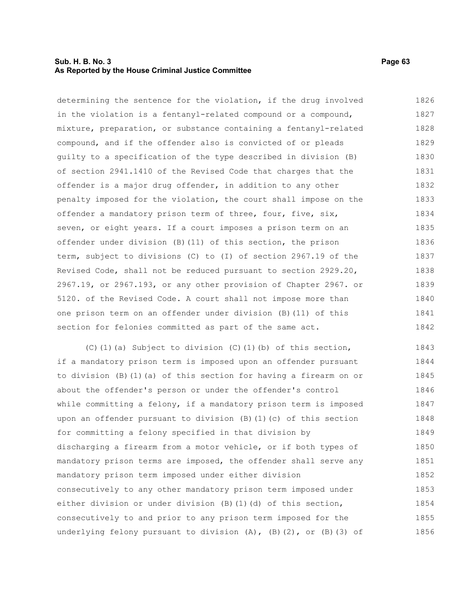## **Sub. H. B. No. 3 Page 63 As Reported by the House Criminal Justice Committee**

determining the sentence for the violation, if the drug involved in the violation is a fentanyl-related compound or a compound, mixture, preparation, or substance containing a fentanyl-related compound, and if the offender also is convicted of or pleads guilty to a specification of the type described in division (B) of section 2941.1410 of the Revised Code that charges that the offender is a major drug offender, in addition to any other penalty imposed for the violation, the court shall impose on the offender a mandatory prison term of three, four, five, six, seven, or eight years. If a court imposes a prison term on an offender under division (B)(11) of this section, the prison term, subject to divisions (C) to (I) of section 2967.19 of the Revised Code, shall not be reduced pursuant to section 2929.20, 2967.19, or 2967.193, or any other provision of Chapter 2967. or 5120. of the Revised Code. A court shall not impose more than one prison term on an offender under division (B)(11) of this section for felonies committed as part of the same act. 1826 1827 1828 1829 1830 1831 1832 1833 1834 1835 1836 1837 1838 1839 1840 1841 1842

(C)(1)(a) Subject to division (C)(1)(b) of this section, if a mandatory prison term is imposed upon an offender pursuant to division (B)(1)(a) of this section for having a firearm on or about the offender's person or under the offender's control while committing a felony, if a mandatory prison term is imposed upon an offender pursuant to division (B)(1)(c) of this section for committing a felony specified in that division by discharging a firearm from a motor vehicle, or if both types of mandatory prison terms are imposed, the offender shall serve any mandatory prison term imposed under either division consecutively to any other mandatory prison term imposed under either division or under division (B)(1)(d) of this section, consecutively to and prior to any prison term imposed for the underlying felony pursuant to division  $(A)$ ,  $(B)$   $(2)$ , or  $(B)$   $(3)$  of 1843 1844 1845 1846 1847 1848 1849 1850 1851 1852 1853 1854 1855 1856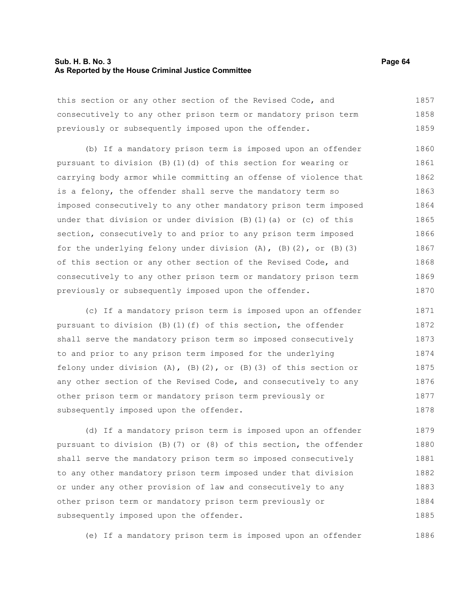### **Sub. H. B. No. 3 Page 64 As Reported by the House Criminal Justice Committee**

this section or any other section of the Revised Code, and consecutively to any other prison term or mandatory prison term previously or subsequently imposed upon the offender. 1857 1858 1859

(b) If a mandatory prison term is imposed upon an offender pursuant to division (B)(1)(d) of this section for wearing or carrying body armor while committing an offense of violence that is a felony, the offender shall serve the mandatory term so imposed consecutively to any other mandatory prison term imposed under that division or under division (B)(1)(a) or (c) of this section, consecutively to and prior to any prison term imposed for the underlying felony under division  $(A)$ ,  $(B)$   $(2)$ , or  $(B)$   $(3)$ of this section or any other section of the Revised Code, and consecutively to any other prison term or mandatory prison term previously or subsequently imposed upon the offender. 1860 1861 1862 1863 1864 1865 1866 1867 1868 1869 1870

(c) If a mandatory prison term is imposed upon an offender pursuant to division  $(B)(1)(f)$  of this section, the offender shall serve the mandatory prison term so imposed consecutively to and prior to any prison term imposed for the underlying felony under division  $(A)$ ,  $(B)$   $(2)$ , or  $(B)$   $(3)$  of this section or any other section of the Revised Code, and consecutively to any other prison term or mandatory prison term previously or subsequently imposed upon the offender. 1871 1872 1873 1874 1875 1876 1877 1878

(d) If a mandatory prison term is imposed upon an offender pursuant to division (B)(7) or (8) of this section, the offender shall serve the mandatory prison term so imposed consecutively to any other mandatory prison term imposed under that division or under any other provision of law and consecutively to any other prison term or mandatory prison term previously or subsequently imposed upon the offender. 1879 1880 1881 1882 1883 1884 1885

(e) If a mandatory prison term is imposed upon an offender 1886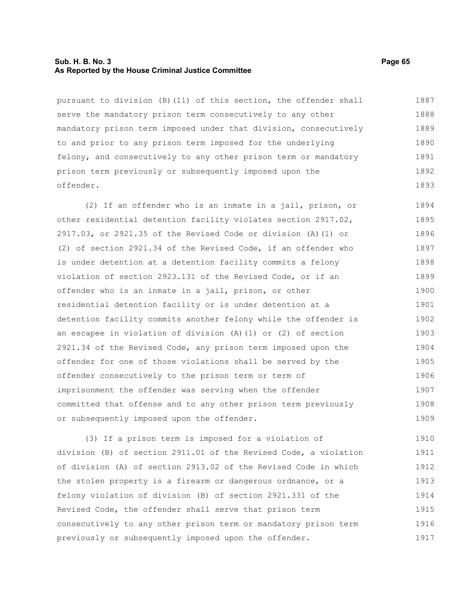### **Sub. H. B. No. 3 Page 65 As Reported by the House Criminal Justice Committee**

pursuant to division (B)(11) of this section, the offender shall serve the mandatory prison term consecutively to any other mandatory prison term imposed under that division, consecutively to and prior to any prison term imposed for the underlying felony, and consecutively to any other prison term or mandatory prison term previously or subsequently imposed upon the offender. 1887 1888 1889 1890 1891 1892 1893

(2) If an offender who is an inmate in a jail, prison, or other residential detention facility violates section 2917.02, 2917.03, or 2921.35 of the Revised Code or division (A)(1) or (2) of section 2921.34 of the Revised Code, if an offender who is under detention at a detention facility commits a felony violation of section 2923.131 of the Revised Code, or if an offender who is an inmate in a jail, prison, or other residential detention facility or is under detention at a detention facility commits another felony while the offender is an escapee in violation of division (A)(1) or (2) of section 2921.34 of the Revised Code, any prison term imposed upon the offender for one of those violations shall be served by the offender consecutively to the prison term or term of imprisonment the offender was serving when the offender committed that offense and to any other prison term previously or subsequently imposed upon the offender. 1894 1895 1896 1897 1898 1899 1900 1901 1902 1903 1904 1905 1906 1907 1908 1909

(3) If a prison term is imposed for a violation of division (B) of section 2911.01 of the Revised Code, a violation of division (A) of section 2913.02 of the Revised Code in which the stolen property is a firearm or dangerous ordnance, or a felony violation of division (B) of section 2921.331 of the Revised Code, the offender shall serve that prison term consecutively to any other prison term or mandatory prison term previously or subsequently imposed upon the offender. 1910 1911 1912 1913 1914 1915 1916 1917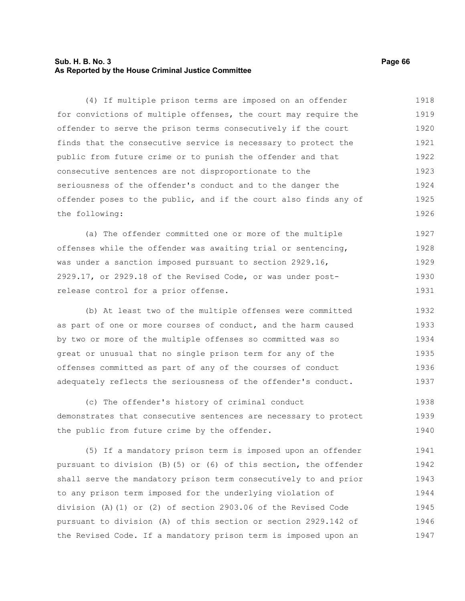## **Sub. H. B. No. 3 Page 66 As Reported by the House Criminal Justice Committee**

(4) If multiple prison terms are imposed on an offender for convictions of multiple offenses, the court may require the offender to serve the prison terms consecutively if the court finds that the consecutive service is necessary to protect the public from future crime or to punish the offender and that consecutive sentences are not disproportionate to the seriousness of the offender's conduct and to the danger the offender poses to the public, and if the court also finds any of the following: 1918 1919 1920 1921 1922 1923 1924 1925 1926

(a) The offender committed one or more of the multiple offenses while the offender was awaiting trial or sentencing, was under a sanction imposed pursuant to section 2929.16, 2929.17, or 2929.18 of the Revised Code, or was under postrelease control for a prior offense. 1927 1928 1929 1930 1931

(b) At least two of the multiple offenses were committed as part of one or more courses of conduct, and the harm caused by two or more of the multiple offenses so committed was so great or unusual that no single prison term for any of the offenses committed as part of any of the courses of conduct adequately reflects the seriousness of the offender's conduct. 1932 1933 1934 1935 1936 1937

(c) The offender's history of criminal conduct demonstrates that consecutive sentences are necessary to protect the public from future crime by the offender. 1938 1939 1940

(5) If a mandatory prison term is imposed upon an offender pursuant to division (B)(5) or (6) of this section, the offender shall serve the mandatory prison term consecutively to and prior to any prison term imposed for the underlying violation of division (A)(1) or (2) of section 2903.06 of the Revised Code pursuant to division (A) of this section or section 2929.142 of the Revised Code. If a mandatory prison term is imposed upon an 1941 1942 1943 1944 1945 1946 1947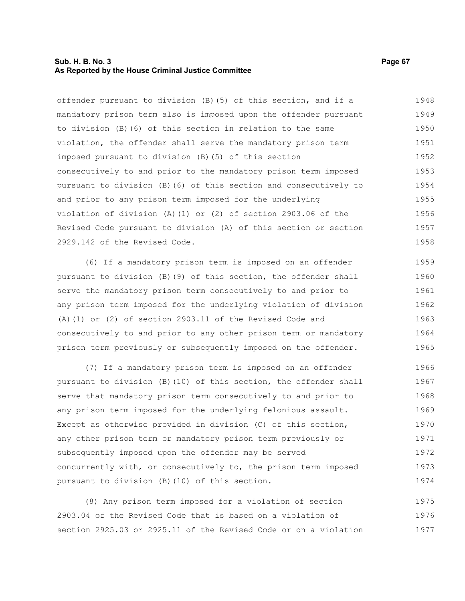## **Sub. H. B. No. 3 Page 67 As Reported by the House Criminal Justice Committee**

offender pursuant to division (B)(5) of this section, and if a mandatory prison term also is imposed upon the offender pursuant to division (B)(6) of this section in relation to the same violation, the offender shall serve the mandatory prison term imposed pursuant to division (B)(5) of this section consecutively to and prior to the mandatory prison term imposed pursuant to division (B)(6) of this section and consecutively to and prior to any prison term imposed for the underlying violation of division (A)(1) or (2) of section 2903.06 of the Revised Code pursuant to division (A) of this section or section 2929.142 of the Revised Code. 1948 1949 1950 1951 1952 1953 1954 1955 1956 1957 1958

(6) If a mandatory prison term is imposed on an offender pursuant to division (B)(9) of this section, the offender shall serve the mandatory prison term consecutively to and prior to any prison term imposed for the underlying violation of division (A)(1) or (2) of section 2903.11 of the Revised Code and consecutively to and prior to any other prison term or mandatory prison term previously or subsequently imposed on the offender. 1959 1960 1961 1962 1963 1964 1965

(7) If a mandatory prison term is imposed on an offender pursuant to division (B)(10) of this section, the offender shall serve that mandatory prison term consecutively to and prior to any prison term imposed for the underlying felonious assault. Except as otherwise provided in division (C) of this section, any other prison term or mandatory prison term previously or subsequently imposed upon the offender may be served concurrently with, or consecutively to, the prison term imposed pursuant to division (B)(10) of this section. 1966 1967 1968 1969 1970 1971 1972 1973 1974

(8) Any prison term imposed for a violation of section 2903.04 of the Revised Code that is based on a violation of section 2925.03 or 2925.11 of the Revised Code or on a violation 1975 1976 1977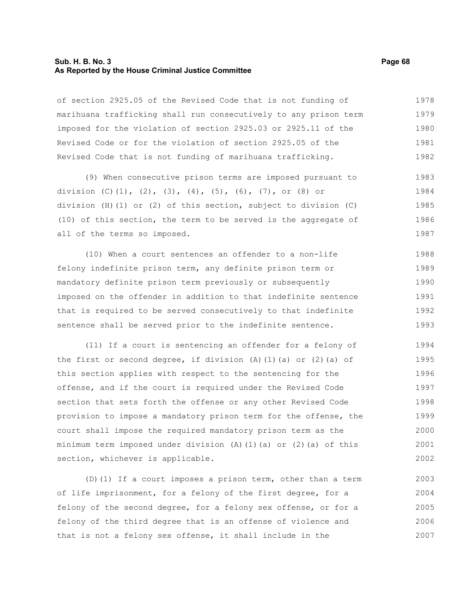#### **Sub. H. B. No. 3 Page 68 As Reported by the House Criminal Justice Committee**

of section 2925.05 of the Revised Code that is not funding of marihuana trafficking shall run consecutively to any prison term imposed for the violation of section 2925.03 or 2925.11 of the Revised Code or for the violation of section 2925.05 of the Revised Code that is not funding of marihuana trafficking. 1978 1979 1980 1981 1982

(9) When consecutive prison terms are imposed pursuant to division (C)(1), (2), (3), (4), (5), (6), (7), or (8) or division (H)(1) or (2) of this section, subject to division (C) (10) of this section, the term to be served is the aggregate of all of the terms so imposed. 1983 1984 1985 1986 1987

(10) When a court sentences an offender to a non-life felony indefinite prison term, any definite prison term or mandatory definite prison term previously or subsequently imposed on the offender in addition to that indefinite sentence that is required to be served consecutively to that indefinite sentence shall be served prior to the indefinite sentence. 1988 1989 1990 1991 1992 1993

(11) If a court is sentencing an offender for a felony of the first or second degree, if division  $(A)$   $(1)$   $(a)$  or  $(2)$   $(a)$  of this section applies with respect to the sentencing for the offense, and if the court is required under the Revised Code section that sets forth the offense or any other Revised Code provision to impose a mandatory prison term for the offense, the court shall impose the required mandatory prison term as the minimum term imposed under division  $(A)$   $(1)$   $(a)$  or  $(2)$   $(a)$  of this section, whichever is applicable. 1994 1995 1996 1997 1998 1999 2000 2001 2002

(D)(1) If a court imposes a prison term, other than a term of life imprisonment, for a felony of the first degree, for a felony of the second degree, for a felony sex offense, or for a felony of the third degree that is an offense of violence and that is not a felony sex offense, it shall include in the 2003 2004 2005 2006 2007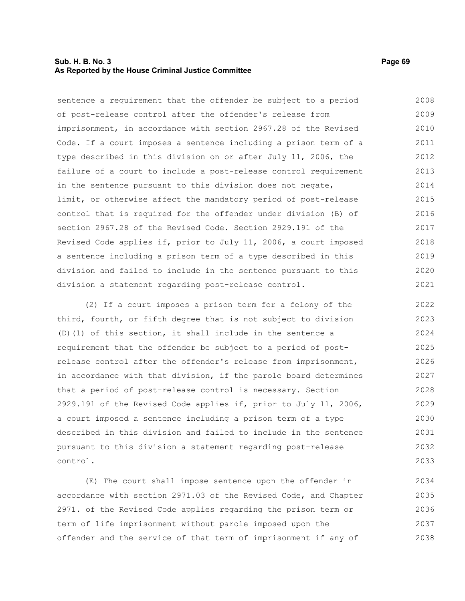## **Sub. H. B. No. 3 Page 69 As Reported by the House Criminal Justice Committee**

sentence a requirement that the offender be subject to a period of post-release control after the offender's release from imprisonment, in accordance with section 2967.28 of the Revised Code. If a court imposes a sentence including a prison term of a type described in this division on or after July 11, 2006, the failure of a court to include a post-release control requirement in the sentence pursuant to this division does not negate, limit, or otherwise affect the mandatory period of post-release control that is required for the offender under division (B) of section 2967.28 of the Revised Code. Section 2929.191 of the Revised Code applies if, prior to July 11, 2006, a court imposed a sentence including a prison term of a type described in this division and failed to include in the sentence pursuant to this division a statement regarding post-release control. 2008 2009 2010 2011 2012 2013 2014 2015 2016 2017 2018 2019 2020 2021

(2) If a court imposes a prison term for a felony of the third, fourth, or fifth degree that is not subject to division (D)(1) of this section, it shall include in the sentence a requirement that the offender be subject to a period of postrelease control after the offender's release from imprisonment, in accordance with that division, if the parole board determines that a period of post-release control is necessary. Section 2929.191 of the Revised Code applies if, prior to July 11, 2006, a court imposed a sentence including a prison term of a type described in this division and failed to include in the sentence pursuant to this division a statement regarding post-release control. 2022 2023 2024 2025 2026 2027 2028 2029 2030 2031 2032 2033

(E) The court shall impose sentence upon the offender in accordance with section 2971.03 of the Revised Code, and Chapter 2971. of the Revised Code applies regarding the prison term or term of life imprisonment without parole imposed upon the offender and the service of that term of imprisonment if any of 2034 2035 2036 2037 2038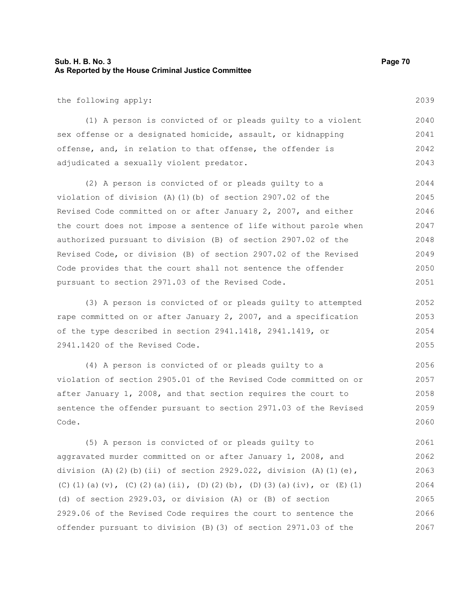# **Sub. H. B. No. 3 Page 70 As Reported by the House Criminal Justice Committee**

the following apply:

(1) A person is convicted of or pleads guilty to a violent sex offense or a designated homicide, assault, or kidnapping offense, and, in relation to that offense, the offender is adjudicated a sexually violent predator. 2040 2041 2042 2043

(2) A person is convicted of or pleads guilty to a violation of division (A)(1)(b) of section 2907.02 of the Revised Code committed on or after January 2, 2007, and either the court does not impose a sentence of life without parole when authorized pursuant to division (B) of section 2907.02 of the Revised Code, or division (B) of section 2907.02 of the Revised Code provides that the court shall not sentence the offender pursuant to section 2971.03 of the Revised Code. 2044 2045 2046 2047 2048 2049 2050 2051

(3) A person is convicted of or pleads guilty to attempted rape committed on or after January 2, 2007, and a specification of the type described in section 2941.1418, 2941.1419, or 2941.1420 of the Revised Code. 2052 2053 2054 2055

(4) A person is convicted of or pleads guilty to a violation of section 2905.01 of the Revised Code committed on or after January 1, 2008, and that section requires the court to sentence the offender pursuant to section 2971.03 of the Revised Code. 2056 2057 2058 2059 2060

(5) A person is convicted of or pleads guilty to aggravated murder committed on or after January 1, 2008, and division (A)(2)(b)(ii) of section 2929.022, division (A)(1)(e), (C)(1)(a)(v), (C)(2)(a)(ii), (D)(2)(b), (D)(3)(a)(iv), or (E)(1) (d) of section 2929.03, or division (A) or (B) of section 2929.06 of the Revised Code requires the court to sentence the offender pursuant to division (B)(3) of section 2971.03 of the 2061 2062 2063 2064 2065 2066 2067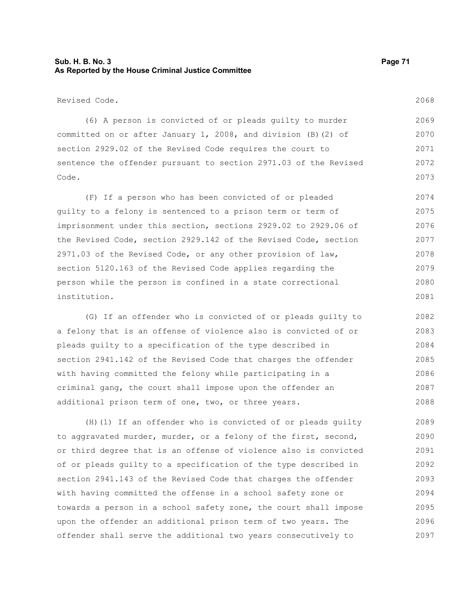# **Sub. H. B. No. 3 Page 71 As Reported by the House Criminal Justice Committee**

Revised Code.

(6) A person is convicted of or pleads guilty to murder committed on or after January 1, 2008, and division (B)(2) of section 2929.02 of the Revised Code requires the court to sentence the offender pursuant to section 2971.03 of the Revised Code. 2069 2070 2071 2072 2073

(F) If a person who has been convicted of or pleaded guilty to a felony is sentenced to a prison term or term of imprisonment under this section, sections 2929.02 to 2929.06 of the Revised Code, section 2929.142 of the Revised Code, section 2971.03 of the Revised Code, or any other provision of law, section 5120.163 of the Revised Code applies regarding the person while the person is confined in a state correctional institution. 2074 2075 2076 2077 2078 2079 2080 2081

(G) If an offender who is convicted of or pleads guilty to a felony that is an offense of violence also is convicted of or pleads guilty to a specification of the type described in section 2941.142 of the Revised Code that charges the offender with having committed the felony while participating in a criminal gang, the court shall impose upon the offender an additional prison term of one, two, or three years. 2082 2083 2084 2085 2086 2087 2088

(H)(1) If an offender who is convicted of or pleads guilty to aggravated murder, murder, or a felony of the first, second, or third degree that is an offense of violence also is convicted of or pleads guilty to a specification of the type described in section 2941.143 of the Revised Code that charges the offender with having committed the offense in a school safety zone or towards a person in a school safety zone, the court shall impose upon the offender an additional prison term of two years. The offender shall serve the additional two years consecutively to 2089 2090 2091 2092 2093 2094 2095 2096 2097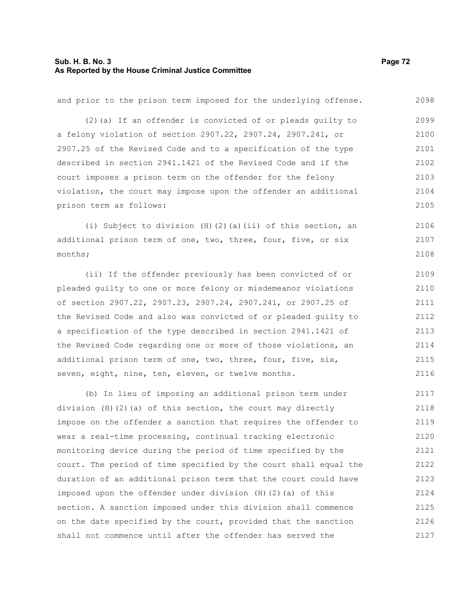# **Sub. H. B. No. 3 Page 72 As Reported by the House Criminal Justice Committee**

and prior to the prison term imposed for the underlying offense. (2)(a) If an offender is convicted of or pleads guilty to a felony violation of section 2907.22, 2907.24, 2907.241, or 2907.25 of the Revised Code and to a specification of the type described in section 2941.1421 of the Revised Code and if the court imposes a prison term on the offender for the felony

violation, the court may impose upon the offender an additional prison term as follows: 2104 2105

(i) Subject to division (H)(2)(a)(ii) of this section, an additional prison term of one, two, three, four, five, or six months; 2106 2107 2108

(ii) If the offender previously has been convicted of or pleaded guilty to one or more felony or misdemeanor violations of section 2907.22, 2907.23, 2907.24, 2907.241, or 2907.25 of the Revised Code and also was convicted of or pleaded guilty to a specification of the type described in section 2941.1421 of the Revised Code regarding one or more of those violations, an additional prison term of one, two, three, four, five, six, seven, eight, nine, ten, eleven, or twelve months.

(b) In lieu of imposing an additional prison term under division (H)(2)(a) of this section, the court may directly impose on the offender a sanction that requires the offender to wear a real-time processing, continual tracking electronic monitoring device during the period of time specified by the court. The period of time specified by the court shall equal the duration of an additional prison term that the court could have imposed upon the offender under division (H)(2)(a) of this section. A sanction imposed under this division shall commence on the date specified by the court, provided that the sanction shall not commence until after the offender has served the 2117 2118 2119 2120 2121 2122 2123 2124 2125 2126 2127

2098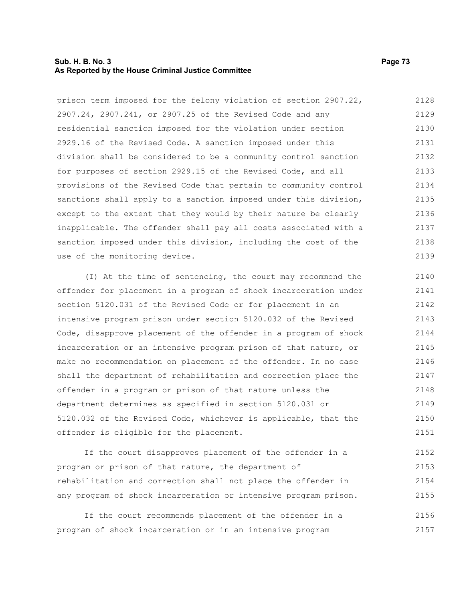## **Sub. H. B. No. 3 Page 73 As Reported by the House Criminal Justice Committee**

prison term imposed for the felony violation of section 2907.22, 2907.24, 2907.241, or 2907.25 of the Revised Code and any residential sanction imposed for the violation under section 2929.16 of the Revised Code. A sanction imposed under this division shall be considered to be a community control sanction for purposes of section 2929.15 of the Revised Code, and all provisions of the Revised Code that pertain to community control sanctions shall apply to a sanction imposed under this division, except to the extent that they would by their nature be clearly inapplicable. The offender shall pay all costs associated with a sanction imposed under this division, including the cost of the use of the monitoring device. 2128 2129 2130 2131 2132 2133 2134 2135 2136 2137 2138 2139

(I) At the time of sentencing, the court may recommend the offender for placement in a program of shock incarceration under section 5120.031 of the Revised Code or for placement in an intensive program prison under section 5120.032 of the Revised Code, disapprove placement of the offender in a program of shock incarceration or an intensive program prison of that nature, or make no recommendation on placement of the offender. In no case shall the department of rehabilitation and correction place the offender in a program or prison of that nature unless the department determines as specified in section 5120.031 or 5120.032 of the Revised Code, whichever is applicable, that the offender is eligible for the placement. 2140 2141 2142 2143 2144 2145 2146 2147 2148 2149 2150 2151

If the court disapproves placement of the offender in a program or prison of that nature, the department of rehabilitation and correction shall not place the offender in any program of shock incarceration or intensive program prison. 2152 2153 2154 2155

If the court recommends placement of the offender in a program of shock incarceration or in an intensive program 2156 2157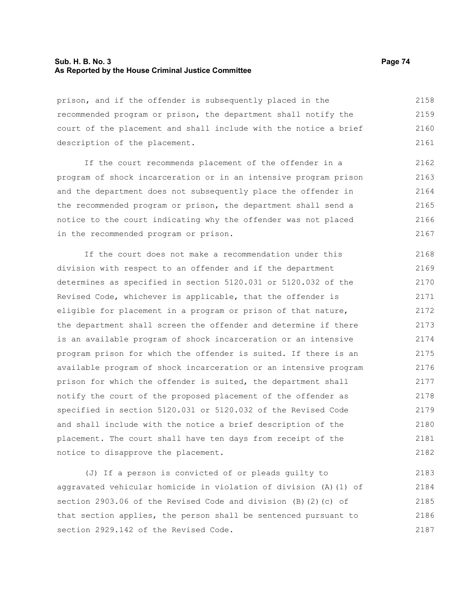## **Sub. H. B. No. 3 Page 74 As Reported by the House Criminal Justice Committee**

prison, and if the offender is subsequently placed in the recommended program or prison, the department shall notify the court of the placement and shall include with the notice a brief description of the placement. 2158 2159 2160 2161

If the court recommends placement of the offender in a program of shock incarceration or in an intensive program prison and the department does not subsequently place the offender in the recommended program or prison, the department shall send a notice to the court indicating why the offender was not placed in the recommended program or prison.

If the court does not make a recommendation under this division with respect to an offender and if the department determines as specified in section 5120.031 or 5120.032 of the Revised Code, whichever is applicable, that the offender is eligible for placement in a program or prison of that nature, the department shall screen the offender and determine if there is an available program of shock incarceration or an intensive program prison for which the offender is suited. If there is an available program of shock incarceration or an intensive program prison for which the offender is suited, the department shall notify the court of the proposed placement of the offender as specified in section 5120.031 or 5120.032 of the Revised Code and shall include with the notice a brief description of the placement. The court shall have ten days from receipt of the notice to disapprove the placement. 2168 2169 2170 2171 2172 2173 2174 2175 2176 2177 2178 2179 2180 2181 2182

(J) If a person is convicted of or pleads guilty to aggravated vehicular homicide in violation of division (A)(1) of section 2903.06 of the Revised Code and division (B)(2)(c) of that section applies, the person shall be sentenced pursuant to section 2929.142 of the Revised Code. 2183 2184 2185 2186 2187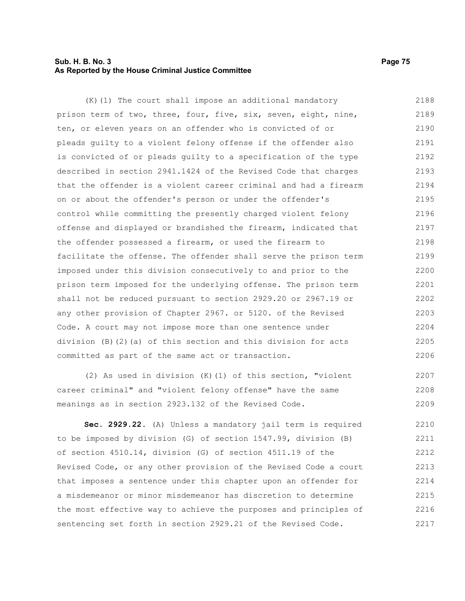## **Sub. H. B. No. 3 Page 75 As Reported by the House Criminal Justice Committee**

(K)(1) The court shall impose an additional mandatory prison term of two, three, four, five, six, seven, eight, nine, ten, or eleven years on an offender who is convicted of or pleads guilty to a violent felony offense if the offender also is convicted of or pleads guilty to a specification of the type described in section 2941.1424 of the Revised Code that charges that the offender is a violent career criminal and had a firearm on or about the offender's person or under the offender's control while committing the presently charged violent felony offense and displayed or brandished the firearm, indicated that the offender possessed a firearm, or used the firearm to facilitate the offense. The offender shall serve the prison term imposed under this division consecutively to and prior to the prison term imposed for the underlying offense. The prison term shall not be reduced pursuant to section 2929.20 or 2967.19 or any other provision of Chapter 2967. or 5120. of the Revised Code. A court may not impose more than one sentence under division (B)(2)(a) of this section and this division for acts committed as part of the same act or transaction. 2188 2189 2190 2191 2192 2193 2194 2195 2196 2197 2198 2199 2200 2201 2202 2203 2204 2205 2206

(2) As used in division (K)(1) of this section, "violent career criminal" and "violent felony offense" have the same meanings as in section 2923.132 of the Revised Code. 2207 2208 2209

**Sec. 2929.22.** (A) Unless a mandatory jail term is required to be imposed by division (G) of section 1547.99, division (B) of section 4510.14, division (G) of section 4511.19 of the Revised Code, or any other provision of the Revised Code a court that imposes a sentence under this chapter upon an offender for a misdemeanor or minor misdemeanor has discretion to determine the most effective way to achieve the purposes and principles of sentencing set forth in section 2929.21 of the Revised Code. 2210 2211 2212 2213 2214 2215 2216 2217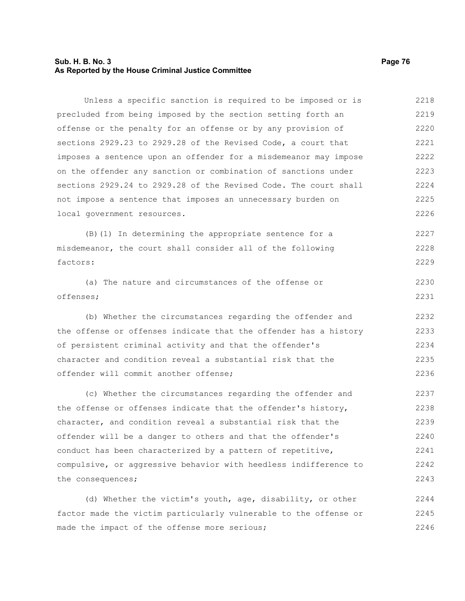## **Sub. H. B. No. 3 Page 76 As Reported by the House Criminal Justice Committee**

Unless a specific sanction is required to be imposed or is precluded from being imposed by the section setting forth an offense or the penalty for an offense or by any provision of sections 2929.23 to 2929.28 of the Revised Code, a court that imposes a sentence upon an offender for a misdemeanor may impose on the offender any sanction or combination of sanctions under sections 2929.24 to 2929.28 of the Revised Code. The court shall not impose a sentence that imposes an unnecessary burden on local government resources. 2218 2219 2220 2221 2222 2223 2224 2225 2226

(B)(1) In determining the appropriate sentence for a misdemeanor, the court shall consider all of the following factors: 2227 2228 2229

(a) The nature and circumstances of the offense or offenses; 2230 2231

(b) Whether the circumstances regarding the offender and the offense or offenses indicate that the offender has a history of persistent criminal activity and that the offender's character and condition reveal a substantial risk that the offender will commit another offense; 2232 2233 2234 2235 2236

(c) Whether the circumstances regarding the offender and the offense or offenses indicate that the offender's history, character, and condition reveal a substantial risk that the offender will be a danger to others and that the offender's conduct has been characterized by a pattern of repetitive, compulsive, or aggressive behavior with heedless indifference to the consequences; 2237 2238 2239 2240 2241 2242 2243

(d) Whether the victim's youth, age, disability, or other factor made the victim particularly vulnerable to the offense or made the impact of the offense more serious; 2244 2245 2246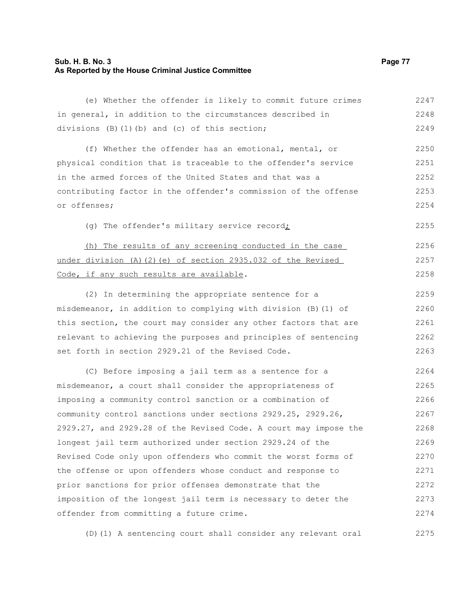# **Sub. H. B. No. 3 Page 77 As Reported by the House Criminal Justice Committee**

| (e) Whether the offender is likely to commit future crimes       | 2247 |
|------------------------------------------------------------------|------|
| in general, in addition to the circumstances described in        | 2248 |
| divisions (B)(1)(b) and (c) of this section;                     | 2249 |
|                                                                  |      |
| (f) Whether the offender has an emotional, mental, or            | 2250 |
| physical condition that is traceable to the offender's service   | 2251 |
| in the armed forces of the United States and that was a          | 2252 |
| contributing factor in the offender's commission of the offense  | 2253 |
| or offenses;                                                     | 2254 |
| (g) The offender's military service record;                      | 2255 |
| (h) The results of any screening conducted in the case           | 2256 |
| under division (A)(2)(e) of section 2935.032 of the Revised      | 2257 |
| Code, if any such results are available.                         | 2258 |
| (2) In determining the appropriate sentence for a                | 2259 |
| misdemeanor, in addition to complying with division (B) (1) of   | 2260 |
| this section, the court may consider any other factors that are  | 2261 |
| relevant to achieving the purposes and principles of sentencing  | 2262 |
| set forth in section 2929.21 of the Revised Code.                | 2263 |
| (C) Before imposing a jail term as a sentence for a              | 2264 |
| misdemeanor, a court shall consider the appropriateness of       | 2265 |
| imposing a community control sanction or a combination of        | 2266 |
| community control sanctions under sections 2929.25, 2929.26,     | 2267 |
| 2929.27, and 2929.28 of the Revised Code. A court may impose the | 2268 |
| longest jail term authorized under section 2929.24 of the        | 2269 |
| Revised Code only upon offenders who commit the worst forms of   | 2270 |
| the offense or upon offenders whose conduct and response to      | 2271 |
| prior sanctions for prior offenses demonstrate that the          | 2272 |
| imposition of the longest jail term is necessary to deter the    | 2273 |
| offender from committing a future crime.                         | 2274 |

(D)(1) A sentencing court shall consider any relevant oral 2275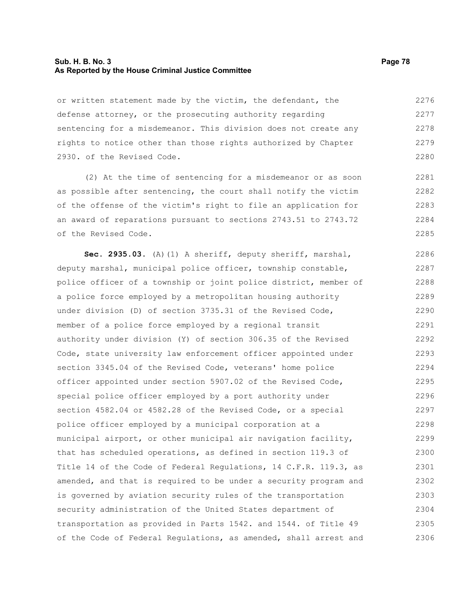### **Sub. H. B. No. 3 Page 78 As Reported by the House Criminal Justice Committee**

or written statement made by the victim, the defendant, the defense attorney, or the prosecuting authority regarding sentencing for a misdemeanor. This division does not create any rights to notice other than those rights authorized by Chapter 2930. of the Revised Code. 2276 2277 2278 2279 2280

(2) At the time of sentencing for a misdemeanor or as soon as possible after sentencing, the court shall notify the victim of the offense of the victim's right to file an application for an award of reparations pursuant to sections 2743.51 to 2743.72 of the Revised Code.

**Sec. 2935.03.** (A)(1) A sheriff, deputy sheriff, marshal, deputy marshal, municipal police officer, township constable, police officer of a township or joint police district, member of a police force employed by a metropolitan housing authority under division (D) of section 3735.31 of the Revised Code, member of a police force employed by a regional transit authority under division (Y) of section 306.35 of the Revised Code, state university law enforcement officer appointed under section 3345.04 of the Revised Code, veterans' home police officer appointed under section 5907.02 of the Revised Code, special police officer employed by a port authority under section 4582.04 or 4582.28 of the Revised Code, or a special police officer employed by a municipal corporation at a municipal airport, or other municipal air navigation facility, that has scheduled operations, as defined in section 119.3 of Title 14 of the Code of Federal Regulations, 14 C.F.R. 119.3, as amended, and that is required to be under a security program and is governed by aviation security rules of the transportation security administration of the United States department of transportation as provided in Parts 1542. and 1544. of Title 49 of the Code of Federal Regulations, as amended, shall arrest and 2286 2287 2288 2289 2290 2291 2292 2293 2294 2295 2296 2297 2298 2299 2300 2301 2302 2303 2304 2305 2306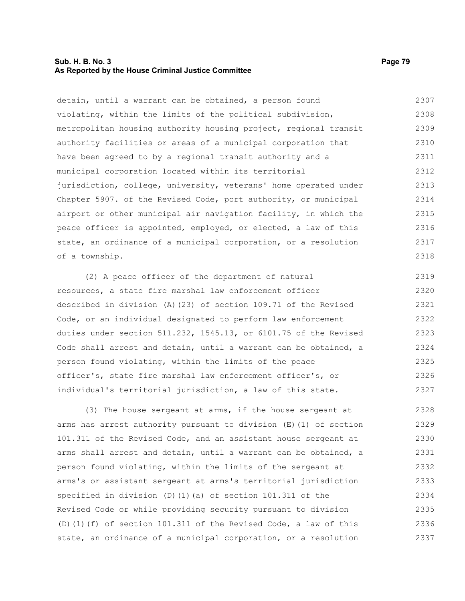## **Sub. H. B. No. 3 Page 79 As Reported by the House Criminal Justice Committee**

detain, until a warrant can be obtained, a person found violating, within the limits of the political subdivision, metropolitan housing authority housing project, regional transit authority facilities or areas of a municipal corporation that have been agreed to by a regional transit authority and a municipal corporation located within its territorial jurisdiction, college, university, veterans' home operated under Chapter 5907. of the Revised Code, port authority, or municipal airport or other municipal air navigation facility, in which the peace officer is appointed, employed, or elected, a law of this state, an ordinance of a municipal corporation, or a resolution of a township. 2307 2308 2309 2310 2311 2312 2313 2314 2315 2316 2317 2318

(2) A peace officer of the department of natural resources, a state fire marshal law enforcement officer described in division (A)(23) of section 109.71 of the Revised Code, or an individual designated to perform law enforcement duties under section 511.232, 1545.13, or 6101.75 of the Revised Code shall arrest and detain, until a warrant can be obtained, a person found violating, within the limits of the peace officer's, state fire marshal law enforcement officer's, or individual's territorial jurisdiction, a law of this state. 2319 2320 2321 2322 2323 2324 2325 2326 2327

(3) The house sergeant at arms, if the house sergeant at arms has arrest authority pursuant to division (E)(1) of section 101.311 of the Revised Code, and an assistant house sergeant at arms shall arrest and detain, until a warrant can be obtained, a person found violating, within the limits of the sergeant at arms's or assistant sergeant at arms's territorial jurisdiction specified in division (D)(1)(a) of section 101.311 of the Revised Code or while providing security pursuant to division (D)(1)(f) of section 101.311 of the Revised Code, a law of this state, an ordinance of a municipal corporation, or a resolution 2328 2329 2330 2331 2332 2333 2334 2335 2336 2337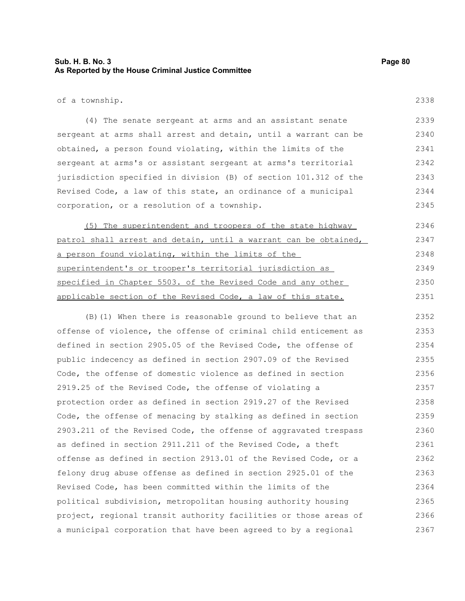# **Sub. H. B. No. 3 Page 80 As Reported by the House Criminal Justice Committee**

of a township.

(4) The senate sergeant at arms and an assistant senate sergeant at arms shall arrest and detain, until a warrant can be obtained, a person found violating, within the limits of the sergeant at arms's or assistant sergeant at arms's territorial jurisdiction specified in division (B) of section 101.312 of the Revised Code, a law of this state, an ordinance of a municipal corporation, or a resolution of a township. 2339 2340 2341 2342 2343 2344 2345

(5) The superintendent and troopers of the state highway patrol shall arrest and detain, until a warrant can be obtained, a person found violating, within the limits of the superintendent's or trooper's territorial jurisdiction as specified in Chapter 5503. of the Revised Code and any other applicable section of the Revised Code, a law of this state. 2346 2347 2348 2349 2350 2351

(B)(1) When there is reasonable ground to believe that an offense of violence, the offense of criminal child enticement as defined in section 2905.05 of the Revised Code, the offense of public indecency as defined in section 2907.09 of the Revised Code, the offense of domestic violence as defined in section 2919.25 of the Revised Code, the offense of violating a protection order as defined in section 2919.27 of the Revised Code, the offense of menacing by stalking as defined in section 2903.211 of the Revised Code, the offense of aggravated trespass as defined in section 2911.211 of the Revised Code, a theft offense as defined in section 2913.01 of the Revised Code, or a felony drug abuse offense as defined in section 2925.01 of the Revised Code, has been committed within the limits of the political subdivision, metropolitan housing authority housing project, regional transit authority facilities or those areas of a municipal corporation that have been agreed to by a regional 2352 2353 2354 2355 2356 2357 2358 2359 2360 2361 2362 2363 2364 2365 2366 2367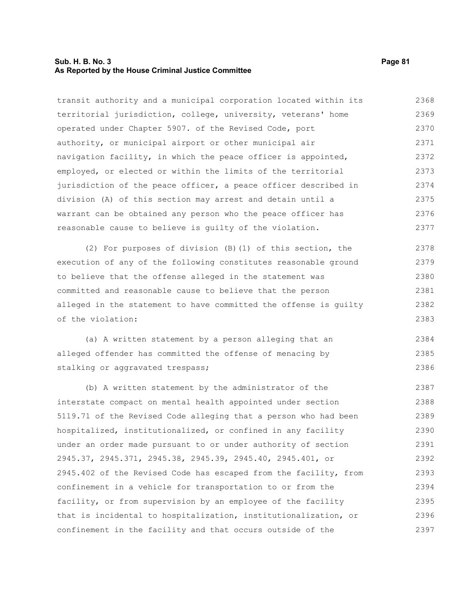## **Sub. H. B. No. 3 Page 81 As Reported by the House Criminal Justice Committee**

transit authority and a municipal corporation located within its territorial jurisdiction, college, university, veterans' home operated under Chapter 5907. of the Revised Code, port authority, or municipal airport or other municipal air navigation facility, in which the peace officer is appointed, employed, or elected or within the limits of the territorial jurisdiction of the peace officer, a peace officer described in division (A) of this section may arrest and detain until a warrant can be obtained any person who the peace officer has reasonable cause to believe is guilty of the violation. 2368 2369 2370 2371 2372 2373 2374 2375 2376 2377

(2) For purposes of division (B)(1) of this section, the execution of any of the following constitutes reasonable ground to believe that the offense alleged in the statement was committed and reasonable cause to believe that the person alleged in the statement to have committed the offense is guilty of the violation: 2378 2379 2380 2381 2382 2383

(a) A written statement by a person alleging that an alleged offender has committed the offense of menacing by stalking or aggravated trespass; 2384 2385 2386

(b) A written statement by the administrator of the interstate compact on mental health appointed under section 5119.71 of the Revised Code alleging that a person who had been hospitalized, institutionalized, or confined in any facility under an order made pursuant to or under authority of section 2945.37, 2945.371, 2945.38, 2945.39, 2945.40, 2945.401, or 2945.402 of the Revised Code has escaped from the facility, from confinement in a vehicle for transportation to or from the facility, or from supervision by an employee of the facility that is incidental to hospitalization, institutionalization, or confinement in the facility and that occurs outside of the 2387 2388 2389 2390 2391 2392 2393 2394 2395 2396 2397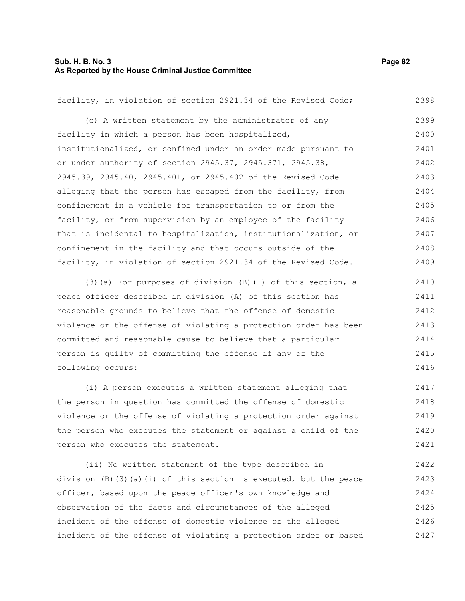## **Sub. H. B. No. 3 Page 82 As Reported by the House Criminal Justice Committee**

| facility, in violation of section 2921.34 of the Revised Code;   | 2398 |
|------------------------------------------------------------------|------|
| (c) A written statement by the administrator of any              | 2399 |
| facility in which a person has been hospitalized,                | 2400 |
| institutionalized, or confined under an order made pursuant to   | 2401 |
| or under authority of section 2945.37, 2945.371, 2945.38,        | 2402 |
| 2945.39, 2945.40, 2945.401, or 2945.402 of the Revised Code      | 2403 |
| alleging that the person has escaped from the facility, from     | 2404 |
| confinement in a vehicle for transportation to or from the       | 2405 |
| facility, or from supervision by an employee of the facility     | 2406 |
| that is incidental to hospitalization, institutionalization, or  | 2407 |
| confinement in the facility and that occurs outside of the       | 2408 |
| facility, in violation of section 2921.34 of the Revised Code.   | 2409 |
| (3) (a) For purposes of division (B) (1) of this section, a      | 2410 |
| peace officer described in division (A) of this section has      | 2411 |
| reasonable grounds to believe that the offense of domestic       | 2412 |
| violence or the offense of violating a protection order has been | 2413 |
| committed and reasonable cause to believe that a particular      | 2414 |
| person is quilty of committing the offense if any of the         | 2415 |
| following occurs:                                                | 2416 |
|                                                                  |      |

(i) A person executes a written statement alleging that the person in question has committed the offense of domestic violence or the offense of violating a protection order against the person who executes the statement or against a child of the person who executes the statement. 2417 2418 2419 2420 2421

(ii) No written statement of the type described in division (B)(3)(a)(i) of this section is executed, but the peace officer, based upon the peace officer's own knowledge and observation of the facts and circumstances of the alleged incident of the offense of domestic violence or the alleged incident of the offense of violating a protection order or based 2422 2423 2424 2425 2426 2427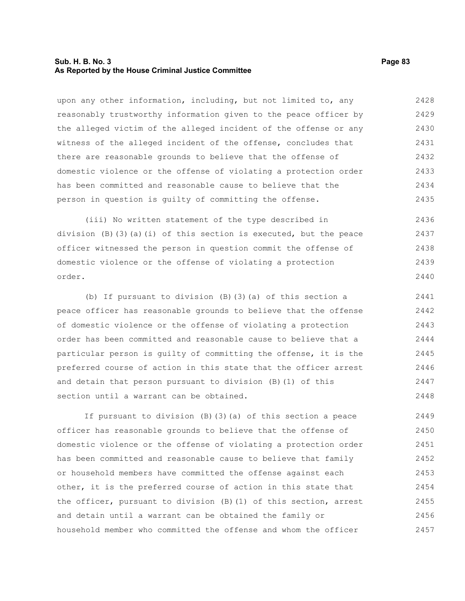## **Sub. H. B. No. 3 Page 83 As Reported by the House Criminal Justice Committee**

upon any other information, including, but not limited to, any reasonably trustworthy information given to the peace officer by the alleged victim of the alleged incident of the offense or any witness of the alleged incident of the offense, concludes that there are reasonable grounds to believe that the offense of domestic violence or the offense of violating a protection order has been committed and reasonable cause to believe that the person in question is guilty of committing the offense. 2428 2429 2430 2431 2432 2433 2434 2435

(iii) No written statement of the type described in division (B)(3)(a)(i) of this section is executed, but the peace officer witnessed the person in question commit the offense of domestic violence or the offense of violating a protection order. 2436 2437 2438 2439 2440

(b) If pursuant to division (B)(3)(a) of this section a peace officer has reasonable grounds to believe that the offense of domestic violence or the offense of violating a protection order has been committed and reasonable cause to believe that a particular person is guilty of committing the offense, it is the preferred course of action in this state that the officer arrest and detain that person pursuant to division (B)(1) of this section until a warrant can be obtained. 2441 2442 2443 2444 2445 2446 2447 2448

If pursuant to division (B)(3)(a) of this section a peace officer has reasonable grounds to believe that the offense of domestic violence or the offense of violating a protection order has been committed and reasonable cause to believe that family or household members have committed the offense against each other, it is the preferred course of action in this state that the officer, pursuant to division (B)(1) of this section, arrest and detain until a warrant can be obtained the family or household member who committed the offense and whom the officer 2449 2450 2451 2452 2453 2454 2455 2456 2457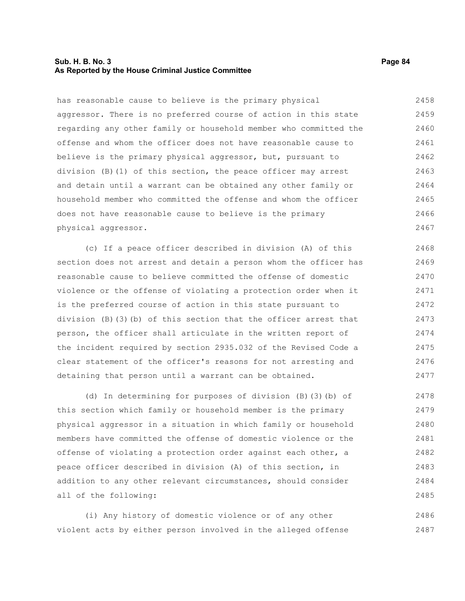## **Sub. H. B. No. 3 Page 84 As Reported by the House Criminal Justice Committee**

has reasonable cause to believe is the primary physical aggressor. There is no preferred course of action in this state regarding any other family or household member who committed the offense and whom the officer does not have reasonable cause to believe is the primary physical aggressor, but, pursuant to division (B)(1) of this section, the peace officer may arrest and detain until a warrant can be obtained any other family or household member who committed the offense and whom the officer does not have reasonable cause to believe is the primary physical aggressor. 2458 2459 2460 2461 2462 2463 2464 2465 2466 2467

(c) If a peace officer described in division (A) of this section does not arrest and detain a person whom the officer has reasonable cause to believe committed the offense of domestic violence or the offense of violating a protection order when it is the preferred course of action in this state pursuant to division (B)(3)(b) of this section that the officer arrest that person, the officer shall articulate in the written report of the incident required by section 2935.032 of the Revised Code a clear statement of the officer's reasons for not arresting and detaining that person until a warrant can be obtained. 2468 2469 2470 2471 2472 2473 2474 2475 2476 2477

(d) In determining for purposes of division (B)(3)(b) of this section which family or household member is the primary physical aggressor in a situation in which family or household members have committed the offense of domestic violence or the offense of violating a protection order against each other, a peace officer described in division (A) of this section, in addition to any other relevant circumstances, should consider all of the following: 2478 2479 2480 2481 2482 2483 2484 2485

(i) Any history of domestic violence or of any other violent acts by either person involved in the alleged offense 2486 2487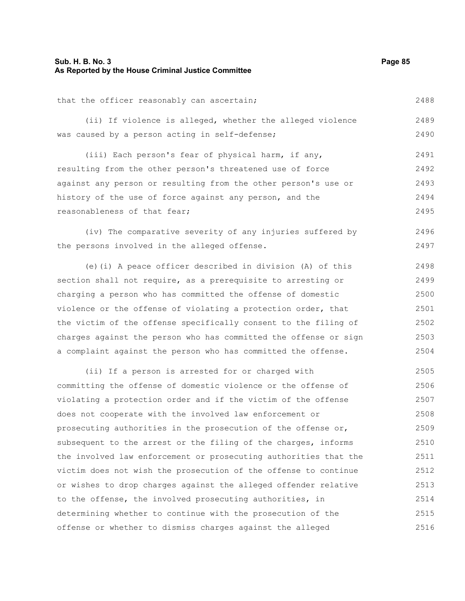# **Sub. H. B. No. 3 Page 85 As Reported by the House Criminal Justice Committee**

| that the officer reasonably can ascertain;                       | 2488 |
|------------------------------------------------------------------|------|
| (ii) If violence is alleged, whether the alleged violence        | 2489 |
| was caused by a person acting in self-defense;                   | 2490 |
| (iii) Each person's fear of physical harm, if any,               | 2491 |
| resulting from the other person's threatened use of force        | 2492 |
| against any person or resulting from the other person's use or   | 2493 |
| history of the use of force against any person, and the          | 2494 |
| reasonableness of that fear;                                     | 2495 |
| (iv) The comparative severity of any injuries suffered by        | 2496 |
| the persons involved in the alleged offense.                     | 2497 |
| (e)(i) A peace officer described in division (A) of this         | 2498 |
| section shall not require, as a prerequisite to arresting or     | 2499 |
| charging a person who has committed the offense of domestic      | 2500 |
| violence or the offense of violating a protection order, that    | 2501 |
| the victim of the offense specifically consent to the filing of  | 2502 |
| charges against the person who has committed the offense or sign | 2503 |
| a complaint against the person who has committed the offense.    | 2504 |
| (ii) If a person is arrested for or charged with                 | 2505 |
| committing the offense of domestic violence or the offense of    | 2506 |
| violating a protection order and if the victim of the offense    | 2507 |
| does not cooperate with the involved law enforcement or          | 2508 |
| prosecuting authorities in the prosecution of the offense or,    | 2509 |
| subsequent to the arrest or the filing of the charges, informs   | 2510 |
| the involved law enforcement or prosecuting authorities that the | 2511 |
| victim does not wish the prosecution of the offense to continue  | 2512 |
| or wishes to drop charges against the alleged offender relative  | 2513 |
| to the offense, the involved prosecuting authorities, in         | 2514 |
| determining whether to continue with the prosecution of the      | 2515 |
| offense or whether to dismiss charges against the alleged        | 2516 |
|                                                                  |      |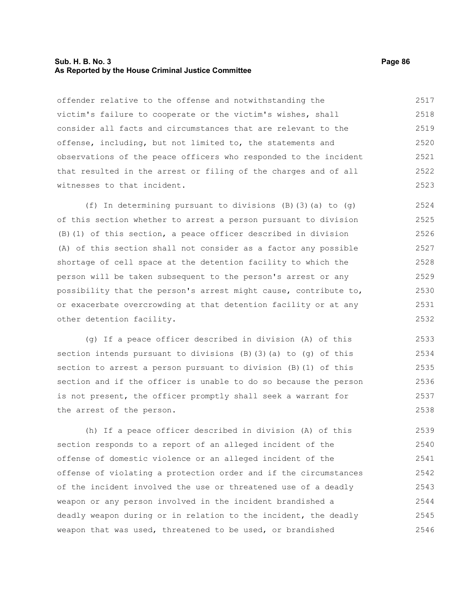## **Sub. H. B. No. 3 Page 86 As Reported by the House Criminal Justice Committee**

offender relative to the offense and notwithstanding the victim's failure to cooperate or the victim's wishes, shall consider all facts and circumstances that are relevant to the offense, including, but not limited to, the statements and observations of the peace officers who responded to the incident that resulted in the arrest or filing of the charges and of all witnesses to that incident. 2517 2518 2519 2520 2521 2522 2523

(f) In determining pursuant to divisions (B)(3)(a) to (g) of this section whether to arrest a person pursuant to division (B)(1) of this section, a peace officer described in division (A) of this section shall not consider as a factor any possible shortage of cell space at the detention facility to which the person will be taken subsequent to the person's arrest or any possibility that the person's arrest might cause, contribute to, or exacerbate overcrowding at that detention facility or at any other detention facility. 2524 2525 2526 2527 2528 2529 2530 2531 2532

(g) If a peace officer described in division (A) of this section intends pursuant to divisions (B)(3)(a) to (g) of this section to arrest a person pursuant to division (B)(1) of this section and if the officer is unable to do so because the person is not present, the officer promptly shall seek a warrant for the arrest of the person. 2533 2534 2535 2536 2537 2538

(h) If a peace officer described in division (A) of this section responds to a report of an alleged incident of the offense of domestic violence or an alleged incident of the offense of violating a protection order and if the circumstances of the incident involved the use or threatened use of a deadly weapon or any person involved in the incident brandished a deadly weapon during or in relation to the incident, the deadly weapon that was used, threatened to be used, or brandished 2539 2540 2541 2542 2543 2544 2545 2546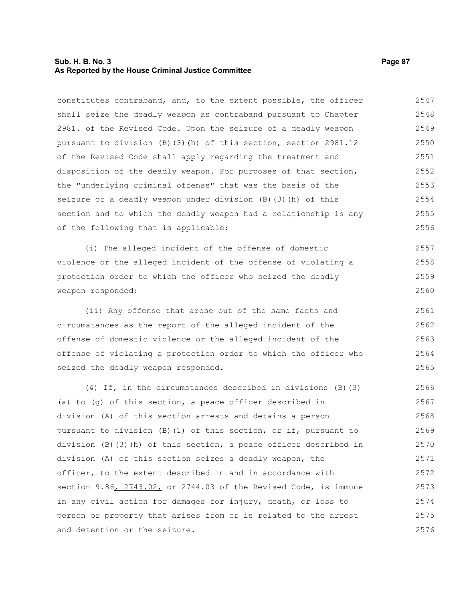## **Sub. H. B. No. 3 Page 87 As Reported by the House Criminal Justice Committee**

constitutes contraband, and, to the extent possible, the officer shall seize the deadly weapon as contraband pursuant to Chapter 2981. of the Revised Code. Upon the seizure of a deadly weapon pursuant to division (B)(3)(h) of this section, section 2981.12 of the Revised Code shall apply regarding the treatment and disposition of the deadly weapon. For purposes of that section, the "underlying criminal offense" that was the basis of the seizure of a deadly weapon under division (B)(3)(h) of this section and to which the deadly weapon had a relationship is any of the following that is applicable: 2547 2548 2549 2550 2551 2552 2553 2554 2555 2556

(i) The alleged incident of the offense of domestic violence or the alleged incident of the offense of violating a protection order to which the officer who seized the deadly weapon responded; 2557 2558 2559 2560

(ii) Any offense that arose out of the same facts and circumstances as the report of the alleged incident of the offense of domestic violence or the alleged incident of the offense of violating a protection order to which the officer who seized the deadly weapon responded. 2561 2562 2563 2564 2565

(4) If, in the circumstances described in divisions (B)(3) (a) to (g) of this section, a peace officer described in division (A) of this section arrests and detains a person pursuant to division (B)(1) of this section, or if, pursuant to division (B)(3)(h) of this section, a peace officer described in division (A) of this section seizes a deadly weapon, the officer, to the extent described in and in accordance with section  $9.86$ ,  $2743.02$ , or  $2744.03$  of the Revised Code, is immune in any civil action for damages for injury, death, or loss to person or property that arises from or is related to the arrest and detention or the seizure. 2566 2567 2568 2569 2570 2571 2572 2573 2574 2575 2576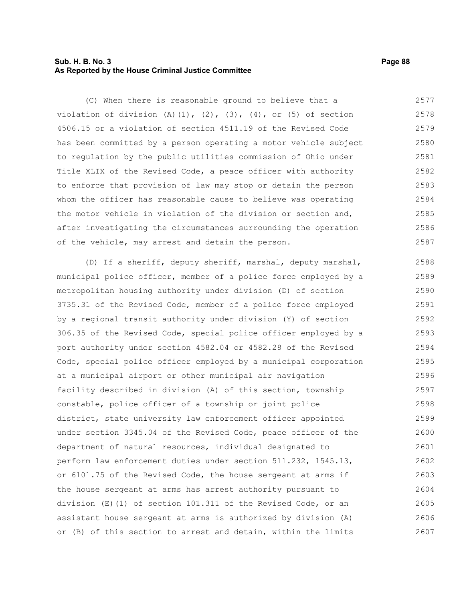## **Sub. H. B. No. 3 Page 88 As Reported by the House Criminal Justice Committee**

(C) When there is reasonable ground to believe that a violation of division  $(A)$   $(1)$ ,  $(2)$ ,  $(3)$ ,  $(4)$ , or  $(5)$  of section 4506.15 or a violation of section 4511.19 of the Revised Code has been committed by a person operating a motor vehicle subject to regulation by the public utilities commission of Ohio under Title XLIX of the Revised Code, a peace officer with authority to enforce that provision of law may stop or detain the person whom the officer has reasonable cause to believe was operating the motor vehicle in violation of the division or section and, after investigating the circumstances surrounding the operation of the vehicle, may arrest and detain the person. 2577 2578 2579 2580 2581 2582 2583 2584 2585 2586 2587

(D) If a sheriff, deputy sheriff, marshal, deputy marshal, municipal police officer, member of a police force employed by a metropolitan housing authority under division (D) of section 3735.31 of the Revised Code, member of a police force employed by a regional transit authority under division (Y) of section 306.35 of the Revised Code, special police officer employed by a port authority under section 4582.04 or 4582.28 of the Revised Code, special police officer employed by a municipal corporation at a municipal airport or other municipal air navigation facility described in division (A) of this section, township constable, police officer of a township or joint police district, state university law enforcement officer appointed under section 3345.04 of the Revised Code, peace officer of the department of natural resources, individual designated to perform law enforcement duties under section 511.232, 1545.13, or 6101.75 of the Revised Code, the house sergeant at arms if the house sergeant at arms has arrest authority pursuant to division (E)(1) of section 101.311 of the Revised Code, or an assistant house sergeant at arms is authorized by division (A) or (B) of this section to arrest and detain, within the limits 2588 2589 2590 2591 2592 2593 2594 2595 2596 2597 2598 2599 2600 2601 2602 2603 2604 2605 2606 2607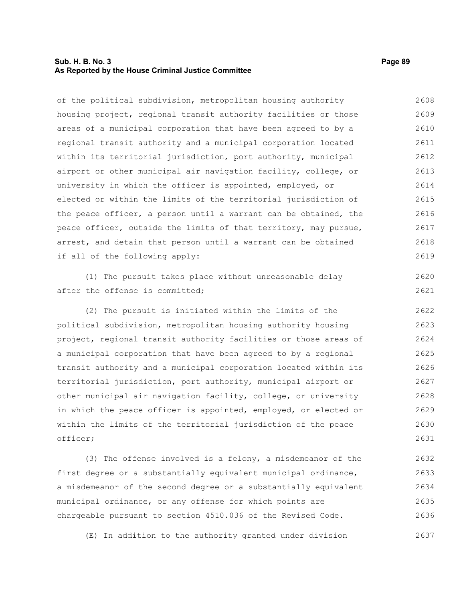## **Sub. H. B. No. 3 Page 89 As Reported by the House Criminal Justice Committee**

of the political subdivision, metropolitan housing authority housing project, regional transit authority facilities or those areas of a municipal corporation that have been agreed to by a regional transit authority and a municipal corporation located within its territorial jurisdiction, port authority, municipal airport or other municipal air navigation facility, college, or university in which the officer is appointed, employed, or elected or within the limits of the territorial jurisdiction of the peace officer, a person until a warrant can be obtained, the peace officer, outside the limits of that territory, may pursue, arrest, and detain that person until a warrant can be obtained if all of the following apply: 2608 2609 2610 2611 2612 2613 2614 2615 2616 2617 2618 2619

(1) The pursuit takes place without unreasonable delay after the offense is committed;

(2) The pursuit is initiated within the limits of the political subdivision, metropolitan housing authority housing project, regional transit authority facilities or those areas of a municipal corporation that have been agreed to by a regional transit authority and a municipal corporation located within its territorial jurisdiction, port authority, municipal airport or other municipal air navigation facility, college, or university in which the peace officer is appointed, employed, or elected or within the limits of the territorial jurisdiction of the peace officer; 2622 2623 2624 2625 2626 2627 2628 2629 2630 2631

(3) The offense involved is a felony, a misdemeanor of the first degree or a substantially equivalent municipal ordinance, a misdemeanor of the second degree or a substantially equivalent municipal ordinance, or any offense for which points are chargeable pursuant to section 4510.036 of the Revised Code. 2632 2633 2634 2635 2636

(E) In addition to the authority granted under division 2637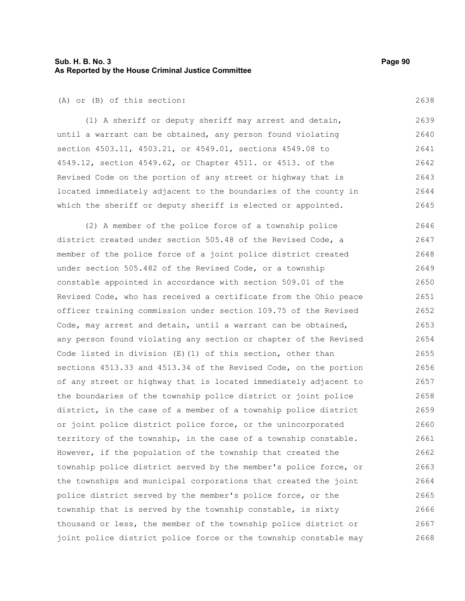(A) or (B) of this section:

(1) A sheriff or deputy sheriff may arrest and detain, until a warrant can be obtained, any person found violating section 4503.11, 4503.21, or 4549.01, sections 4549.08 to 4549.12, section 4549.62, or Chapter 4511. or 4513. of the Revised Code on the portion of any street or highway that is located immediately adjacent to the boundaries of the county in which the sheriff or deputy sheriff is elected or appointed. 2639 2640 2641 2642 2643 2644 2645

(2) A member of the police force of a township police district created under section 505.48 of the Revised Code, a member of the police force of a joint police district created under section 505.482 of the Revised Code, or a township constable appointed in accordance with section 509.01 of the Revised Code, who has received a certificate from the Ohio peace officer training commission under section 109.75 of the Revised Code, may arrest and detain, until a warrant can be obtained, any person found violating any section or chapter of the Revised Code listed in division (E)(1) of this section, other than sections 4513.33 and 4513.34 of the Revised Code, on the portion of any street or highway that is located immediately adjacent to the boundaries of the township police district or joint police district, in the case of a member of a township police district or joint police district police force, or the unincorporated territory of the township, in the case of a township constable. However, if the population of the township that created the township police district served by the member's police force, or the townships and municipal corporations that created the joint police district served by the member's police force, or the township that is served by the township constable, is sixty thousand or less, the member of the township police district or joint police district police force or the township constable may 2646 2647 2648 2649 2650 2651 2652 2653 2654 2655 2656 2657 2658 2659 2660 2661 2662 2663 2664 2665 2666 2667 2668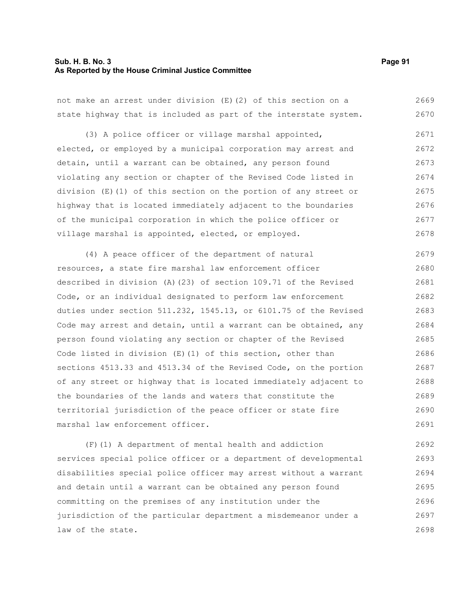## **Sub. H. B. No. 3 Page 91 As Reported by the House Criminal Justice Committee**

not make an arrest under division (E)(2) of this section on a state highway that is included as part of the interstate system. 2669 2670

(3) A police officer or village marshal appointed, elected, or employed by a municipal corporation may arrest and detain, until a warrant can be obtained, any person found violating any section or chapter of the Revised Code listed in division (E)(1) of this section on the portion of any street or highway that is located immediately adjacent to the boundaries of the municipal corporation in which the police officer or village marshal is appointed, elected, or employed. 2671 2672 2673 2674 2675 2676 2677 2678

(4) A peace officer of the department of natural resources, a state fire marshal law enforcement officer described in division (A)(23) of section 109.71 of the Revised Code, or an individual designated to perform law enforcement duties under section 511.232, 1545.13, or 6101.75 of the Revised Code may arrest and detain, until a warrant can be obtained, any person found violating any section or chapter of the Revised Code listed in division (E)(1) of this section, other than sections 4513.33 and 4513.34 of the Revised Code, on the portion of any street or highway that is located immediately adjacent to the boundaries of the lands and waters that constitute the territorial jurisdiction of the peace officer or state fire marshal law enforcement officer. 2679 2680 2681 2682 2683 2684 2685 2686 2687 2688 2689 2690 2691

(F)(1) A department of mental health and addiction services special police officer or a department of developmental disabilities special police officer may arrest without a warrant and detain until a warrant can be obtained any person found committing on the premises of any institution under the jurisdiction of the particular department a misdemeanor under a law of the state. 2692 2693 2694 2695 2696 2697 2698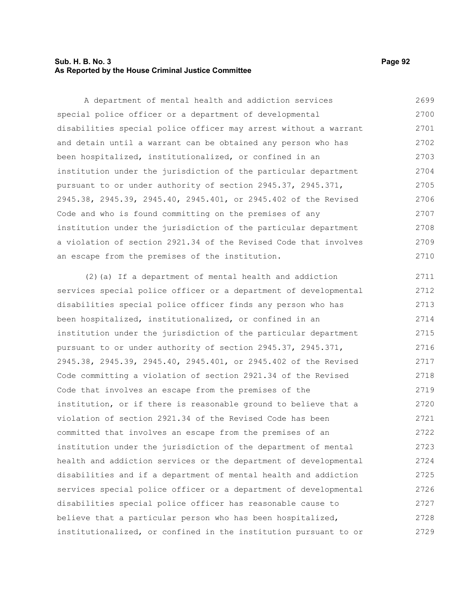## **Sub. H. B. No. 3 Page 92 As Reported by the House Criminal Justice Committee**

A department of mental health and addiction services special police officer or a department of developmental disabilities special police officer may arrest without a warrant and detain until a warrant can be obtained any person who has been hospitalized, institutionalized, or confined in an institution under the jurisdiction of the particular department pursuant to or under authority of section 2945.37, 2945.371, 2945.38, 2945.39, 2945.40, 2945.401, or 2945.402 of the Revised Code and who is found committing on the premises of any institution under the jurisdiction of the particular department a violation of section 2921.34 of the Revised Code that involves an escape from the premises of the institution. 2699 2700 2701 2702 2703 2704 2705 2706 2707 2708 2709 2710

(2)(a) If a department of mental health and addiction services special police officer or a department of developmental disabilities special police officer finds any person who has been hospitalized, institutionalized, or confined in an institution under the jurisdiction of the particular department pursuant to or under authority of section 2945.37, 2945.371, 2945.38, 2945.39, 2945.40, 2945.401, or 2945.402 of the Revised Code committing a violation of section 2921.34 of the Revised Code that involves an escape from the premises of the institution, or if there is reasonable ground to believe that a violation of section 2921.34 of the Revised Code has been committed that involves an escape from the premises of an institution under the jurisdiction of the department of mental health and addiction services or the department of developmental disabilities and if a department of mental health and addiction services special police officer or a department of developmental disabilities special police officer has reasonable cause to believe that a particular person who has been hospitalized, institutionalized, or confined in the institution pursuant to or 2711 2712 2713 2714 2715 2716 2717 2718 2719 2720 2721 2722 2723 2724 2725 2726 2727 2728 2729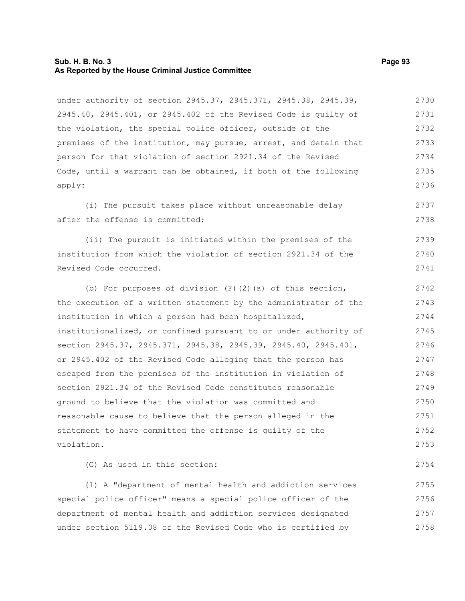## **Sub. H. B. No. 3 Page 93 As Reported by the House Criminal Justice Committee**

under authority of section 2945.37, 2945.371, 2945.38, 2945.39, 2945.40, 2945.401, or 2945.402 of the Revised Code is guilty of the violation, the special police officer, outside of the premises of the institution, may pursue, arrest, and detain that person for that violation of section 2921.34 of the Revised Code, until a warrant can be obtained, if both of the following apply: (i) The pursuit takes place without unreasonable delay after the offense is committed; (ii) The pursuit is initiated within the premises of the institution from which the violation of section 2921.34 of the Revised Code occurred. (b) For purposes of division (F)(2)(a) of this section, the execution of a written statement by the administrator of the institution in which a person had been hospitalized, institutionalized, or confined pursuant to or under authority of section 2945.37, 2945.371, 2945.38, 2945.39, 2945.40, 2945.401, or 2945.402 of the Revised Code alleging that the person has escaped from the premises of the institution in violation of section 2921.34 of the Revised Code constitutes reasonable ground to believe that the violation was committed and reasonable cause to believe that the person alleged in the statement to have committed the offense is guilty of the violation. 2730 2731 2732 2733 2734 2735 2736 2737 2738 2739 2740 2741 2742 2743 2744 2745 2746 2747 2748 2749 2750 2751 2752 2753

(G) As used in this section:

(1) A "department of mental health and addiction services special police officer" means a special police officer of the department of mental health and addiction services designated under section 5119.08 of the Revised Code who is certified by 2755 2756 2757 2758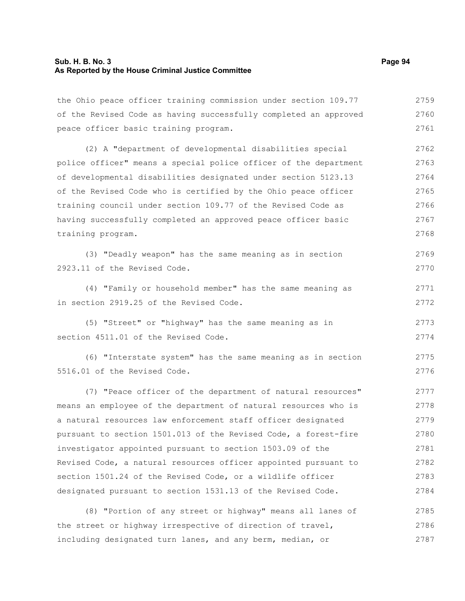## **Sub. H. B. No. 3 Page 94 As Reported by the House Criminal Justice Committee**

the Ohio peace officer training commission under section 109.77 of the Revised Code as having successfully completed an approved peace officer basic training program. 2759 2760 2761

(2) A "department of developmental disabilities special police officer" means a special police officer of the department of developmental disabilities designated under section 5123.13 of the Revised Code who is certified by the Ohio peace officer training council under section 109.77 of the Revised Code as having successfully completed an approved peace officer basic training program. 2762 2763 2764 2765 2766 2767 2768

|                              |  |  |  |  |  | (3) "Deadly weapon" has the same meaning as in section | 2769 |
|------------------------------|--|--|--|--|--|--------------------------------------------------------|------|
| 2923.11 of the Revised Code. |  |  |  |  |  |                                                        | 2770 |

(4) "Family or household member" has the same meaning as in section 2919.25 of the Revised Code. 2771 2772

(5) "Street" or "highway" has the same meaning as in section 4511.01 of the Revised Code. 2773 2774

(6) "Interstate system" has the same meaning as in section 5516.01 of the Revised Code. 2775 2776

(7) "Peace officer of the department of natural resources" means an employee of the department of natural resources who is a natural resources law enforcement staff officer designated pursuant to section 1501.013 of the Revised Code, a forest-fire investigator appointed pursuant to section 1503.09 of the Revised Code, a natural resources officer appointed pursuant to section 1501.24 of the Revised Code, or a wildlife officer designated pursuant to section 1531.13 of the Revised Code. 2777 2778 2779 2780 2781 2782 2783 2784

(8) "Portion of any street or highway" means all lanes of the street or highway irrespective of direction of travel, including designated turn lanes, and any berm, median, or 2785 2786 2787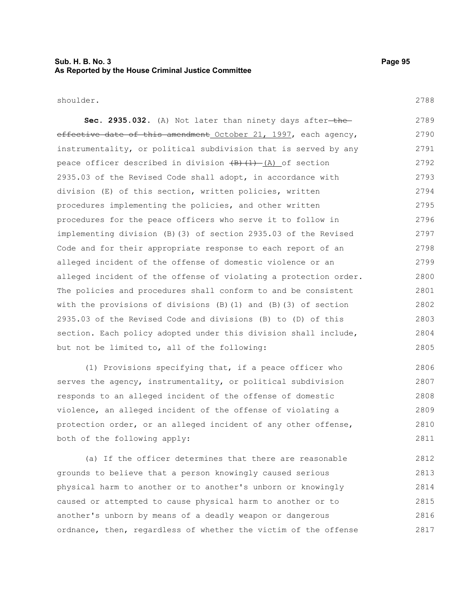# **Sub. H. B. No. 3 Page 95 As Reported by the House Criminal Justice Committee**

shoulder.

2788

Sec. 2935.032. (A) Not later than ninety days after-theeffective date of this amendment October 21, 1997, each agency, instrumentality, or political subdivision that is served by any peace officer described in division  $\left(\frac{B}{1}\right)$  (A) of section 2935.03 of the Revised Code shall adopt, in accordance with division (E) of this section, written policies, written procedures implementing the policies, and other written procedures for the peace officers who serve it to follow in implementing division (B)(3) of section 2935.03 of the Revised Code and for their appropriate response to each report of an alleged incident of the offense of domestic violence or an alleged incident of the offense of violating a protection order. The policies and procedures shall conform to and be consistent with the provisions of divisions (B)(1) and (B)(3) of section 2935.03 of the Revised Code and divisions (B) to (D) of this section. Each policy adopted under this division shall include, but not be limited to, all of the following: 2789 2790 2791 2792 2793 2794 2795 2796 2797 2798 2799 2800 2801 2802 2803 2804 2805

(1) Provisions specifying that, if a peace officer who serves the agency, instrumentality, or political subdivision responds to an alleged incident of the offense of domestic violence, an alleged incident of the offense of violating a protection order, or an alleged incident of any other offense, both of the following apply: 2806 2807 2808 2809 2810 2811

(a) If the officer determines that there are reasonable grounds to believe that a person knowingly caused serious physical harm to another or to another's unborn or knowingly caused or attempted to cause physical harm to another or to another's unborn by means of a deadly weapon or dangerous ordnance, then, regardless of whether the victim of the offense 2812 2813 2814 2815 2816 2817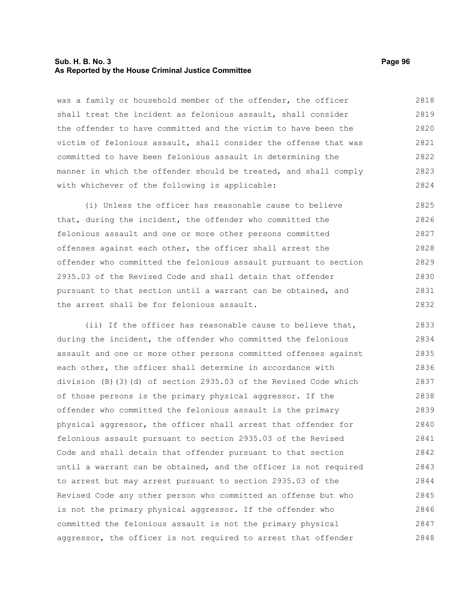## **Sub. H. B. No. 3 Page 96 As Reported by the House Criminal Justice Committee**

was a family or household member of the offender, the officer shall treat the incident as felonious assault, shall consider the offender to have committed and the victim to have been the victim of felonious assault, shall consider the offense that was committed to have been felonious assault in determining the manner in which the offender should be treated, and shall comply with whichever of the following is applicable: 2818 2819 2820 2821 2822 2823 2824

(i) Unless the officer has reasonable cause to believe that, during the incident, the offender who committed the felonious assault and one or more other persons committed offenses against each other, the officer shall arrest the offender who committed the felonious assault pursuant to section 2935.03 of the Revised Code and shall detain that offender pursuant to that section until a warrant can be obtained, and the arrest shall be for felonious assault. 2825 2826 2827 2828 2829 2830 2831 2832

(ii) If the officer has reasonable cause to believe that, during the incident, the offender who committed the felonious assault and one or more other persons committed offenses against each other, the officer shall determine in accordance with division (B)(3)(d) of section 2935.03 of the Revised Code which of those persons is the primary physical aggressor. If the offender who committed the felonious assault is the primary physical aggressor, the officer shall arrest that offender for felonious assault pursuant to section 2935.03 of the Revised Code and shall detain that offender pursuant to that section until a warrant can be obtained, and the officer is not required to arrest but may arrest pursuant to section 2935.03 of the Revised Code any other person who committed an offense but who is not the primary physical aggressor. If the offender who committed the felonious assault is not the primary physical aggressor, the officer is not required to arrest that offender 2833 2834 2835 2836 2837 2838 2839 2840 2841 2842 2843 2844 2845 2846 2847 2848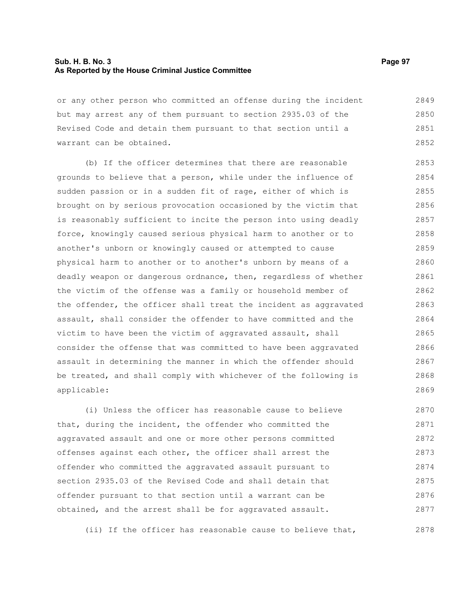## **Sub. H. B. No. 3 Page 97 As Reported by the House Criminal Justice Committee**

or any other person who committed an offense during the incident but may arrest any of them pursuant to section 2935.03 of the Revised Code and detain them pursuant to that section until a warrant can be obtained. 2849 2850 2851 2852

(b) If the officer determines that there are reasonable grounds to believe that a person, while under the influence of sudden passion or in a sudden fit of rage, either of which is brought on by serious provocation occasioned by the victim that is reasonably sufficient to incite the person into using deadly force, knowingly caused serious physical harm to another or to another's unborn or knowingly caused or attempted to cause physical harm to another or to another's unborn by means of a deadly weapon or dangerous ordnance, then, regardless of whether the victim of the offense was a family or household member of the offender, the officer shall treat the incident as aggravated assault, shall consider the offender to have committed and the victim to have been the victim of aggravated assault, shall consider the offense that was committed to have been aggravated assault in determining the manner in which the offender should be treated, and shall comply with whichever of the following is applicable: 2853 2854 2855 2856 2857 2858 2859 2860 2861 2862 2863 2864 2865 2866 2867 2868 2869

(i) Unless the officer has reasonable cause to believe that, during the incident, the offender who committed the aggravated assault and one or more other persons committed offenses against each other, the officer shall arrest the offender who committed the aggravated assault pursuant to section 2935.03 of the Revised Code and shall detain that offender pursuant to that section until a warrant can be obtained, and the arrest shall be for aggravated assault. 2870 2871 2872 2873 2874 2875 2876 2877

(ii) If the officer has reasonable cause to believe that, 2878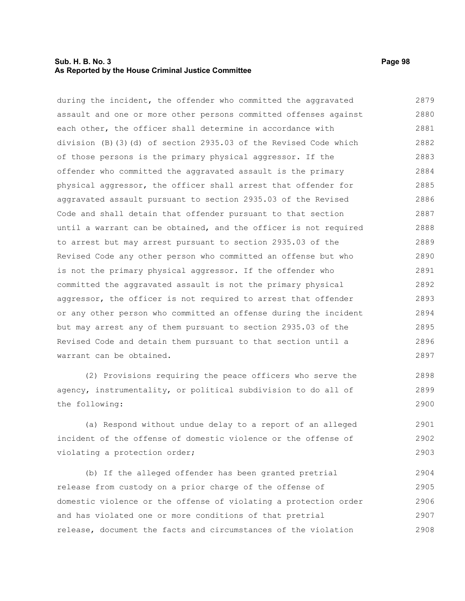## **Sub. H. B. No. 3 Page 98 As Reported by the House Criminal Justice Committee**

during the incident, the offender who committed the aggravated assault and one or more other persons committed offenses against each other, the officer shall determine in accordance with division (B)(3)(d) of section 2935.03 of the Revised Code which of those persons is the primary physical aggressor. If the offender who committed the aggravated assault is the primary physical aggressor, the officer shall arrest that offender for aggravated assault pursuant to section 2935.03 of the Revised Code and shall detain that offender pursuant to that section until a warrant can be obtained, and the officer is not required to arrest but may arrest pursuant to section 2935.03 of the Revised Code any other person who committed an offense but who is not the primary physical aggressor. If the offender who committed the aggravated assault is not the primary physical aggressor, the officer is not required to arrest that offender or any other person who committed an offense during the incident but may arrest any of them pursuant to section 2935.03 of the Revised Code and detain them pursuant to that section until a warrant can be obtained. 2879 2880 2881 2882 2883 2884 2885 2886 2887 2888 2889 2890 2891 2892 2893 2894 2895 2896 2897

(2) Provisions requiring the peace officers who serve the agency, instrumentality, or political subdivision to do all of the following: 2898 2899 2900

(a) Respond without undue delay to a report of an alleged incident of the offense of domestic violence or the offense of violating a protection order; 2901 2902 2903

(b) If the alleged offender has been granted pretrial release from custody on a prior charge of the offense of domestic violence or the offense of violating a protection order and has violated one or more conditions of that pretrial release, document the facts and circumstances of the violation 2904 2905 2906 2907 2908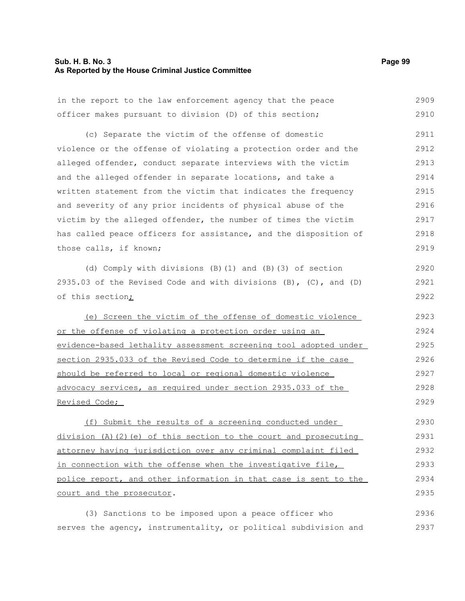## **Sub. H. B. No. 3 Page 99 As Reported by the House Criminal Justice Committee**

in the report to the law enforcement agency that the peace officer makes pursuant to division (D) of this section; (c) Separate the victim of the offense of domestic violence or the offense of violating a protection order and the alleged offender, conduct separate interviews with the victim and the alleged offender in separate locations, and take a written statement from the victim that indicates the frequency and severity of any prior incidents of physical abuse of the victim by the alleged offender, the number of times the victim has called peace officers for assistance, and the disposition of those calls, if known; (d) Comply with divisions (B)(1) and (B)(3) of section 2935.03 of the Revised Code and with divisions (B), (C), and (D) of this section; (e) Screen the victim of the offense of domestic violence or the offense of violating a protection order using an evidence-based lethality assessment screening tool adopted under section 2935.033 of the Revised Code to determine if the case should be referred to local or regional domestic violence advocacy services, as required under section 2935.033 of the Revised Code; (f) Submit the results of a screening conducted under division (A)(2)(e) of this section to the court and prosecuting attorney having jurisdiction over any criminal complaint filed in connection with the offense when the investigative file, police report, and other information in that case is sent to the court and the prosecutor. (3) Sanctions to be imposed upon a peace officer who 2909 2910 2911 2912 2913 2914 2915 2916 2917 2918 2919 2920 2921 2922 2923 2924 2925 2926 2927 2928 2929 2930 2931 2932 2933 2934 2935 2936

serves the agency, instrumentality, or political subdivision and 2937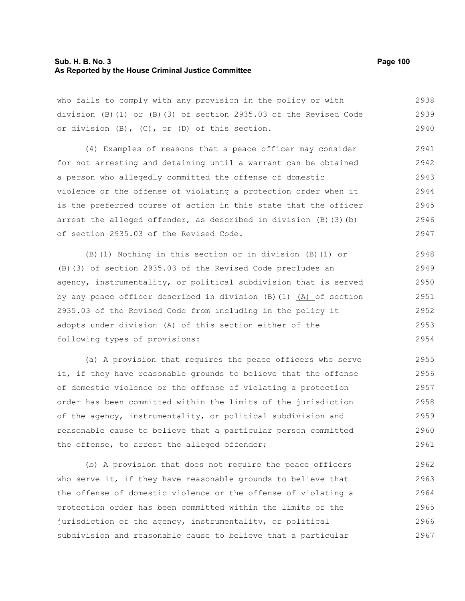## **Sub. H. B. No. 3 Page 100 As Reported by the House Criminal Justice Committee**

who fails to comply with any provision in the policy or with division (B)(1) or (B)(3) of section 2935.03 of the Revised Code or division (B), (C), or (D) of this section. 2938 2939 2940

(4) Examples of reasons that a peace officer may consider for not arresting and detaining until a warrant can be obtained a person who allegedly committed the offense of domestic violence or the offense of violating a protection order when it is the preferred course of action in this state that the officer arrest the alleged offender, as described in division (B)(3)(b) of section 2935.03 of the Revised Code. 2941 2942 2943 2944 2945 2946 2947

(B)(1) Nothing in this section or in division (B)(1) or (B)(3) of section 2935.03 of the Revised Code precludes an agency, instrumentality, or political subdivision that is served by any peace officer described in division  $\overline{(B)(1)}$   $\overline{(A)}$  of section 2935.03 of the Revised Code from including in the policy it adopts under division (A) of this section either of the following types of provisions: 2948 2949 2950 2951 2952 2953 2954

(a) A provision that requires the peace officers who serve it, if they have reasonable grounds to believe that the offense of domestic violence or the offense of violating a protection order has been committed within the limits of the jurisdiction of the agency, instrumentality, or political subdivision and reasonable cause to believe that a particular person committed the offense, to arrest the alleged offender; 2955 2956 2957 2958 2959 2960 2961

(b) A provision that does not require the peace officers who serve it, if they have reasonable grounds to believe that the offense of domestic violence or the offense of violating a protection order has been committed within the limits of the jurisdiction of the agency, instrumentality, or political subdivision and reasonable cause to believe that a particular 2962 2963 2964 2965 2966 2967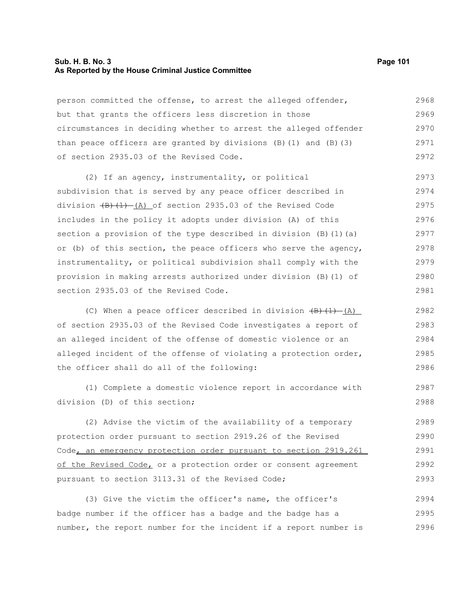## **Sub. H. B. No. 3 Page 101 As Reported by the House Criminal Justice Committee**

person committed the offense, to arrest the alleged offender, but that grants the officers less discretion in those circumstances in deciding whether to arrest the alleged offender than peace officers are granted by divisions  $(B)$  (1) and  $(B)$  (3) of section 2935.03 of the Revised Code. 2968 2969 2970 2971 2972

(2) If an agency, instrumentality, or political subdivision that is served by any peace officer described in division  $\left(\frac{B}{1}\right)$  (A) of section 2935.03 of the Revised Code includes in the policy it adopts under division (A) of this section a provision of the type described in division (B)(1)(a) or (b) of this section, the peace officers who serve the agency, instrumentality, or political subdivision shall comply with the provision in making arrests authorized under division (B)(1) of section 2935.03 of the Revised Code. 2973 2974 2975 2976 2977 2978 2979 2980 2981

(C) When a peace officer described in division  $\{B\}(1)$  (A) of section 2935.03 of the Revised Code investigates a report of an alleged incident of the offense of domestic violence or an alleged incident of the offense of violating a protection order, the officer shall do all of the following: 2982 2983 2984 2985 2986

(1) Complete a domestic violence report in accordance with division (D) of this section; 2987 2988

(2) Advise the victim of the availability of a temporary protection order pursuant to section 2919.26 of the Revised Code, an emergency protection order pursuant to section 2919.261 of the Revised Code, or a protection order or consent agreement pursuant to section 3113.31 of the Revised Code; 2989 2990 2991 2992 2993

(3) Give the victim the officer's name, the officer's badge number if the officer has a badge and the badge has a number, the report number for the incident if a report number is 2994 2995 2996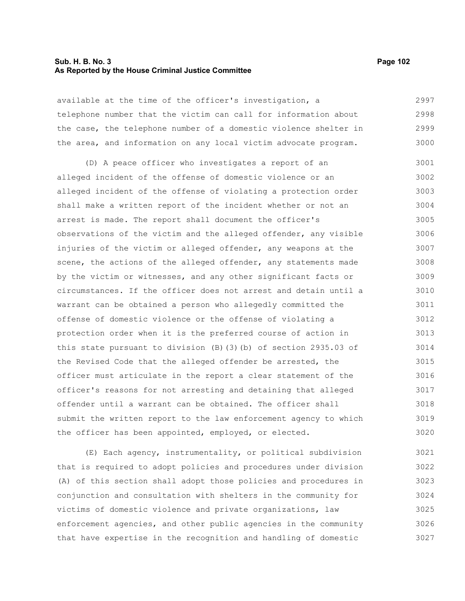## **Sub. H. B. No. 3 Page 102 As Reported by the House Criminal Justice Committee**

available at the time of the officer's investigation, a telephone number that the victim can call for information about the case, the telephone number of a domestic violence shelter in the area, and information on any local victim advocate program. 2997 2998 2999 3000

(D) A peace officer who investigates a report of an alleged incident of the offense of domestic violence or an alleged incident of the offense of violating a protection order shall make a written report of the incident whether or not an arrest is made. The report shall document the officer's observations of the victim and the alleged offender, any visible injuries of the victim or alleged offender, any weapons at the scene, the actions of the alleged offender, any statements made by the victim or witnesses, and any other significant facts or circumstances. If the officer does not arrest and detain until a warrant can be obtained a person who allegedly committed the offense of domestic violence or the offense of violating a protection order when it is the preferred course of action in this state pursuant to division (B)(3)(b) of section 2935.03 of the Revised Code that the alleged offender be arrested, the officer must articulate in the report a clear statement of the officer's reasons for not arresting and detaining that alleged offender until a warrant can be obtained. The officer shall submit the written report to the law enforcement agency to which the officer has been appointed, employed, or elected. 3001 3002 3003 3004 3005 3006 3007 3008 3009 3010 3011 3012 3013 3014 3015 3016 3017 3018 3019 3020

(E) Each agency, instrumentality, or political subdivision that is required to adopt policies and procedures under division (A) of this section shall adopt those policies and procedures in conjunction and consultation with shelters in the community for victims of domestic violence and private organizations, law enforcement agencies, and other public agencies in the community that have expertise in the recognition and handling of domestic 3021 3022 3023 3024 3025 3026 3027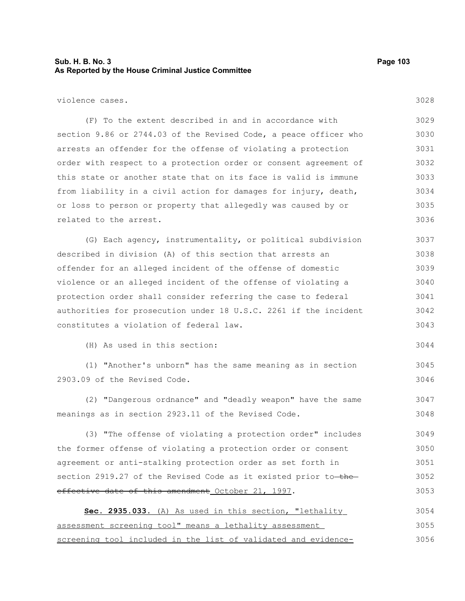# **Sub. H. B. No. 3 Page 103 As Reported by the House Criminal Justice Committee**

| violence cases. |  |
|-----------------|--|
|-----------------|--|

3028

3044

| (F) To the extent described in and in accordance with            | 3029 |
|------------------------------------------------------------------|------|
| section 9.86 or 2744.03 of the Revised Code, a peace officer who | 3030 |
| arrests an offender for the offense of violating a protection    | 3031 |
| order with respect to a protection order or consent agreement of | 3032 |
| this state or another state that on its face is valid is immune  | 3033 |
| from liability in a civil action for damages for injury, death,  | 3034 |
| or loss to person or property that allegedly was caused by or    | 3035 |
| related to the arrest.                                           | 3036 |

(G) Each agency, instrumentality, or political subdivision described in division (A) of this section that arrests an offender for an alleged incident of the offense of domestic violence or an alleged incident of the offense of violating a protection order shall consider referring the case to federal authorities for prosecution under 18 U.S.C. 2261 if the incident constitutes a violation of federal law. 3037 3038 3039 3040 3041 3042 3043

(H) As used in this section:

(1) "Another's unborn" has the same meaning as in section 2903.09 of the Revised Code. 3045 3046

(2) "Dangerous ordnance" and "deadly weapon" have the same meanings as in section 2923.11 of the Revised Code. 3047 3048

(3) "The offense of violating a protection order" includes the former offense of violating a protection order or consent agreement or anti-stalking protection order as set forth in section 2919.27 of the Revised Code as it existed prior to-theeffective date of this amendment October 21, 1997. 3049 3050 3051 3052 3053

 **Sec. 2935.033.** (A) As used in this section, "lethality assessment screening tool" means a lethality assessment screening tool included in the list of validated and evidence-3054 3055 3056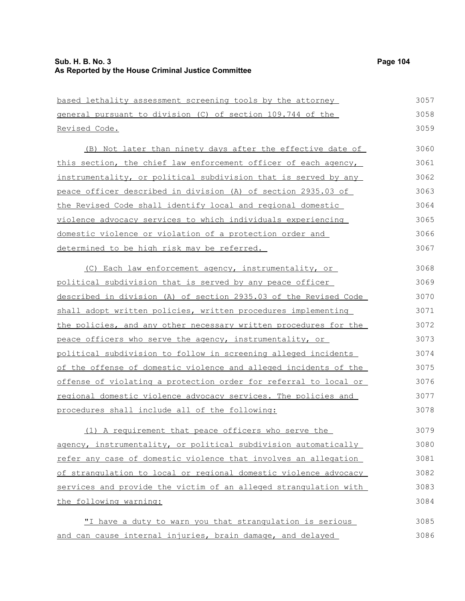| based lethality assessment screening tools by the attorney       | 3057 |
|------------------------------------------------------------------|------|
| general pursuant to division (C) of section 109.744 of the       | 3058 |
| Revised Code.                                                    | 3059 |
| (B) Not later than ninety days after the effective date of       | 3060 |
| this section, the chief law enforcement officer of each agency,  | 3061 |
| instrumentality, or political subdivision that is served by any  | 3062 |
| peace officer described in division (A) of section 2935.03 of    | 3063 |
| the Revised Code shall identify local and regional domestic      | 3064 |
| violence advocacy services to which individuals experiencing     | 3065 |
| domestic violence or violation of a protection order and         | 3066 |
| determined to be high risk may be referred.                      | 3067 |
| (C) Each law enforcement agency, instrumentality, or             | 3068 |
| political subdivision that is served by any peace officer        | 3069 |
| described in division (A) of section 2935.03 of the Revised Code | 3070 |
| shall adopt written policies, written procedures implementing    | 3071 |
| the policies, and any other necessary written procedures for the | 3072 |
| peace officers who serve the agency, instrumentality, or         | 3073 |
| political subdivision to follow in screening alleged incidents   | 3074 |
| of the offense of domestic violence and alleged incidents of the | 3075 |
| offense of violating a protection order for referral to local or | 3076 |
| regional domestic violence advocacy services. The policies and   | 3077 |
| procedures shall include all of the following:                   | 3078 |
| (1) A requirement that peace officers who serve the              | 3079 |
| agency, instrumentality, or political subdivision automatically  | 3080 |
| refer any case of domestic violence that involves an allegation  | 3081 |
| of strangulation to local or regional domestic violence advocacy | 3082 |
| services and provide the victim of an alleged strangulation with | 3083 |
| the following warning:                                           | 3084 |
| "I have a duty to warn you that strangulation is serious         | 3085 |
| and can cause internal injuries, brain damage, and delayed       | 3086 |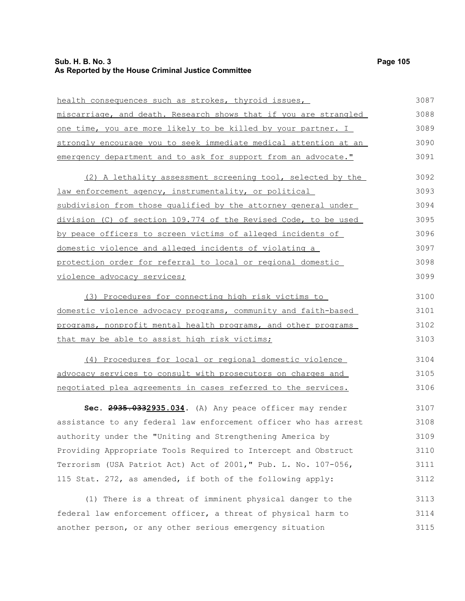# **Sub. H. B. No. 3 Page 105 As Reported by the House Criminal Justice Committee**

3115

| health consequences such as strokes, thyroid issues,             | 3087 |
|------------------------------------------------------------------|------|
| miscarriage, and death. Research shows that if you are strangled | 3088 |
| one time, you are more likely to be killed by your partner. I    | 3089 |
| strongly encourage you to seek immediate medical attention at an | 3090 |
| emergency department and to ask for support from an advocate."   | 3091 |
| (2) A lethality assessment screening tool, selected by the       | 3092 |
| law enforcement agency, instrumentality, or political            | 3093 |
| subdivision from those qualified by the attorney general under   | 3094 |
| division (C) of section 109.774 of the Revised Code, to be used  | 3095 |
| by peace officers to screen victims of alleged incidents of      | 3096 |
| domestic violence and alleged incidents of violating a           | 3097 |
| protection order for referral to local or regional domestic      | 3098 |
| violence advocacy services;                                      | 3099 |
| (3) Procedures for connecting high risk victims to               | 3100 |
| domestic violence advocacy programs, community and faith-based   | 3101 |
| programs, nonprofit mental health programs, and other programs   | 3102 |
| that may be able to assist high risk victims;                    | 3103 |
| (4) Procedures for local or regional domestic violence           | 3104 |
| advocacy services to consult with prosecutors on charges and     | 3105 |
| negotiated plea agreements in cases referred to the services.    | 3106 |
| Sec. 2935.0332935.034. (A) Any peace officer may render          | 3107 |
| assistance to any federal law enforcement officer who has arrest | 3108 |
| authority under the "Uniting and Strengthening America by        | 3109 |
| Providing Appropriate Tools Required to Intercept and Obstruct   | 3110 |
| Terrorism (USA Patriot Act) Act of 2001," Pub. L. No. 107-056,   | 3111 |
| 115 Stat. 272, as amended, if both of the following apply:       | 3112 |
| (1) There is a threat of imminent physical danger to the         | 3113 |
| federal law enforcement officer, a threat of physical harm to    | 3114 |

another person, or any other serious emergency situation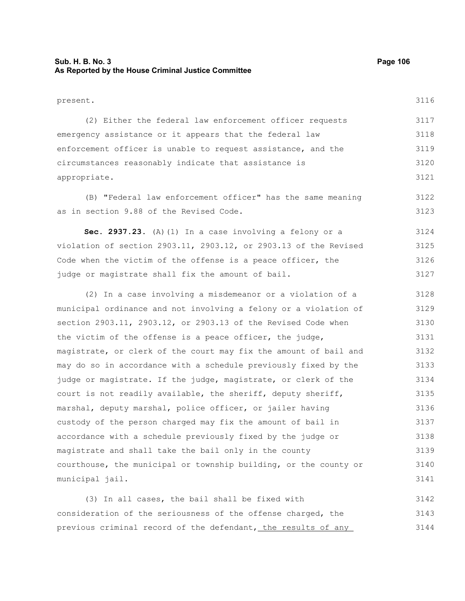# **Sub. H. B. No. 3 Page 106 As Reported by the House Criminal Justice Committee**

| present.                                                         | 3116 |
|------------------------------------------------------------------|------|
| (2) Either the federal law enforcement officer requests          | 3117 |
| emergency assistance or it appears that the federal law          | 3118 |
| enforcement officer is unable to request assistance, and the     | 3119 |
| circumstances reasonably indicate that assistance is             | 3120 |
| appropriate.                                                     | 3121 |
| (B) "Federal law enforcement officer" has the same meaning       | 3122 |
| as in section 9.88 of the Revised Code.                          | 3123 |
| Sec. 2937.23. (A) (1) In a case involving a felony or a          | 3124 |
| violation of section 2903.11, 2903.12, or 2903.13 of the Revised | 3125 |
| Code when the victim of the offense is a peace officer, the      | 3126 |
| judge or magistrate shall fix the amount of bail.                | 3127 |
| (2) In a case involving a misdemeanor or a violation of a        | 3128 |
| municipal ordinance and not involving a felony or a violation of | 3129 |
| section 2903.11, 2903.12, or 2903.13 of the Revised Code when    | 3130 |
| the victim of the offense is a peace officer, the judge,         | 3131 |
| magistrate, or clerk of the court may fix the amount of bail and | 3132 |
| may do so in accordance with a schedule previously fixed by the  | 3133 |
| judge or magistrate. If the judge, magistrate, or clerk of the   | 3134 |
| court is not readily available, the sheriff, deputy sheriff,     | 3135 |
| marshal, deputy marshal, police officer, or jailer having        | 3136 |
| custody of the person charged may fix the amount of bail in      | 3137 |
| accordance with a schedule previously fixed by the judge or      | 3138 |
| magistrate and shall take the bail only in the county            | 3139 |
| courthouse, the municipal or township building, or the county or | 3140 |
| municipal jail.                                                  | 3141 |
| (3) In all cases, the bail shall be fixed with                   | 3142 |
| consideration of the seriousness of the offense charged, the     | 3143 |

previous criminal record of the defendant, the results of any 3144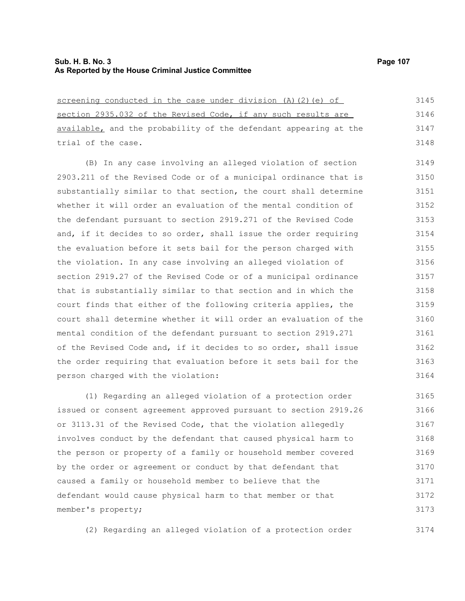## **Sub. H. B. No. 3 Page 107 As Reported by the House Criminal Justice Committee**

3174

| screening conducted in the case under division (A)(2)(e) of      | 3145 |
|------------------------------------------------------------------|------|
| section 2935.032 of the Revised Code, if any such results are    | 3146 |
| available, and the probability of the defendant appearing at the | 3147 |
| trial of the case.                                               | 3148 |

(B) In any case involving an alleged violation of section 2903.211 of the Revised Code or of a municipal ordinance that is substantially similar to that section, the court shall determine whether it will order an evaluation of the mental condition of the defendant pursuant to section 2919.271 of the Revised Code and, if it decides to so order, shall issue the order requiring the evaluation before it sets bail for the person charged with the violation. In any case involving an alleged violation of section 2919.27 of the Revised Code or of a municipal ordinance that is substantially similar to that section and in which the court finds that either of the following criteria applies, the court shall determine whether it will order an evaluation of the mental condition of the defendant pursuant to section 2919.271 of the Revised Code and, if it decides to so order, shall issue the order requiring that evaluation before it sets bail for the person charged with the violation: 3149 3150 3151 3152 3153 3154 3155 3156 3157 3158 3159 3160 3161 3162 3163 3164

(1) Regarding an alleged violation of a protection order issued or consent agreement approved pursuant to section 2919.26 or 3113.31 of the Revised Code, that the violation allegedly involves conduct by the defendant that caused physical harm to the person or property of a family or household member covered by the order or agreement or conduct by that defendant that caused a family or household member to believe that the defendant would cause physical harm to that member or that member's property; 3165 3166 3167 3168 3169 3170 3171 3172 3173

(2) Regarding an alleged violation of a protection order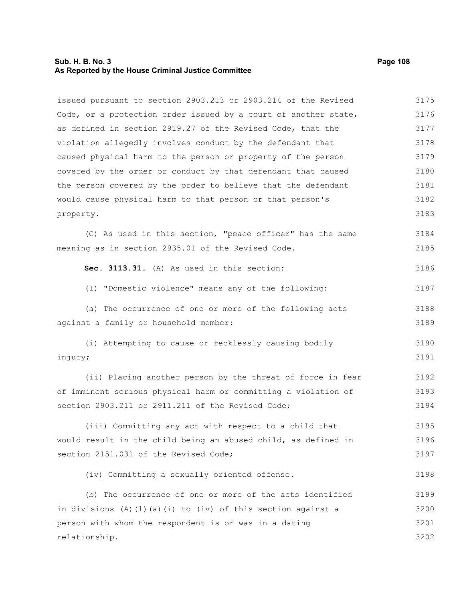## **Sub. H. B. No. 3 Page 108 As Reported by the House Criminal Justice Committee**

issued pursuant to section 2903.213 or 2903.214 of the Revised Code, or a protection order issued by a court of another state, as defined in section 2919.27 of the Revised Code, that the violation allegedly involves conduct by the defendant that

caused physical harm to the person or property of the person covered by the order or conduct by that defendant that caused the person covered by the order to believe that the defendant would cause physical harm to that person or that person's property. 3179 3180 3181 3182 3183

(C) As used in this section, "peace officer" has the same meaning as in section 2935.01 of the Revised Code. 3184 3185

**Sec. 3113.31.** (A) As used in this section: 3186

(1) "Domestic violence" means any of the following: 3187

(a) The occurrence of one or more of the following acts against a family or household member: 3188 3189

(i) Attempting to cause or recklessly causing bodily injury; 3190 3191

(ii) Placing another person by the threat of force in fear of imminent serious physical harm or committing a violation of section 2903.211 or 2911.211 of the Revised Code; 3192 3193 3194

(iii) Committing any act with respect to a child that would result in the child being an abused child, as defined in section 2151.031 of the Revised Code; 3195 3196 3197

(iv) Committing a sexually oriented offense.

(b) The occurrence of one or more of the acts identified in divisions (A)(1)(a)(i) to (iv) of this section against a person with whom the respondent is or was in a dating relationship. 3199 3200 3201 3202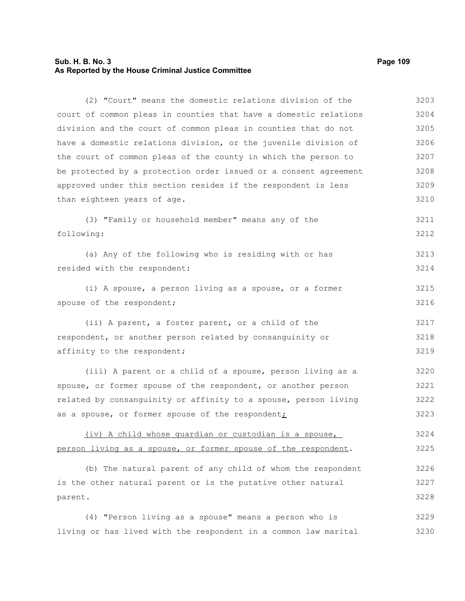## **Sub. H. B. No. 3 Page 109 As Reported by the House Criminal Justice Committee**

(2) "Court" means the domestic relations division of the court of common pleas in counties that have a domestic relations division and the court of common pleas in counties that do not have a domestic relations division, or the juvenile division of the court of common pleas of the county in which the person to be protected by a protection order issued or a consent agreement approved under this section resides if the respondent is less than eighteen years of age. 3203 3204 3205 3206 3207 3208 3209 3210

- (3) "Family or household member" means any of the following: 3211 3212
- (a) Any of the following who is residing with or has resided with the respondent: 3213 3214

(i) A spouse, a person living as a spouse, or a former spouse of the respondent;

(ii) A parent, a foster parent, or a child of the respondent, or another person related by consanguinity or affinity to the respondent; 3217 3218 3219

(iii) A parent or a child of a spouse, person living as a spouse, or former spouse of the respondent, or another person related by consanguinity or affinity to a spouse, person living as a spouse, or former spouse of the respondent; 3220 3221 3222 3223

```
(iv) A child whose guardian or custodian is a spouse,
person living as a spouse, or former spouse of the respondent.
                                                                           3224
                                                                           3225
```
(b) The natural parent of any child of whom the respondent is the other natural parent or is the putative other natural parent. 3226 3227 3228

(4) "Person living as a spouse" means a person who is living or has lived with the respondent in a common law marital 3229 3230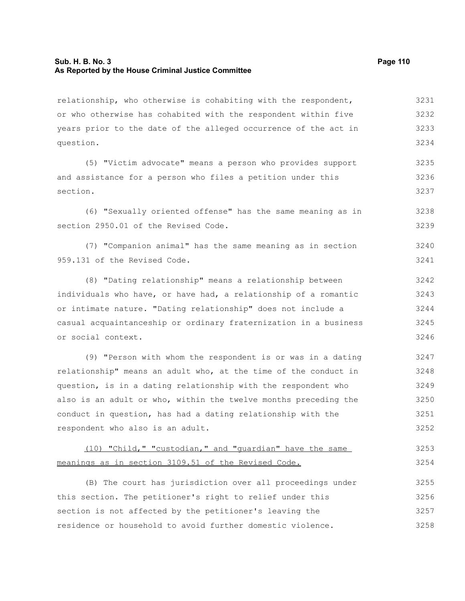## **Sub. H. B. No. 3 Page 110 As Reported by the House Criminal Justice Committee**

relationship, who otherwise is cohabiting with the respondent, or who otherwise has cohabited with the respondent within five years prior to the date of the alleged occurrence of the act in question. 3231 3232 3233 3234

(5) "Victim advocate" means a person who provides support and assistance for a person who files a petition under this section. 3235 3236 3237

(6) "Sexually oriented offense" has the same meaning as in section 2950.01 of the Revised Code. 3238 3239

(7) "Companion animal" has the same meaning as in section 959.131 of the Revised Code. 3240 3241

(8) "Dating relationship" means a relationship between individuals who have, or have had, a relationship of a romantic or intimate nature. "Dating relationship" does not include a casual acquaintanceship or ordinary fraternization in a business or social context. 3242 3243 3244 3245 3246

(9) "Person with whom the respondent is or was in a dating relationship" means an adult who, at the time of the conduct in question, is in a dating relationship with the respondent who also is an adult or who, within the twelve months preceding the conduct in question, has had a dating relationship with the respondent who also is an adult. 3247 3248 3249 3250 3251 3252

(10) "Child," "custodian," and "guardian" have the same meanings as in section 3109.51 of the Revised Code. 3253 3254

(B) The court has jurisdiction over all proceedings under this section. The petitioner's right to relief under this section is not affected by the petitioner's leaving the residence or household to avoid further domestic violence. 3255 3256 3257 3258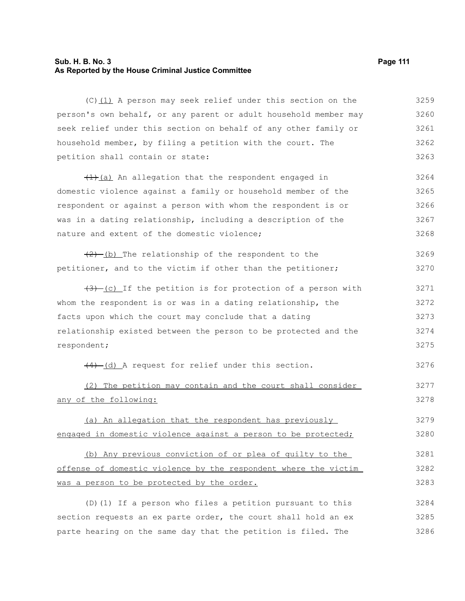## **Sub. H. B. No. 3 Page 111 As Reported by the House Criminal Justice Committee**

(C)(1) A person may seek relief under this section on the person's own behalf, or any parent or adult household member may seek relief under this section on behalf of any other family or household member, by filing a petition with the court. The petition shall contain or state: 3259 3260 3261 3262 3263

 $(1)$  (a) An allegation that the respondent engaged in domestic violence against a family or household member of the respondent or against a person with whom the respondent is or was in a dating relationship, including a description of the nature and extent of the domestic violence; 3264 3265 3266 3267 3268

 $(2)$  (b) The relationship of the respondent to the petitioner, and to the victim if other than the petitioner; 3269 3270

 $(3)$  (c) If the petition is for protection of a person with whom the respondent is or was in a dating relationship, the facts upon which the court may conclude that a dating relationship existed between the person to be protected and the respondent; 3271 3272 3273 3274 3275

 $(4)$  (d) A request for relief under this section.

(2) The petition may contain and the court shall consider any of the following: 3277 3278

(a) An allegation that the respondent has previously engaged in domestic violence against a person to be protected; 3279 3280

(b) Any previous conviction of or plea of guilty to the offense of domestic violence by the respondent where the victim was a person to be protected by the order. 3281 3282 3283

(D)(1) If a person who files a petition pursuant to this section requests an ex parte order, the court shall hold an ex parte hearing on the same day that the petition is filed. The 3284 3285 3286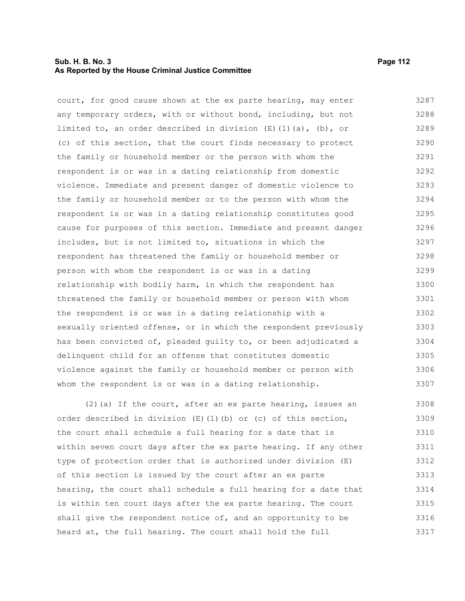## **Sub. H. B. No. 3 Page 112 As Reported by the House Criminal Justice Committee**

court, for good cause shown at the ex parte hearing, may enter any temporary orders, with or without bond, including, but not limited to, an order described in division  $(E)$  (1)(a),  $(b)$ , or (c) of this section, that the court finds necessary to protect the family or household member or the person with whom the respondent is or was in a dating relationship from domestic violence. Immediate and present danger of domestic violence to the family or household member or to the person with whom the respondent is or was in a dating relationship constitutes good cause for purposes of this section. Immediate and present danger includes, but is not limited to, situations in which the respondent has threatened the family or household member or person with whom the respondent is or was in a dating relationship with bodily harm, in which the respondent has threatened the family or household member or person with whom the respondent is or was in a dating relationship with a sexually oriented offense, or in which the respondent previously has been convicted of, pleaded guilty to, or been adjudicated a delinquent child for an offense that constitutes domestic violence against the family or household member or person with whom the respondent is or was in a dating relationship. 3287 3288 3289 3290 3291 3292 3293 3294 3295 3296 3297 3298 3299 3300 3301 3302 3303 3304 3305 3306 3307

(2)(a) If the court, after an ex parte hearing, issues an order described in division (E)(1)(b) or (c) of this section, the court shall schedule a full hearing for a date that is within seven court days after the ex parte hearing. If any other type of protection order that is authorized under division (E) of this section is issued by the court after an ex parte hearing, the court shall schedule a full hearing for a date that is within ten court days after the ex parte hearing. The court shall give the respondent notice of, and an opportunity to be heard at, the full hearing. The court shall hold the full 3308 3309 3310 3311 3312 3313 3314 3315 3316 3317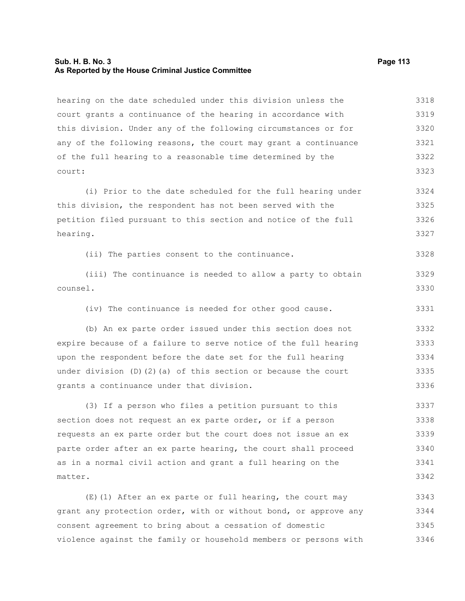## **Sub. H. B. No. 3 Page 113 As Reported by the House Criminal Justice Committee**

hearing on the date scheduled under this division unless the court grants a continuance of the hearing in accordance with this division. Under any of the following circumstances or for any of the following reasons, the court may grant a continuance of the full hearing to a reasonable time determined by the court: 3318 3319 3320 3321 3322 3323

(i) Prior to the date scheduled for the full hearing under this division, the respondent has not been served with the petition filed pursuant to this section and notice of the full hearing. 3324 3325 3326 3327

(ii) The parties consent to the continuance. 3328

(iii) The continuance is needed to allow a party to obtain counsel. 3329 3330

(iv) The continuance is needed for other good cause.

(b) An ex parte order issued under this section does not expire because of a failure to serve notice of the full hearing upon the respondent before the date set for the full hearing under division  $(D)(2)(a)$  of this section or because the court grants a continuance under that division.

(3) If a person who files a petition pursuant to this section does not request an ex parte order, or if a person requests an ex parte order but the court does not issue an ex parte order after an ex parte hearing, the court shall proceed as in a normal civil action and grant a full hearing on the matter. 3337 3338 3339 3340 3341 3342

(E)(1) After an ex parte or full hearing, the court may grant any protection order, with or without bond, or approve any consent agreement to bring about a cessation of domestic violence against the family or household members or persons with 3343 3344 3345 3346

3331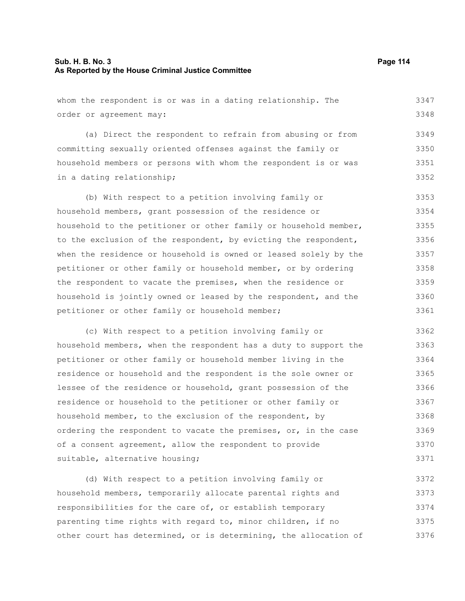## **Sub. H. B. No. 3 Page 114 As Reported by the House Criminal Justice Committee**

whom the respondent is or was in a dating relationship. The order or agreement may: (a) Direct the respondent to refrain from abusing or from committing sexually oriented offenses against the family or household members or persons with whom the respondent is or was in a dating relationship; (b) With respect to a petition involving family or household members, grant possession of the residence or household to the petitioner or other family or household member, to the exclusion of the respondent, by evicting the respondent, 3347 3348 3349 3350 3351 3352 3353 3354 3355 3356

when the residence or household is owned or leased solely by the petitioner or other family or household member, or by ordering the respondent to vacate the premises, when the residence or household is jointly owned or leased by the respondent, and the petitioner or other family or household member; 3357 3358 3359 3360 3361

(c) With respect to a petition involving family or household members, when the respondent has a duty to support the petitioner or other family or household member living in the residence or household and the respondent is the sole owner or lessee of the residence or household, grant possession of the residence or household to the petitioner or other family or household member, to the exclusion of the respondent, by ordering the respondent to vacate the premises, or, in the case of a consent agreement, allow the respondent to provide suitable, alternative housing; 3362 3363 3364 3365 3366 3367 3368 3369 3370 3371

(d) With respect to a petition involving family or household members, temporarily allocate parental rights and responsibilities for the care of, or establish temporary parenting time rights with regard to, minor children, if no other court has determined, or is determining, the allocation of 3372 3373 3374 3375 3376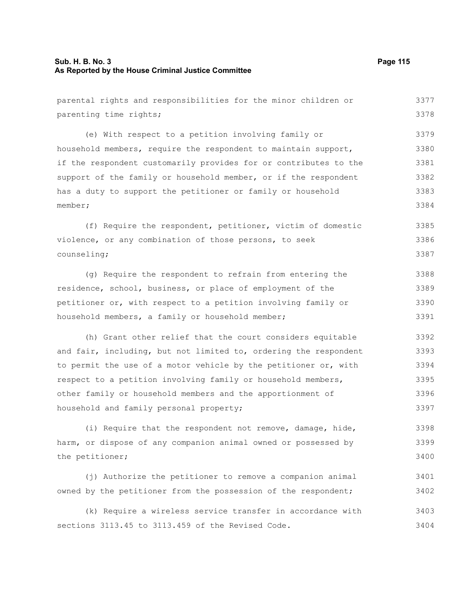## **Sub. H. B. No. 3 Page 115 As Reported by the House Criminal Justice Committee**

parental rights and responsibilities for the minor children or parenting time rights;

(e) With respect to a petition involving family or household members, require the respondent to maintain support, if the respondent customarily provides for or contributes to the support of the family or household member, or if the respondent has a duty to support the petitioner or family or household member; 3379 3380 3381 3382 3383 3384

(f) Require the respondent, petitioner, victim of domestic violence, or any combination of those persons, to seek counseling; 3385 3386 3387

(g) Require the respondent to refrain from entering the residence, school, business, or place of employment of the petitioner or, with respect to a petition involving family or household members, a family or household member; 3388 3389 3390 3391

(h) Grant other relief that the court considers equitable and fair, including, but not limited to, ordering the respondent to permit the use of a motor vehicle by the petitioner or, with respect to a petition involving family or household members, other family or household members and the apportionment of household and family personal property; 3392 3393 3394 3395 3396 3397

(i) Require that the respondent not remove, damage, hide, harm, or dispose of any companion animal owned or possessed by the petitioner; 3398 3399 3400

(j) Authorize the petitioner to remove a companion animal owned by the petitioner from the possession of the respondent; 3401 3402

(k) Require a wireless service transfer in accordance with sections 3113.45 to 3113.459 of the Revised Code. 3403 3404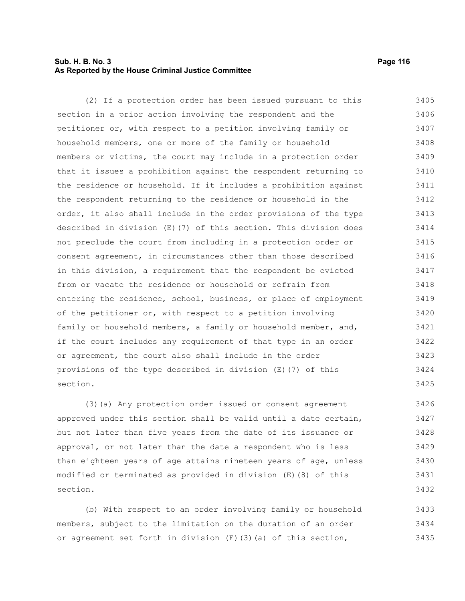## **Sub. H. B. No. 3 Page 116 As Reported by the House Criminal Justice Committee**

(2) If a protection order has been issued pursuant to this section in a prior action involving the respondent and the petitioner or, with respect to a petition involving family or household members, one or more of the family or household members or victims, the court may include in a protection order that it issues a prohibition against the respondent returning to the residence or household. If it includes a prohibition against the respondent returning to the residence or household in the order, it also shall include in the order provisions of the type described in division (E)(7) of this section. This division does not preclude the court from including in a protection order or consent agreement, in circumstances other than those described in this division, a requirement that the respondent be evicted from or vacate the residence or household or refrain from entering the residence, school, business, or place of employment of the petitioner or, with respect to a petition involving family or household members, a family or household member, and, if the court includes any requirement of that type in an order or agreement, the court also shall include in the order provisions of the type described in division (E)(7) of this section. 3405 3406 3407 3408 3409 3410 3411 3412 3413 3414 3415 3416 3417 3418 3419 3420 3421 3422 3423 3424 3425

(3)(a) Any protection order issued or consent agreement approved under this section shall be valid until a date certain, but not later than five years from the date of its issuance or approval, or not later than the date a respondent who is less than eighteen years of age attains nineteen years of age, unless modified or terminated as provided in division (E)(8) of this section. 3426 3427 3428 3429 3430 3431 3432

(b) With respect to an order involving family or household members, subject to the limitation on the duration of an order or agreement set forth in division  $(E)$  (3)(a) of this section, 3433 3434 3435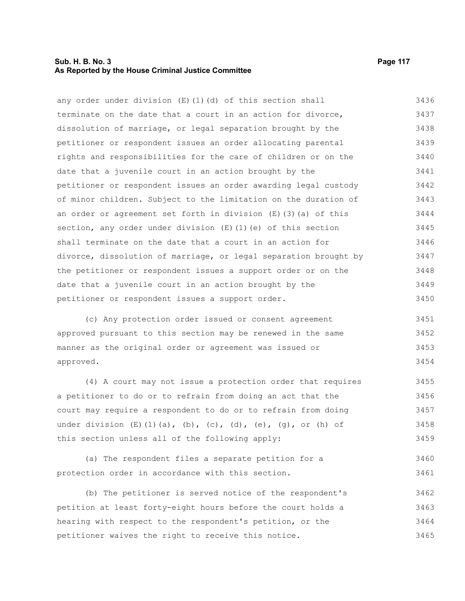## **Sub. H. B. No. 3 Page 117 As Reported by the House Criminal Justice Committee**

any order under division (E)(1)(d) of this section shall terminate on the date that a court in an action for divorce, dissolution of marriage, or legal separation brought by the petitioner or respondent issues an order allocating parental rights and responsibilities for the care of children or on the date that a juvenile court in an action brought by the petitioner or respondent issues an order awarding legal custody of minor children. Subject to the limitation on the duration of an order or agreement set forth in division  $(E)$  (3)(a) of this section, any order under division (E)(1)(e) of this section shall terminate on the date that a court in an action for divorce, dissolution of marriage, or legal separation brought by the petitioner or respondent issues a support order or on the date that a juvenile court in an action brought by the petitioner or respondent issues a support order. 3436 3437 3438 3439 3440 3441 3442 3443 3444 3445 3446 3447 3448 3449 3450

(c) Any protection order issued or consent agreement approved pursuant to this section may be renewed in the same manner as the original order or agreement was issued or approved. 3451 3452 3453 3454

(4) A court may not issue a protection order that requires a petitioner to do or to refrain from doing an act that the court may require a respondent to do or to refrain from doing under division  $(E)$   $(1)$   $(a)$ ,  $(b)$ ,  $(c)$ ,  $(d)$ ,  $(e)$ ,  $(g)$ , or  $(h)$  of this section unless all of the following apply: 3455 3456 3457 3458 3459

(a) The respondent files a separate petition for a protection order in accordance with this section. 3460 3461

(b) The petitioner is served notice of the respondent's petition at least forty-eight hours before the court holds a hearing with respect to the respondent's petition, or the petitioner waives the right to receive this notice. 3462 3463 3464 3465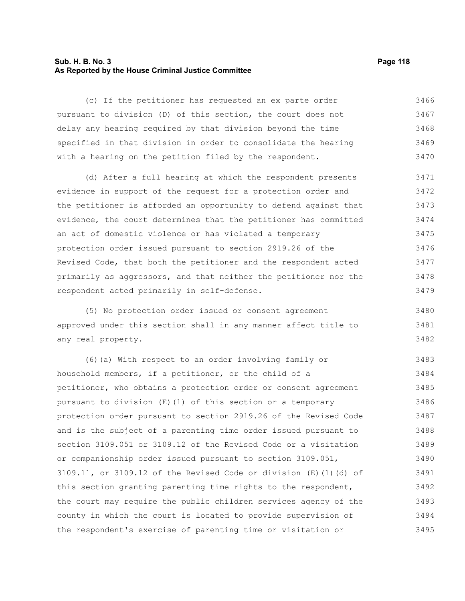## **Sub. H. B. No. 3 Page 118 As Reported by the House Criminal Justice Committee**

(c) If the petitioner has requested an ex parte order pursuant to division (D) of this section, the court does not delay any hearing required by that division beyond the time specified in that division in order to consolidate the hearing with a hearing on the petition filed by the respondent. 3466 3467 3468 3469 3470

(d) After a full hearing at which the respondent presents evidence in support of the request for a protection order and the petitioner is afforded an opportunity to defend against that evidence, the court determines that the petitioner has committed an act of domestic violence or has violated a temporary protection order issued pursuant to section 2919.26 of the Revised Code, that both the petitioner and the respondent acted primarily as aggressors, and that neither the petitioner nor the respondent acted primarily in self-defense. 3471 3472 3473 3474 3475 3476 3477 3478 3479

(5) No protection order issued or consent agreement approved under this section shall in any manner affect title to any real property. 3480 3481 3482

(6)(a) With respect to an order involving family or household members, if a petitioner, or the child of a petitioner, who obtains a protection order or consent agreement pursuant to division (E)(1) of this section or a temporary protection order pursuant to section 2919.26 of the Revised Code and is the subject of a parenting time order issued pursuant to section 3109.051 or 3109.12 of the Revised Code or a visitation or companionship order issued pursuant to section 3109.051,  $3109.11$ , or  $3109.12$  of the Revised Code or division (E)(1)(d) of this section granting parenting time rights to the respondent, the court may require the public children services agency of the county in which the court is located to provide supervision of the respondent's exercise of parenting time or visitation or 3483 3484 3485 3486 3487 3488 3489 3490 3491 3492 3493 3494 3495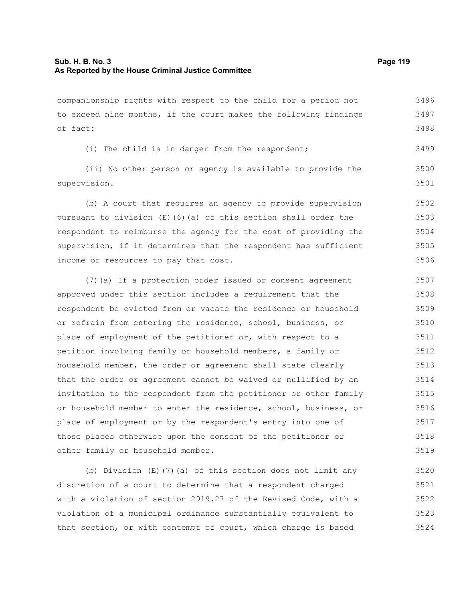companionship rights with respect to the child for a period not to exceed nine months, if the court makes the following findings of fact: 3496 3497 3498

(i) The child is in danger from the respondent;

(ii) No other person or agency is available to provide the supervision. 3500 3501

(b) A court that requires an agency to provide supervision pursuant to division  $(E)$  (6)(a) of this section shall order the respondent to reimburse the agency for the cost of providing the supervision, if it determines that the respondent has sufficient income or resources to pay that cost. 3502 3503 3504 3505 3506

(7)(a) If a protection order issued or consent agreement approved under this section includes a requirement that the respondent be evicted from or vacate the residence or household or refrain from entering the residence, school, business, or place of employment of the petitioner or, with respect to a petition involving family or household members, a family or household member, the order or agreement shall state clearly that the order or agreement cannot be waived or nullified by an invitation to the respondent from the petitioner or other family or household member to enter the residence, school, business, or place of employment or by the respondent's entry into one of those places otherwise upon the consent of the petitioner or other family or household member. 3507 3508 3509 3510 3511 3512 3513 3514 3515 3516 3517 3518 3519

(b) Division (E)(7)(a) of this section does not limit any discretion of a court to determine that a respondent charged with a violation of section 2919.27 of the Revised Code, with a violation of a municipal ordinance substantially equivalent to that section, or with contempt of court, which charge is based 3520 3521 3522 3523 3524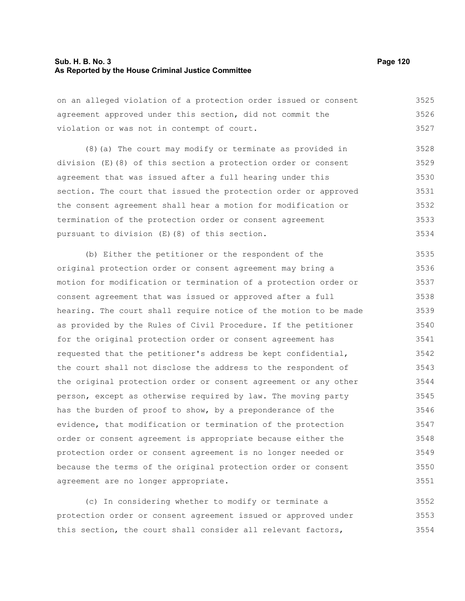## **Sub. H. B. No. 3 Page 120 As Reported by the House Criminal Justice Committee**

on an alleged violation of a protection order issued or consent agreement approved under this section, did not commit the violation or was not in contempt of court. 3525 3526 3527

(8)(a) The court may modify or terminate as provided in division (E)(8) of this section a protection order or consent agreement that was issued after a full hearing under this section. The court that issued the protection order or approved the consent agreement shall hear a motion for modification or termination of the protection order or consent agreement pursuant to division (E)(8) of this section. 3528 3529 3530 3531 3532 3533 3534

(b) Either the petitioner or the respondent of the original protection order or consent agreement may bring a motion for modification or termination of a protection order or consent agreement that was issued or approved after a full hearing. The court shall require notice of the motion to be made as provided by the Rules of Civil Procedure. If the petitioner for the original protection order or consent agreement has requested that the petitioner's address be kept confidential, the court shall not disclose the address to the respondent of the original protection order or consent agreement or any other person, except as otherwise required by law. The moving party has the burden of proof to show, by a preponderance of the evidence, that modification or termination of the protection order or consent agreement is appropriate because either the protection order or consent agreement is no longer needed or because the terms of the original protection order or consent agreement are no longer appropriate. 3535 3536 3537 3538 3539 3540 3541 3542 3543 3544 3545 3546 3547 3548 3549 3550 3551

(c) In considering whether to modify or terminate a protection order or consent agreement issued or approved under this section, the court shall consider all relevant factors, 3552 3553 3554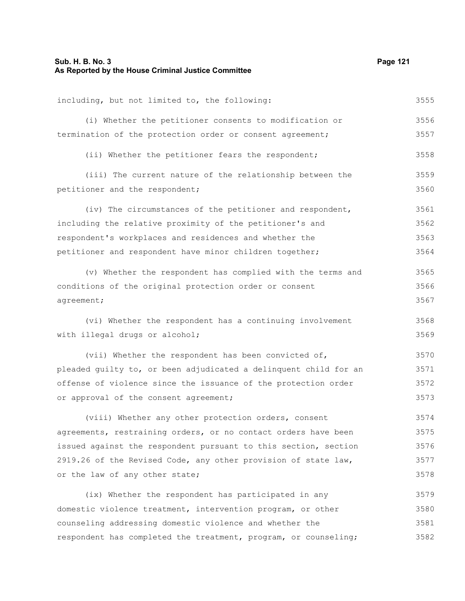| including, but not limited to, the following:                    | 3555 |  |  |  |  |  |
|------------------------------------------------------------------|------|--|--|--|--|--|
| (i) Whether the petitioner consents to modification or           | 3556 |  |  |  |  |  |
| termination of the protection order or consent agreement;        | 3557 |  |  |  |  |  |
| (ii) Whether the petitioner fears the respondent;                | 3558 |  |  |  |  |  |
| (iii) The current nature of the relationship between the         | 3559 |  |  |  |  |  |
| petitioner and the respondent;                                   | 3560 |  |  |  |  |  |
| (iv) The circumstances of the petitioner and respondent,         | 3561 |  |  |  |  |  |
| including the relative proximity of the petitioner's and         |      |  |  |  |  |  |
| respondent's workplaces and residences and whether the           |      |  |  |  |  |  |
| petitioner and respondent have minor children together;          | 3564 |  |  |  |  |  |
| (v) Whether the respondent has complied with the terms and       | 3565 |  |  |  |  |  |
| conditions of the original protection order or consent           | 3566 |  |  |  |  |  |
| agreement;                                                       | 3567 |  |  |  |  |  |
| (vi) Whether the respondent has a continuing involvement         | 3568 |  |  |  |  |  |
| with illegal drugs or alcohol;                                   | 3569 |  |  |  |  |  |
| (vii) Whether the respondent has been convicted of,              | 3570 |  |  |  |  |  |
| pleaded guilty to, or been adjudicated a delinquent child for an | 3571 |  |  |  |  |  |
| offense of violence since the issuance of the protection order   |      |  |  |  |  |  |
| or approval of the consent agreement;                            | 3573 |  |  |  |  |  |
| (viii) Whether any other protection orders, consent              | 3574 |  |  |  |  |  |
| agreements, restraining orders, or no contact orders have been   | 3575 |  |  |  |  |  |
| issued against the respondent pursuant to this section, section  | 3576 |  |  |  |  |  |
| 2919.26 of the Revised Code, any other provision of state law,   | 3577 |  |  |  |  |  |
| or the law of any other state;                                   | 3578 |  |  |  |  |  |
| (ix) Whether the respondent has participated in any              | 3579 |  |  |  |  |  |
| domestic violence treatment, intervention program, or other      | 3580 |  |  |  |  |  |
| counseling addressing domestic violence and whether the          |      |  |  |  |  |  |
| respondent has completed the treatment, program, or counseling;  | 3582 |  |  |  |  |  |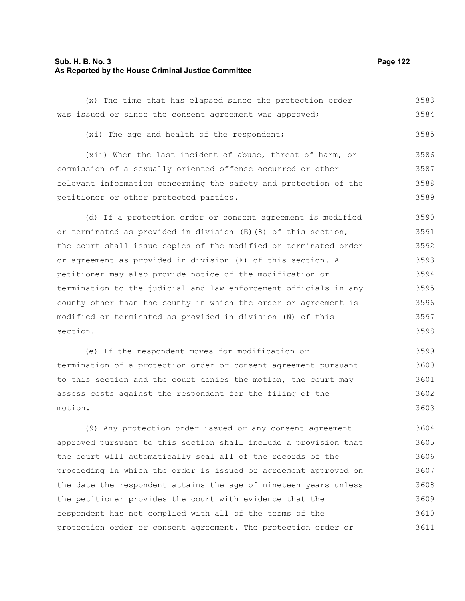# **Sub. H. B. No. 3 Page 122 As Reported by the House Criminal Justice Committee**

| (x) The time that has elapsed since the protection order         | 3583 |  |  |  |  |  |  |
|------------------------------------------------------------------|------|--|--|--|--|--|--|
| was issued or since the consent agreement was approved;          | 3584 |  |  |  |  |  |  |
| (xi) The age and health of the respondent;                       | 3585 |  |  |  |  |  |  |
| (xii) When the last incident of abuse, threat of harm, or        | 3586 |  |  |  |  |  |  |
| commission of a sexually oriented offense occurred or other      |      |  |  |  |  |  |  |
| relevant information concerning the safety and protection of the |      |  |  |  |  |  |  |
| petitioner or other protected parties.                           | 3589 |  |  |  |  |  |  |
| (d) If a protection order or consent agreement is modified       | 3590 |  |  |  |  |  |  |
| or terminated as provided in division (E) (8) of this section,   |      |  |  |  |  |  |  |
| the court shall issue copies of the modified or terminated order |      |  |  |  |  |  |  |
| or agreement as provided in division (F) of this section. A      |      |  |  |  |  |  |  |
| petitioner may also provide notice of the modification or        | 3594 |  |  |  |  |  |  |
| termination to the judicial and law enforcement officials in any | 3595 |  |  |  |  |  |  |
| county other than the county in which the order or agreement is  |      |  |  |  |  |  |  |
| modified or terminated as provided in division (N) of this       |      |  |  |  |  |  |  |
| section.                                                         | 3598 |  |  |  |  |  |  |
| (e) If the respondent moves for modification or                  | 3599 |  |  |  |  |  |  |
| termination of a protection order or consent agreement pursuant  | 3600 |  |  |  |  |  |  |
| to this section and the court denies the motion, the court may   | 3601 |  |  |  |  |  |  |
| assess costs against the respondent for the filing of the        | 3602 |  |  |  |  |  |  |
| motion.                                                          | 3603 |  |  |  |  |  |  |
| (9) Any protection order issued or any consent agreement         | 3604 |  |  |  |  |  |  |
| approved pursuant to this section shall include a provision that |      |  |  |  |  |  |  |
| the court will automatically seal all of the records of the      |      |  |  |  |  |  |  |
| proceeding in which the order is issued or agreement approved on |      |  |  |  |  |  |  |

the date the respondent attains the age of nineteen years unless the petitioner provides the court with evidence that the respondent has not complied with all of the terms of the protection order or consent agreement. The protection order or 3607 3608 3609 3610 3611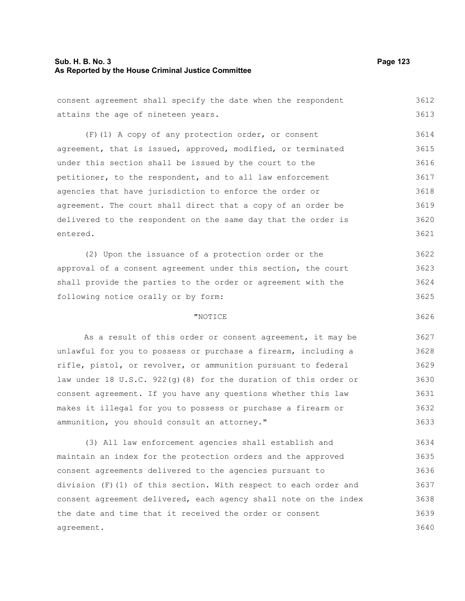## **Sub. H. B. No. 3 Page 123 As Reported by the House Criminal Justice Committee**

consent agreement shall specify the date when the respondent attains the age of nineteen years. (F)(1) A copy of any protection order, or consent agreement, that is issued, approved, modified, or terminated under this section shall be issued by the court to the petitioner, to the respondent, and to all law enforcement agencies that have jurisdiction to enforce the order or agreement. The court shall direct that a copy of an order be delivered to the respondent on the same day that the order is entered. 3612 3613 3614 3615 3616 3617 3618 3619 3620 3621

(2) Upon the issuance of a protection order or the approval of a consent agreement under this section, the court shall provide the parties to the order or agreement with the following notice orally or by form: 3622 3623 3624 3625

### "NOTICE

3626

As a result of this order or consent agreement, it may be unlawful for you to possess or purchase a firearm, including a rifle, pistol, or revolver, or ammunition pursuant to federal law under 18 U.S.C. 922(g)(8) for the duration of this order or consent agreement. If you have any questions whether this law makes it illegal for you to possess or purchase a firearm or ammunition, you should consult an attorney." 3627 3628 3629 3630 3631 3632 3633

(3) All law enforcement agencies shall establish and maintain an index for the protection orders and the approved consent agreements delivered to the agencies pursuant to division (F)(1) of this section. With respect to each order and consent agreement delivered, each agency shall note on the index the date and time that it received the order or consent agreement. 3634 3635 3636 3637 3638 3639 3640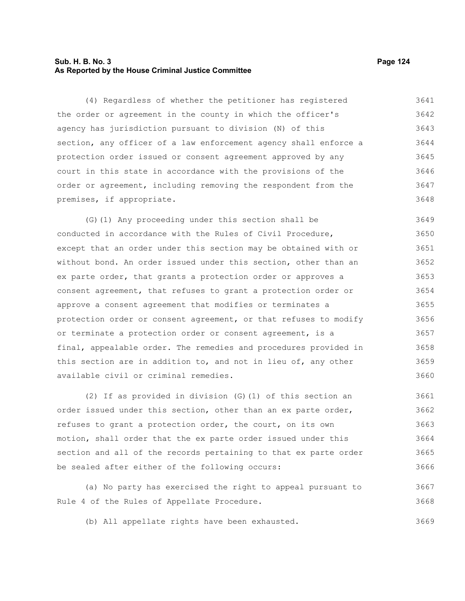## **Sub. H. B. No. 3 Page 124 As Reported by the House Criminal Justice Committee**

(4) Regardless of whether the petitioner has registered the order or agreement in the county in which the officer's agency has jurisdiction pursuant to division (N) of this section, any officer of a law enforcement agency shall enforce a protection order issued or consent agreement approved by any court in this state in accordance with the provisions of the order or agreement, including removing the respondent from the premises, if appropriate. 3641 3642 3643 3644 3645 3646 3647 3648

(G)(1) Any proceeding under this section shall be conducted in accordance with the Rules of Civil Procedure, except that an order under this section may be obtained with or without bond. An order issued under this section, other than an ex parte order, that grants a protection order or approves a consent agreement, that refuses to grant a protection order or approve a consent agreement that modifies or terminates a protection order or consent agreement, or that refuses to modify or terminate a protection order or consent agreement, is a final, appealable order. The remedies and procedures provided in this section are in addition to, and not in lieu of, any other available civil or criminal remedies. 3649 3650 3651 3652 3653 3654 3655 3656 3657 3658 3659 3660

(2) If as provided in division (G)(1) of this section an order issued under this section, other than an ex parte order, refuses to grant a protection order, the court, on its own motion, shall order that the ex parte order issued under this section and all of the records pertaining to that ex parte order be sealed after either of the following occurs: 3661 3662 3663 3664 3665 3666

(a) No party has exercised the right to appeal pursuant to Rule 4 of the Rules of Appellate Procedure. 3667 3668

(b) All appellate rights have been exhausted. 3669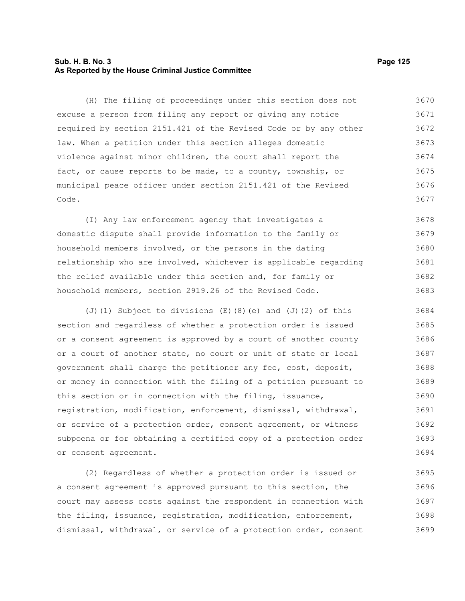## **Sub. H. B. No. 3 Page 125 As Reported by the House Criminal Justice Committee**

(H) The filing of proceedings under this section does not excuse a person from filing any report or giving any notice required by section 2151.421 of the Revised Code or by any other law. When a petition under this section alleges domestic violence against minor children, the court shall report the fact, or cause reports to be made, to a county, township, or municipal peace officer under section 2151.421 of the Revised Code. 3670 3671 3672 3673 3674 3675 3676 3677

(I) Any law enforcement agency that investigates a domestic dispute shall provide information to the family or household members involved, or the persons in the dating relationship who are involved, whichever is applicable regarding the relief available under this section and, for family or household members, section 2919.26 of the Revised Code. 3678 3679 3680 3681 3682 3683

(J)(1) Subject to divisions  $(E)$ (8)(e) and (J)(2) of this section and regardless of whether a protection order is issued or a consent agreement is approved by a court of another county or a court of another state, no court or unit of state or local government shall charge the petitioner any fee, cost, deposit, or money in connection with the filing of a petition pursuant to this section or in connection with the filing, issuance, registration, modification, enforcement, dismissal, withdrawal, or service of a protection order, consent agreement, or witness subpoena or for obtaining a certified copy of a protection order or consent agreement. 3684 3685 3686 3687 3688 3689 3690 3691 3692 3693 3694

(2) Regardless of whether a protection order is issued or a consent agreement is approved pursuant to this section, the court may assess costs against the respondent in connection with the filing, issuance, registration, modification, enforcement, dismissal, withdrawal, or service of a protection order, consent 3695 3696 3697 3698 3699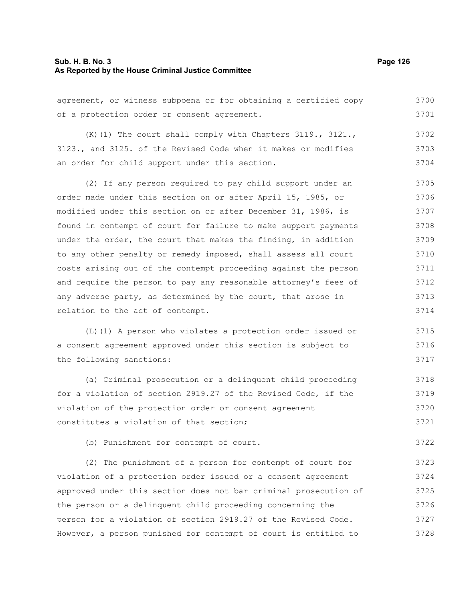## **Sub. H. B. No. 3 Page 126 As Reported by the House Criminal Justice Committee**

agreement, or witness subpoena or for obtaining a certified copy of a protection order or consent agreement. 3700 3701

(K)(1) The court shall comply with Chapters 3119., 3121., 3123., and 3125. of the Revised Code when it makes or modifies an order for child support under this section. 3702 3703 3704

(2) If any person required to pay child support under an order made under this section on or after April 15, 1985, or modified under this section on or after December 31, 1986, is found in contempt of court for failure to make support payments under the order, the court that makes the finding, in addition to any other penalty or remedy imposed, shall assess all court costs arising out of the contempt proceeding against the person and require the person to pay any reasonable attorney's fees of any adverse party, as determined by the court, that arose in relation to the act of contempt. 3705 3706 3707 3708 3709 3710 3711 3712 3713 3714

(L)(1) A person who violates a protection order issued or a consent agreement approved under this section is subject to the following sanctions: 3715 3716 3717

(a) Criminal prosecution or a delinquent child proceeding for a violation of section 2919.27 of the Revised Code, if the violation of the protection order or consent agreement constitutes a violation of that section; 3718 3719 3720 3721

(b) Punishment for contempt of court.

(2) The punishment of a person for contempt of court for violation of a protection order issued or a consent agreement approved under this section does not bar criminal prosecution of the person or a delinquent child proceeding concerning the person for a violation of section 2919.27 of the Revised Code. However, a person punished for contempt of court is entitled to 3723 3724 3725 3726 3727 3728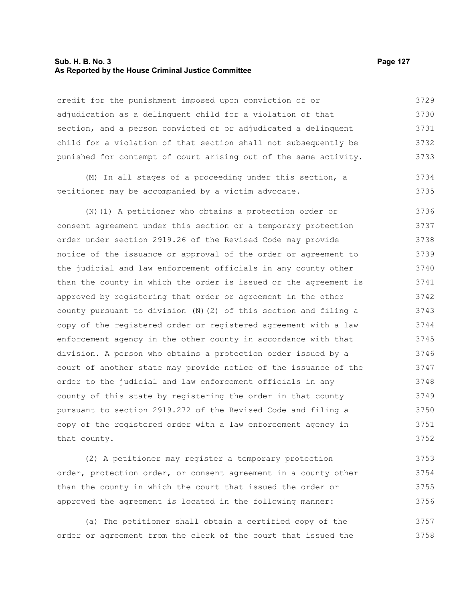## **Sub. H. B. No. 3 Page 127 As Reported by the House Criminal Justice Committee**

credit for the punishment imposed upon conviction of or adjudication as a delinquent child for a violation of that section, and a person convicted of or adjudicated a delinquent child for a violation of that section shall not subsequently be punished for contempt of court arising out of the same activity. 3729 3730 3731 3732 3733

(M) In all stages of a proceeding under this section, a petitioner may be accompanied by a victim advocate. 3734 3735

(N)(1) A petitioner who obtains a protection order or consent agreement under this section or a temporary protection order under section 2919.26 of the Revised Code may provide notice of the issuance or approval of the order or agreement to the judicial and law enforcement officials in any county other than the county in which the order is issued or the agreement is approved by registering that order or agreement in the other county pursuant to division  $(N)(2)$  of this section and filing a copy of the registered order or registered agreement with a law enforcement agency in the other county in accordance with that division. A person who obtains a protection order issued by a court of another state may provide notice of the issuance of the order to the judicial and law enforcement officials in any county of this state by registering the order in that county pursuant to section 2919.272 of the Revised Code and filing a copy of the registered order with a law enforcement agency in that county. 3736 3737 3738 3739 3740 3741 3742 3743 3744 3745 3746 3747 3748 3749 3750 3751 3752

(2) A petitioner may register a temporary protection order, protection order, or consent agreement in a county other than the county in which the court that issued the order or approved the agreement is located in the following manner: 3753 3754 3755 3756

(a) The petitioner shall obtain a certified copy of the order or agreement from the clerk of the court that issued the 3757 3758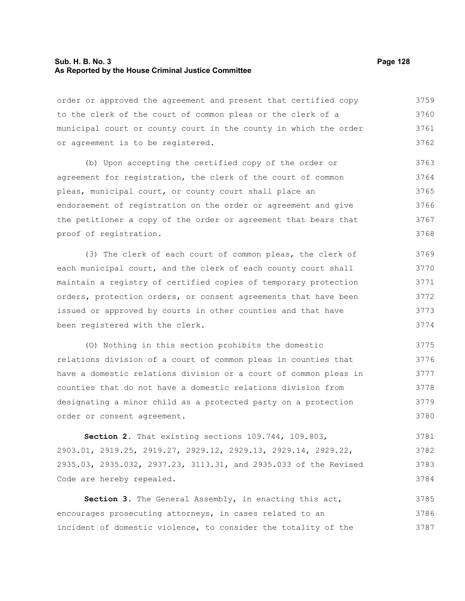## **Sub. H. B. No. 3 Page 128 As Reported by the House Criminal Justice Committee**

order or approved the agreement and present that certified copy to the clerk of the court of common pleas or the clerk of a municipal court or county court in the county in which the order or agreement is to be registered. 3759 3760 3761 3762

(b) Upon accepting the certified copy of the order or agreement for registration, the clerk of the court of common pleas, municipal court, or county court shall place an endorsement of registration on the order or agreement and give the petitioner a copy of the order or agreement that bears that proof of registration. 3763 3764 3765 3766 3767 3768

(3) The clerk of each court of common pleas, the clerk of each municipal court, and the clerk of each county court shall maintain a registry of certified copies of temporary protection orders, protection orders, or consent agreements that have been issued or approved by courts in other counties and that have been registered with the clerk. 3769 3770 3771 3772 3773 3774

(O) Nothing in this section prohibits the domestic relations division of a court of common pleas in counties that have a domestic relations division or a court of common pleas in counties that do not have a domestic relations division from designating a minor child as a protected party on a protection order or consent agreement. 3775 3776 3777 3778 3779 3780

**Section 2.** That existing sections 109.744, 109.803, 2903.01, 2919.25, 2919.27, 2929.12, 2929.13, 2929.14, 2929.22, 2935.03, 2935.032, 2937.23, 3113.31, and 2935.033 of the Revised Code are hereby repealed. 3781 3782 3783 3784

**Section 3.** The General Assembly, in enacting this act, encourages prosecuting attorneys, in cases related to an incident of domestic violence, to consider the totality of the 3785 3786 3787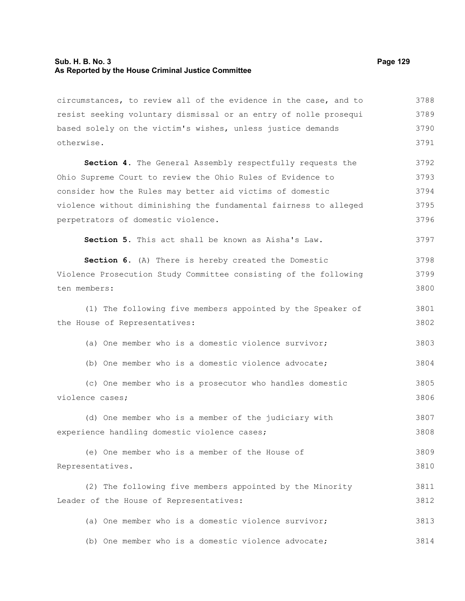## **Sub. H. B. No. 3 Page 129 As Reported by the House Criminal Justice Committee**

circumstances, to review all of the evidence in the case, and to resist seeking voluntary dismissal or an entry of nolle prosequi based solely on the victim's wishes, unless justice demands otherwise. 3788 3789 3790 3791

**Section 4.** The General Assembly respectfully requests the Ohio Supreme Court to review the Ohio Rules of Evidence to consider how the Rules may better aid victims of domestic violence without diminishing the fundamental fairness to alleged perpetrators of domestic violence. 3792 3793 3794 3795 3796

**Section 5.** This act shall be known as Aisha's Law.

**Section 6.** (A) There is hereby created the Domestic Violence Prosecution Study Committee consisting of the following ten members: 3798 3799 3800

(1) The following five members appointed by the Speaker of the House of Representatives: 3801 3802

(a) One member who is a domestic violence survivor; 3803

(b) One member who is a domestic violence advocate; 3804

```
(c) One member who is a prosecutor who handles domestic
violence cases;
                                                                            3805
                                                                            3806
```
(d) One member who is a member of the judiciary with experience handling domestic violence cases; 3807 3808

(e) One member who is a member of the House of Representatives. 3809 3810

(2) The following five members appointed by the Minority Leader of the House of Representatives: 3811 3812

(a) One member who is a domestic violence survivor; (b) One member who is a domestic violence advocate; 3813 3814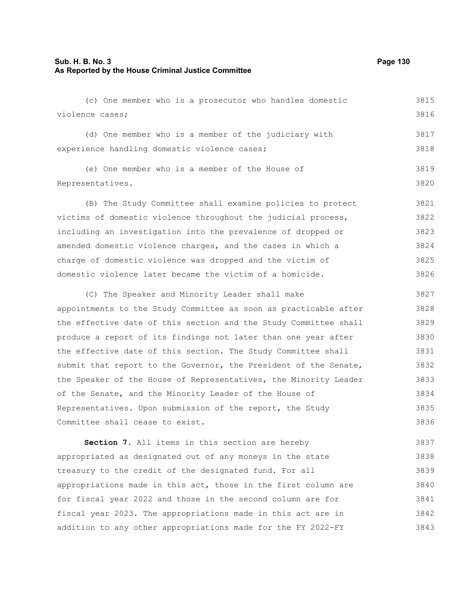## **Sub. H. B. No. 3 Page 130 As Reported by the House Criminal Justice Committee**

(c) One member who is a prosecutor who handles domestic violence cases; (d) One member who is a member of the judiciary with experience handling domestic violence cases; (e) One member who is a member of the House of Representatives. (B) The Study Committee shall examine policies to protect victims of domestic violence throughout the judicial process, including an investigation into the prevalence of dropped or amended domestic violence charges, and the cases in which a charge of domestic violence was dropped and the victim of domestic violence later became the victim of a homicide. (C) The Speaker and Minority Leader shall make appointments to the Study Committee as soon as practicable after the effective date of this section and the Study Committee shall produce a report of its findings not later than one year after the effective date of this section. The Study Committee shall submit that report to the Governor, the President of the Senate, the Speaker of the House of Representatives, the Minority Leader of the Senate, and the Minority Leader of the House of Representatives. Upon submission of the report, the Study Committee shall cease to exist. **Section 7.** All items in this section are hereby appropriated as designated out of any moneys in the state 3815 3816 3817 3818 3819 3820 3821 3822 3823 3824 3825 3826 3827 3828 3829 3830 3831 3832 3833 3834 3835 3836 3837 3838

treasury to the credit of the designated fund. For all appropriations made in this act, those in the first column are for fiscal year 2022 and those in the second column are for fiscal year 2023. The appropriations made in this act are in addition to any other appropriations made for the FY 2022-FY 3839 3840 3841 3842 3843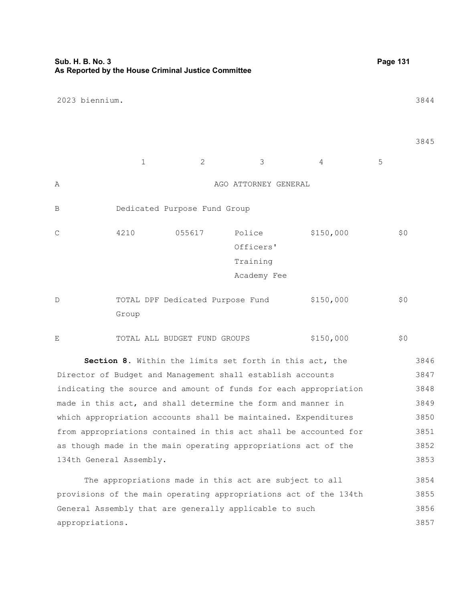| Sub. H. B. No. 3<br>As Reported by the House Criminal Justice Committee |                                  |                              |                                                         |                |       | <b>Page 131</b> |  |  |  |
|-------------------------------------------------------------------------|----------------------------------|------------------------------|---------------------------------------------------------|----------------|-------|-----------------|--|--|--|
| 2023 biennium.                                                          |                                  |                              |                                                         |                |       | 3844            |  |  |  |
|                                                                         |                                  |                              |                                                         |                |       |                 |  |  |  |
|                                                                         |                                  |                              |                                                         |                |       | 3845            |  |  |  |
|                                                                         | $\mathbf{1}$                     | 2                            | 3                                                       | $\overline{4}$ | 5     |                 |  |  |  |
| Α                                                                       | AGO ATTORNEY GENERAL             |                              |                                                         |                |       |                 |  |  |  |
| B                                                                       |                                  | Dedicated Purpose Fund Group |                                                         |                |       |                 |  |  |  |
| C                                                                       | 4210                             | 055617                       | Police                                                  | \$150,000      | \$0   |                 |  |  |  |
|                                                                         |                                  |                              | Officers'                                               |                |       |                 |  |  |  |
|                                                                         |                                  |                              | Training                                                |                |       |                 |  |  |  |
|                                                                         |                                  |                              | Academy Fee                                             |                |       |                 |  |  |  |
| D                                                                       | TOTAL DPF Dedicated Purpose Fund |                              |                                                         | \$150,000      | \$0\$ |                 |  |  |  |
|                                                                         | Group                            |                              |                                                         |                |       |                 |  |  |  |
| $\mathbf{E}% _{t}$                                                      |                                  | TOTAL ALL BUDGET FUND GROUPS |                                                         |                | \$0   |                 |  |  |  |
|                                                                         |                                  |                              | Section 8. Within the limits set forth in this act, the |                |       | 3846            |  |  |  |
| Director of Budget and Management shall establish accounts              |                                  |                              |                                                         |                |       | 3847            |  |  |  |

indicating the source and amount of funds for each appropriation made in this act, and shall determine the form and manner in which appropriation accounts shall be maintained. Expenditures from appropriations contained in this act shall be accounted for as though made in the main operating appropriations act of the 134th General Assembly. 3848 3849 3850 3851 3852 3853

The appropriations made in this act are subject to all provisions of the main operating appropriations act of the 134th General Assembly that are generally applicable to such appropriations. 3854 3855 3856 3857